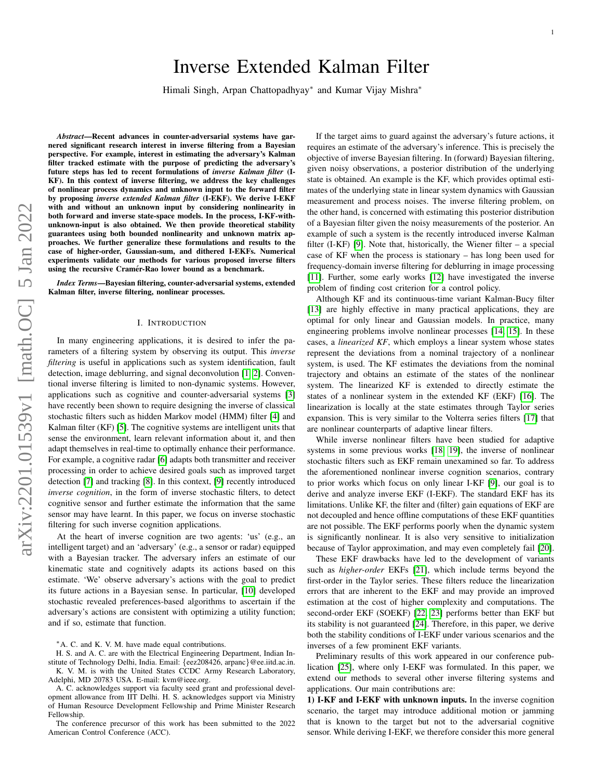# Inverse Extended Kalman Filter

Himali Singh, Arpan Chattopadhyay<sup>∗</sup> and Kumar Vijay Mishra<sup>∗</sup>

*Abstract*—Recent advances in counter-adversarial systems have garnered significant research interest in inverse filtering from a Bayesian perspective. For example, interest in estimating the adversary's Kalman filter tracked estimate with the purpose of predicting the adversary's future steps has led to recent formulations of *inverse Kalman filter* (I-KF). In this context of inverse filtering, we address the key challenges of nonlinear process dynamics and unknown input to the forward filter by proposing *inverse extended Kalman filter* (I-EKF). We derive I-EKF with and without an unknown input by considering nonlinearity in both forward and inverse state-space models. In the process, I-KF-withunknown-input is also obtained. We then provide theoretical stability guarantees using both bounded nonlinearity and unknown matrix approaches. We further generalize these formulations and results to the case of higher-order, Gaussian-sum, and dithered I-EKFs. Numerical experiments validate our methods for various proposed inverse filters using the recursive Cramér-Rao lower bound as a benchmark.

*Index Terms*—Bayesian filtering, counter-adversarial systems, extended Kalman filter, inverse filtering, nonlinear processes.

#### I. INTRODUCTION

In many engineering applications, it is desired to infer the parameters of a filtering system by observing its output. This *inverse filtering* is useful in applications such as system identification, fault detection, image deblurring, and signal deconvolution [\[1,](#page-16-0) [2\]](#page-16-1). Conventional inverse filtering is limited to non-dynamic systems. However, applications such as cognitive and counter-adversarial systems [\[3\]](#page-16-2) have recently been shown to require designing the inverse of classical stochastic filters such as hidden Markov model (HMM) filter [\[4\]](#page-16-3) and Kalman filter (KF) [\[5\]](#page-16-4). The cognitive systems are intelligent units that sense the environment, learn relevant information about it, and then adapt themselves in real-time to optimally enhance their performance. For example, a cognitive radar [\[6\]](#page-16-5) adapts both transmitter and receiver processing in order to achieve desired goals such as improved target detection [\[7\]](#page-16-6) and tracking [\[8\]](#page-16-7). In this context, [\[9\]](#page-16-8) recently introduced *inverse cognition*, in the form of inverse stochastic filters, to detect cognitive sensor and further estimate the information that the same sensor may have learnt. In this paper, we focus on inverse stochastic filtering for such inverse cognition applications.

At the heart of inverse cognition are two agents: 'us' (e.g., an intelligent target) and an 'adversary' (e.g., a sensor or radar) equipped with a Bayesian tracker. The adversary infers an estimate of our kinematic state and cognitively adapts its actions based on this estimate. 'We' observe adversary's actions with the goal to predict its future actions in a Bayesian sense. In particular, [\[10\]](#page-16-9) developed stochastic revealed preferences-based algorithms to ascertain if the adversary's actions are consistent with optimizing a utility function; and if so, estimate that function.

<sup>∗</sup>A. C. and K. V. M. have made equal contributions.

H. S. and A. C. are with the Electrical Engineering Department, Indian Institute of Technology Delhi, India. Email: {eez208426, arpanc}@ee.iitd.ac.in. K. V. M. is with the United States CCDC Army Research Laboratory, Adelphi, MD 20783 USA. E-mail: kvm@ieee.org.

A. C. acknowledges support via faculty seed grant and professional development allowance from IIT Delhi. H. S. acknowledges support via Ministry of Human Resource Development Fellowship and Prime Minister Research Fellowship.

The conference precursor of this work has been submitted to the 2022 American Control Conference (ACC).

If the target aims to guard against the adversary's future actions, it requires an estimate of the adversary's inference. This is precisely the objective of inverse Bayesian filtering. In (forward) Bayesian filtering, given noisy observations, a posterior distribution of the underlying state is obtained. An example is the KF, which provides optimal estimates of the underlying state in linear system dynamics with Gaussian measurement and process noises. The inverse filtering problem, on the other hand, is concerned with estimating this posterior distribution of a Bayesian filter given the noisy measurements of the posterior. An example of such a system is the recently introduced inverse Kalman filter (I-KF) [\[9\]](#page-16-8). Note that, historically, the Wiener filter  $-$  a special case of KF when the process is stationary – has long been used for frequency-domain inverse filtering for deblurring in image processing [\[11\]](#page-16-10). Further, some early works [\[12\]](#page-16-11) have investigated the inverse problem of finding cost criterion for a control policy.

Although KF and its continuous-time variant Kalman-Bucy filter [\[13\]](#page-16-12) are highly effective in many practical applications, they are optimal for only linear and Gaussian models. In practice, many engineering problems involve nonlinear processes [\[14,](#page-16-13) [15\]](#page-16-14). In these cases, a *linearized KF*, which employs a linear system whose states represent the deviations from a nominal trajectory of a nonlinear system, is used. The KF estimates the deviations from the nominal trajectory and obtains an estimate of the states of the nonlinear system. The linearized KF is extended to directly estimate the states of a nonlinear system in the extended KF (EKF) [\[16\]](#page-16-15). The linearization is locally at the state estimates through Taylor series expansion. This is very similar to the Volterra series filters [\[17\]](#page-16-16) that are nonlinear counterparts of adaptive linear filters.

While inverse nonlinear filters have been studied for adaptive systems in some previous works [\[18,](#page-16-17) [19\]](#page-16-18), the inverse of nonlinear stochastic filters such as EKF remain unexamined so far. To address the aforementioned nonlinear inverse cognition scenarios, contrary to prior works which focus on only linear I-KF [\[9\]](#page-16-8), our goal is to derive and analyze inverse EKF (I-EKF). The standard EKF has its limitations. Unlike KF, the filter and (filter) gain equations of EKF are not decoupled and hence offline computations of these EKF quantities are not possible. The EKF performs poorly when the dynamic system is significantly nonlinear. It is also very sensitive to initialization because of Taylor approximation, and may even completely fail [\[20\]](#page-16-19).

These EKF drawbacks have led to the development of variants such as *higher-order* EKFs [\[21\]](#page-16-20), which include terms beyond the first-order in the Taylor series. These filters reduce the linearization errors that are inherent to the EKF and may provide an improved estimation at the cost of higher complexity and computations. The second-order EKF (SOEKF) [\[22,](#page-16-21) [23\]](#page-16-22) performs better than EKF but its stability is not guaranteed [\[24\]](#page-16-23). Therefore, in this paper, we derive both the stability conditions of I-EKF under various scenarios and the inverses of a few prominent EKF variants.

Preliminary results of this work appeared in our conference publication [\[25\]](#page-16-24), where only I-EKF was formulated. In this paper, we extend our methods to several other inverse filtering systems and applications. Our main contributions are:

1) I-KF and I-EKF with unknown inputs. In the inverse cognition scenario, the target may introduce additional motion or jamming that is known to the target but not to the adversarial cognitive sensor. While deriving I-EKF, we therefore consider this more general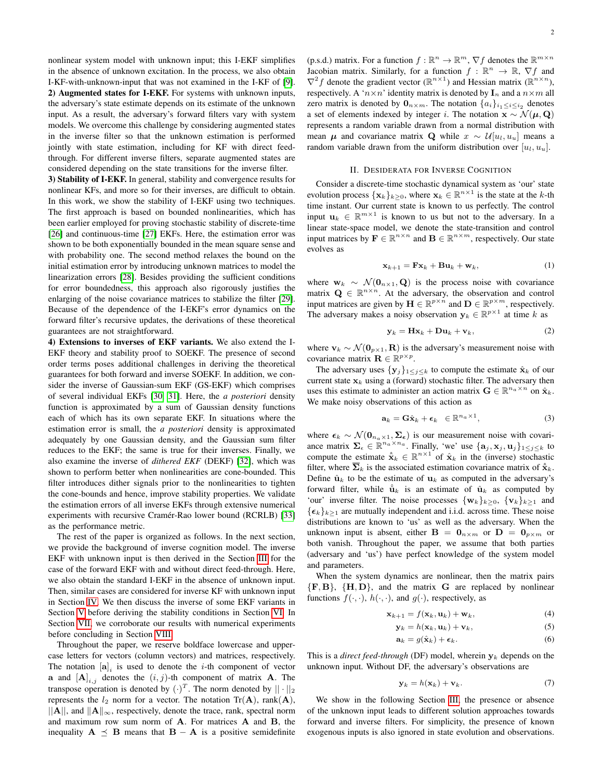nonlinear system model with unknown input; this I-EKF simplifies in the absence of unknown excitation. In the process, we also obtain I-KF-with-unknown-input that was not examined in the I-KF of [\[9\]](#page-16-8). 2) Augmented states for I-EKF. For systems with unknown inputs, the adversary's state estimate depends on its estimate of the unknown input. As a result, the adversary's forward filters vary with system models. We overcome this challenge by considering augmented states in the inverse filter so that the unknown estimation is performed jointly with state estimation, including for KF with direct feedthrough. For different inverse filters, separate augmented states are considered depending on the state transitions for the inverse filter.

3) Stability of I-EKF. In general, stability and convergence results for nonlinear KFs, and more so for their inverses, are difficult to obtain. In this work, we show the stability of I-EKF using two techniques. The first approach is based on bounded nonlinearities, which has been earlier employed for proving stochastic stability of discrete-time [\[26\]](#page-16-25) and continuous-time [\[27\]](#page-16-26) EKFs. Here, the estimation error was shown to be both exponentially bounded in the mean square sense and with probability one. The second method relaxes the bound on the initial estimation error by introducing unknown matrices to model the linearization errors [\[28\]](#page-16-27). Besides providing the sufficient conditions for error boundedness, this approach also rigorously justifies the enlarging of the noise covariance matrices to stabilize the filter [\[29\]](#page-16-28). Because of the dependence of the I-EKF's error dynamics on the forward filter's recursive updates, the derivations of these theoretical guarantees are not straightforward.

4) Extensions to inverses of EKF variants. We also extend the I-EKF theory and stability proof to SOEKF. The presence of second order terms poses additional challenges in deriving the theoretical guarantees for both forward and inverse SOEKF. In addition, we consider the inverse of Gaussian-sum EKF (GS-EKF) which comprises of several individual EKFs [\[30,](#page-16-29) [31\]](#page-16-30). Here, the *a posteriori* density function is approximated by a sum of Gaussian density functions each of which has its own separate EKF. In situations where the estimation error is small, the *a posteriori* density is approximated adequately by one Gaussian density, and the Gaussian sum filter reduces to the EKF; the same is true for their inverses. Finally, we also examine the inverse of *dithered EKF* (DEKF) [\[32\]](#page-16-31), which was shown to perform better when nonlinearities are cone-bounded. This filter introduces dither signals prior to the nonlinearities to tighten the cone-bounds and hence, improve stability properties. We validate the estimation errors of all inverse EKFs through extensive numerical experiments with recursive Cramer-Rao lower bound (RCRLB) [\[33\]](#page-16-32) ´ as the performance metric.

The rest of the paper is organized as follows. In the next section, we provide the background of inverse cognition model. The inverse EKF with unknown input is then derived in the Section [III](#page-2-0) for the case of the forward EKF with and without direct feed-through. Here, we also obtain the standard I-EKF in the absence of unknown input. Then, similar cases are considered for inverse KF with unknown input in Section [IV.](#page-3-0) We then discuss the inverse of some EKF variants in Section [V](#page-4-0) before deriving the stability conditions in Section [VI.](#page-6-0) In Section [VII,](#page-9-0) we corroborate our results with numerical experiments before concluding in Section [VIII.](#page-12-0)

Throughout the paper, we reserve boldface lowercase and uppercase letters for vectors (column vectors) and matrices, respectively. The notation  $[\mathbf{a}]_i$  is used to denote the *i*-th component of vector **a** and  $[\mathbf{A}]_{i,j}$  denotes the  $(i, j)$ -th component of matrix **A**. The transpose operation is denoted by  $(\cdot)^T$ . The norm denoted by  $||\cdot||_2$ represents the  $l_2$  norm for a vector. The notation Tr(A), rank(A),  $||A||$ , and  $||A||_{\infty}$ , respectively, denote the trace, rank, spectral norm and maximum row sum norm of A. For matrices A and B, the inequality  $A \preceq B$  means that  $B - A$  is a positive semidefinite

(p.s.d.) matrix. For a function  $f : \mathbb{R}^n \to \mathbb{R}^m$ ,  $\nabla f$  denotes the  $\mathbb{R}^{m \times n}$ Jacobian matrix. Similarly, for a function  $f : \mathbb{R}^n \to \mathbb{R}, \nabla f$  and  $\nabla^2 f$  denote the gradient vector  $(\mathbb{R}^{n \times 1})$  and Hessian matrix  $(\mathbb{R}^{n \times n})$ , respectively. A ' $n \times n$ ' identity matrix is denoted by  $I_n$  and a  $n \times m$  all zero matrix is denoted by  $\mathbf{0}_{n \times m}$ . The notation  $\{a_i\}_{i_1 \leq i \leq i_2}$  denotes a set of elements indexed by integer i. The notation  $\mathbf{x} \sim \mathcal{N}(\boldsymbol{\mu}, \mathbf{Q})$ represents a random variable drawn from a normal distribution with mean  $\mu$  and covariance matrix Q while  $x \sim \mathcal{U}[u_l, u_u]$  means a random variable drawn from the uniform distribution over  $[u_l, u_u]$ .

#### II. DESIDERATA FOR INVERSE COGNITION

Consider a discrete-time stochastic dynamical system as 'our' state evolution process  $\{x_k\}_{k\geq 0}$ , where  $x_k \in \mathbb{R}^{n \times 1}$  is the state at the k-th time instant. Our current state is known to us perfectly. The control input  $u_k \in \mathbb{R}^{m \times 1}$  is known to us but not to the adversary. In a linear state-space model, we denote the state-transition and control input matrices by  $\mathbf{F} \in \mathbb{R}^{n \times n}$  and  $\mathbf{B} \in \mathbb{R}^{n \times m}$ , respectively. Our state evolves as

<span id="page-1-4"></span>
$$
\mathbf{x}_{k+1} = \mathbf{F}\mathbf{x}_k + \mathbf{B}\mathbf{u}_k + \mathbf{w}_k, \tag{1}
$$

where  $w_k \sim \mathcal{N}(\mathbf{0}_{n\times1}, \mathbf{Q})$  is the process noise with covariance matrix  $\mathbf{Q} \in \mathbb{R}^{n \times n}$ . At the adversary, the observation and control input matrices are given by  $\mathbf{H} \in \mathbb{R}^{p \times n}$  and  $\mathbf{D} \in \mathbb{R}^{p \times m}$ , respectively. The adversary makes a noisy observation  $y_k \in \mathbb{R}^{p \times 1}$  at time k as

<span id="page-1-5"></span>
$$
\mathbf{y}_k = \mathbf{H}\mathbf{x}_k + \mathbf{D}\mathbf{u}_k + \mathbf{v}_k, \tag{2}
$$

where  $v_k \sim \mathcal{N}(\mathbf{0}_{p\times 1}, \mathbf{R})$  is the adversary's measurement noise with covariance matrix  $\mathbf{R} \in \mathbb{R}^{p \times p}$ .

The adversary uses  $\{y_j\}_{1 \leq j \leq k}$  to compute the estimate  $\hat{x}_k$  of our current state  $x_k$  using a (forward) stochastic filter. The adversary then uses this estimate to administer an action matrix  $\mathbf{G} \in \mathbb{R}^{n_a \times n}$  on  $\hat{\mathbf{x}}_k$ . We make noisy observations of this action as

<span id="page-1-6"></span>
$$
\mathbf{a}_k = \mathbf{G}\hat{\mathbf{x}}_k + \boldsymbol{\epsilon}_k \in \mathbb{R}^{n_a \times 1},\tag{3}
$$

where  $\epsilon_k \sim \mathcal{N}(\mathbf{0}_{n_a \times 1}, \Sigma_{\epsilon})$  is our measurement noise with covariance matrix  $\Sigma_{\epsilon} \in \mathbb{R}^{n_a \times n_a}$ . Finally, 'we' use  $\{a_j, x_j, u_j\}_{1 \leq j \leq k}$  to compute the estimate  $\hat{\mathbf{x}}_k \in \mathbb{R}^{n \times 1}$  of  $\hat{\mathbf{x}}_k$  in the (inverse) stochastic filter, where  $\overline{\Sigma}_k$  is the associated estimation covariance matrix of  $\hat{\hat{\mathbf{x}}}_k$ . Define  $\hat{\mathbf{u}}_k$  to be the estimate of  $\mathbf{u}_k$  as computed in the adversary's forward filter, while  $\hat{u}_k$  is an estimate of  $\hat{u}_k$  as computed by 'our' inverse filter. The noise processes  $\{w_k\}_{k\geq 0}$ ,  $\{v_k\}_{k\geq 1}$  and  $\{\epsilon_k\}_{k\geq 1}$  are mutually independent and i.i.d. across time. These noise distributions are known to 'us' as well as the adversary. When the unknown input is absent, either  $\mathbf{B} = \mathbf{0}_{n \times m}$  or  $\mathbf{D} = \mathbf{0}_{n \times m}$  or both vanish. Throughout the paper, we assume that both parties (adversary and 'us') have perfect knowledge of the system model and parameters.

When the system dynamics are nonlinear, then the matrix pairs  ${F, B}$ ,  ${H, D}$ , and the matrix G are replaced by nonlinear functions  $f(\cdot, \cdot)$ ,  $h(\cdot, \cdot)$ , and  $g(\cdot)$ , respectively, as

$$
\mathbf{x}_{k+1} = f(\mathbf{x}_k, \mathbf{u}_k) + \mathbf{w}_k,\tag{4}
$$

$$
\mathbf{y}_k = h(\mathbf{x}_k, \mathbf{u}_k) + \mathbf{v}_k,\tag{5}
$$

<span id="page-1-3"></span><span id="page-1-2"></span><span id="page-1-0"></span>
$$
\mathbf{a}_k = g(\hat{\mathbf{x}}_k) + \boldsymbol{\epsilon}_k. \tag{6}
$$

This is a *direct feed-through* (DF) model, wherein  $y_k$  depends on the unknown input. Without DF, the adversary's observations are

<span id="page-1-1"></span>
$$
\mathbf{y}_k = h(\mathbf{x}_k) + \mathbf{v}_k. \tag{7}
$$

We show in the following Section [III,](#page-2-0) the presence or absence of the unknown input leads to different solution approaches towards forward and inverse filters. For simplicity, the presence of known exogenous inputs is also ignored in state evolution and observations.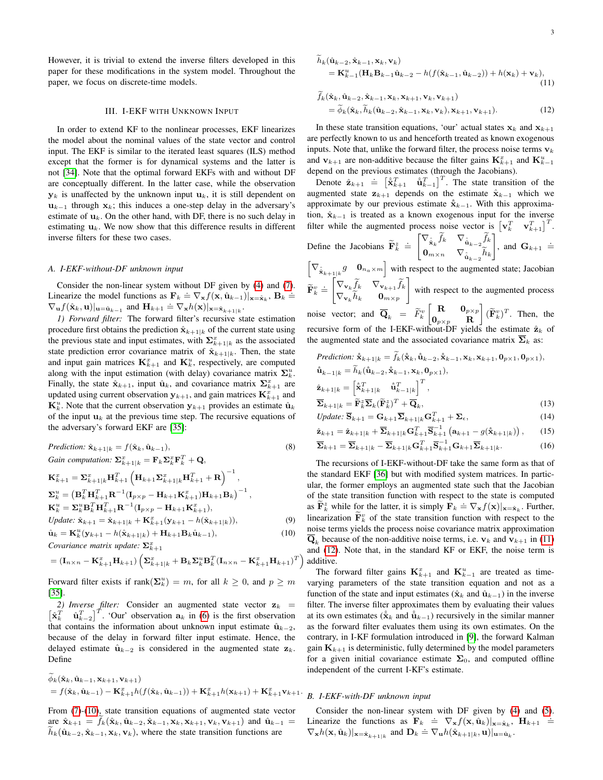However, it is trivial to extend the inverse filters developed in this paper for these modifications in the system model. Throughout the paper, we focus on discrete-time models.

#### III. I-EKF WITH UNKNOWN INPUT

<span id="page-2-0"></span>In order to extend KF to the nonlinear processes, EKF linearizes the model about the nominal values of the state vector and control input. The EKF is similar to the iterated least squares (ILS) method except that the former is for dynamical systems and the latter is not [\[34\]](#page-16-33). Note that the optimal forward EKFs with and without DF are conceptually different. In the latter case, while the observation  $y_k$  is unaffected by the unknown input  $u_k$ , it is still dependent on  $u_{k-1}$  through  $x_k$ ; this induces a one-step delay in the adversary's estimate of  $\mathbf{u}_k$ . On the other hand, with DF, there is no such delay in estimating  $\mathbf{u}_k$ . We now show that this difference results in different inverse filters for these two cases.

#### <span id="page-2-4"></span>*A. I-EKF-without-DF unknown input*

Consider the non-linear system without DF given by [\(4\)](#page-1-0) and [\(7\)](#page-1-1). Linearize the model functions as  $\mathbf{F}_k \doteq \nabla_{\mathbf{x}} f(\mathbf{x}, \hat{\mathbf{u}}_{k-1})|_{\mathbf{x}=\hat{\mathbf{x}}_k}, \mathbf{B}_k \doteq$ Einearize the model randoms as  $\mathbf{I}_k = \mathbf{v}_{k,j}(\mathbf{x}, \mathbf{a}_{k-1})$ <br>  $\nabla_{\mathbf{u}} f(\hat{\mathbf{x}}_k, \mathbf{u})|_{\mathbf{u} = \hat{\mathbf{u}}_{k-1}}$  and  $\mathbf{H}_{k+1} \doteq \nabla_{\mathbf{x}} h(\mathbf{x})|_{\mathbf{x} = \hat{\mathbf{x}}_{k+1|k}}$ .

*1) Forward filter:* The forward filter's recursive state estimation procedure first obtains the prediction  $\hat{\mathbf{x}}_{k+1|k}$  of the current state using the previous state and input estimates, with  $\sum_{k=1}^{x}$  as the associated state prediction error covariance matrix of  $\hat{\mathbf{x}}_{k+1|k}$ . Then, the state and input gain matrices  $\mathbf{K}_{k+1}^x$  and  $\mathbf{K}_{k}^u$ , respectively, are computed along with the input estimation (with delay) covariance matrix  $\Sigma_k^u$ . Finally, the state  $\hat{\mathbf{x}}_{k+1}$ , input  $\hat{\mathbf{u}}_k$ , and covariance matrix  $\sum_{k=1}^{\infty}$  are updated using current observation  $y_{k+1}$ , and gain matrices  $\mathbf{K}_{k+1}^x$  and  $\mathbf{K}_{k}^{u}$ . Note that the current observation  $\mathbf{y}_{k+1}$  provides an estimate  $\hat{\mathbf{u}}_{k}$ of the input  $u_k$  at the previous time step. The recursive equations of the adversary's forward EKF are [\[35\]](#page-16-34):

$$
Prediction: \hat{\mathbf{x}}_{k+1|k} = f(\hat{\mathbf{x}}_k, \hat{\mathbf{u}}_{k-1}),
$$
\n(8)  
\nGain computation:  $\sum_{k=1|k}^{x} = \mathbf{F}_k \sum_{k=1}^{x} \mathbf{F}_k^T + \mathbf{Q},$   
\n $\mathbf{K}_{k+1}^x = \sum_{k=1|k}^{x} \mathbf{H}_{k+1}^T \left( \mathbf{H}_{k+1} \sum_{k=1|k}^{x} \mathbf{H}_{k+1}^T + \mathbf{R} \right)^{-1},$   
\n $\sum_{k}^{u} = \left( \mathbf{B}_k^T \mathbf{H}_{k+1}^T \mathbf{R}^{-1} (\mathbf{I}_{p \times p} - \mathbf{H}_{k+1} \mathbf{K}_{k+1}^x) \mathbf{H}_{k+1} \mathbf{B}_k \right)^{-1},$   
\n $\mathbf{K}_{k}^{u} = \sum_{k}^{u} \mathbf{B}_k^T \mathbf{H}_{k+1}^T \mathbf{R}^{-1} (\mathbf{I}_{p \times p} - \mathbf{H}_{k+1} \mathbf{K}_{k+1}^x),$   
\n $Update: \hat{\mathbf{x}}_{k+1} = \hat{\mathbf{x}}_{k+1|k} + \mathbf{K}_{k+1}^x (\mathbf{y}_{k+1} - h(\hat{\mathbf{x}}_{k+1|k})),$ \n(9)  
\n $\hat{\mathbf{u}}_k = \mathbf{K}_k^u (\mathbf{y}_{k+1} - h(\hat{\mathbf{x}}_{k+1|k}) + \mathbf{H}_{k+1} \mathbf{B}_k \hat{\mathbf{u}}_{k-1}),$ \n(10)

*Covariance matrix update:*  $\Sigma_{k+1}^x$ 

$$
= (\mathbf{I}_{n \times n} - \mathbf{K}_{k+1}^x \mathbf{H}_{k+1}) \left( \mathbf{\Sigma}_{k+1|k}^x + \mathbf{B}_k \mathbf{\Sigma}_k^u \mathbf{B}_k^T (\mathbf{I}_{n \times n} - \mathbf{K}_{k+1}^x \mathbf{H}_{k+1})^T \right)
$$

Forward filter exists if rank $(\Sigma_k^u) = m$ , for all  $k \geq 0$ , and  $p \geq m$ [\[35\]](#page-16-34).

2) Inverse filter: Consider an augmented state vector  $z_k$  =  $\begin{bmatrix} \hat{\mathbf{x}}_k^T & \hat{\mathbf{u}}_{k-2}^T \end{bmatrix}^T$ . 'Our' observation  $\mathbf{a}_k$  in [\(6\)](#page-1-2) is the first observation that contains the information about unknown input estimate  $\hat{u}_{k-2}$ , because of the delay in forward filter input estimate. Hence, the delayed estimate  $\hat{\mathbf{u}}_{k-2}$  is considered in the augmented state  $\mathbf{z}_k$ . Define

$$
\phi_k(\hat{\mathbf{x}}_k, \hat{\mathbf{u}}_{k-1}, \mathbf{x}_{k+1}, \mathbf{v}_{k+1})
$$
  
=  $f(\hat{\mathbf{x}}_k, \hat{\mathbf{u}}_{k-1}) - \mathbf{K}_{k+1}^x h(f(\hat{\mathbf{x}}_k, \hat{\mathbf{u}}_{k-1})) + \mathbf{K}_{k+1}^x h(\mathbf{x}_{k+1}) + \mathbf{K}_{k+1}^x \mathbf{v}_{k+1}.$ 

From [\(7\)](#page-1-1)-[\(10\)](#page-2-1), state transition equations of augmented state vector are  $\hat{\mathbf{x}}_{k+1} = f_k(\hat{\mathbf{x}}_k, \hat{\mathbf{u}}_{k-2}, \hat{\mathbf{x}}_{k-1}, \mathbf{x}_k, \mathbf{x}_{k+1}, \mathbf{v}_k, \mathbf{v}_{k+1})$  and  $\hat{\mathbf{u}}_{k-1} =$  $h_k(\hat{\mathbf{u}}_{k-2}, \hat{\mathbf{x}}_{k-1}, \mathbf{x}_k, \mathbf{v}_k)$ , where the state transition functions are

<span id="page-2-2"></span>
$$
h_k(\hat{\mathbf{u}}_{k-2}, \hat{\mathbf{x}}_{k-1}, \mathbf{x}_k, \mathbf{v}_k)
$$
  
=  $\mathbf{K}_{k-1}^u(\mathbf{H}_k \mathbf{B}_{k-1} \hat{\mathbf{u}}_{k-2} - h(f(\hat{\mathbf{x}}_{k-1}, \hat{\mathbf{u}}_{k-2})) + h(\mathbf{x}_k) + \mathbf{v}_k),$  (11)

<span id="page-2-3"></span>
$$
\tilde{f}_k(\hat{\mathbf{x}}_k, \hat{\mathbf{u}}_{k-2}, \hat{\mathbf{x}}_{k-1}, \mathbf{x}_k, \mathbf{x}_{k+1}, \mathbf{v}_k, \mathbf{v}_{k+1})
$$
\n
$$
= \tilde{\phi}_k(\hat{\mathbf{x}}_k, \tilde{h}_k(\hat{\mathbf{u}}_{k-2}, \hat{\mathbf{x}}_{k-1}, \mathbf{x}_k, \mathbf{v}_k), \mathbf{x}_{k+1}, \mathbf{v}_{k+1}).
$$
\n(12)

In these state transition equations, 'our' actual states  $x_k$  and  $x_{k+1}$ are perfectly known to us and henceforth treated as known exogenous inputs. Note that, unlike the forward filter, the process noise terms  $v_k$ and  $v_{k+1}$  are non-additive because the filter gains  $\mathbf{K}_{k+1}^x$  and  $\mathbf{K}_{k-1}^u$ depend on the previous estimates (through the Jacobians).

Denote  $\hat{\mathbf{z}}_{k+1} \stackrel{\text{def}}{=} [\hat{\mathbf{x}}_{k+1}^T \quad \hat{\mathbf{u}}_{k-1}^T]^T$ . The state transition of the augmented state  $z_{k+1}$  depends on the estimate  $\hat{x}_{k-1}$  which we approximate by our previous estimate  $\hat{x}_{k-1}$ . With this approximation,  $\hat{\mathbf{x}}_{k-1}$  is treated as a known exogenous input for the inverse filter while the augmented process noise vector is  $\begin{bmatrix} \mathbf{v}_k^T & \mathbf{v}_{k+1}^T \end{bmatrix}^T$ .  $\left[ \nabla_{\hat{\mathbf{x}}_k} f_k \quad \nabla_{\hat{\mathbf{u}}_{k-2}} f_k \right]$  $\stackrel{.}{=}$ 

Define the Jacobians 
$$
\widetilde{\mathbf{F}}_k^z \doteq \begin{bmatrix} \nabla_{\hat{\mathbf{x}}_k} J_k & \nabla_{\hat{\mathbf{u}}_{k-2}} J_k \\ \n0_{m \times n} & \nabla_{\hat{\mathbf{u}}_{k-2}} \widetilde{h}_k \n\end{bmatrix}
$$
, and  $\mathbf{G}_{k+1} \doteq \begin{bmatrix} \n\boldsymbol{\nabla} & \n\boldsymbol{\nabla} & \n\boldsymbol{\nabla} & \n\boldsymbol{\nabla} & \n\boldsymbol{\nabla} & \n\boldsymbol{\nabla} & \n\boldsymbol{\nabla} & \n\boldsymbol{\nabla} & \n\boldsymbol{\nabla} & \n\boldsymbol{\nabla} & \n\boldsymbol{\nabla} & \n\boldsymbol{\nabla} & \n\boldsymbol{\nabla} & \n\boldsymbol{\nabla} & \n\boldsymbol{\nabla} & \n\boldsymbol{\nabla} & \n\boldsymbol{\nabla} & \n\boldsymbol{\nabla} & \n\boldsymbol{\nabla} & \n\end{bmatrix}$ , and  $\mathbf{G}_{k+1} \doteq \begin{bmatrix} \n\boldsymbol{\nabla} & \n\boldsymbol{\nabla} & \n\boldsymbol{\nabla} & \n\boldsymbol{\nabla} & \n\boldsymbol{\nabla} & \n\boldsymbol{\nabla} & \n\boldsymbol{\nabla} & \n\boldsymbol{\nabla} & \n\boldsymbol{\nabla} & \n\boldsymbol{\nabla} & \n\boldsymbol{\nabla} & \n\boldsymbol{\nabla} & \n\boldsymbol{\nabla} & \n\boldsymbol{\nabla} & \n\boldsymbol{\nabla} & \n\boldsymbol{\nabla} & \n\boldsymbol{\nabla} & \n\boldsymbol{\nabla} & \n\boldsymbol{\nabla} & \n\boldsymbol{\nabla} & \n\boldsymbol{\nabla} & \n\boldsymbol{\nabla} & \n\boldsymbol{\nabla} & \n\boldsymbol{\nabla} & \n\boldsymbol{\nabla} & \n\boldsymbol{\nabla} & \n\boldsymbol{\nabla} & \n\boldsymbol{\nabla} & \n\boldsymbol{\nabla} & \n\boldsymbol{\nabla} & \n\boldsymbol{\nabla} & \n\boldsymbol{\nabla} & \n\boldsymbol{\nabla} & \n\boldsymbol{\nabla} & \n\boldsymbol{\nabla} &$ 

 $\begin{bmatrix} \nabla_{\hat{\mathbf{x}}_{k+1|k}} g & \mathbf{0}_{n_a \times m} \n\end{bmatrix}$  with respect to the augmented state; Jacobian  $\widetilde{\mathbf{F}}_k^v \doteq \begin{bmatrix} \nabla_{\mathbf{v}_k}\widetilde{f}_k & \nabla_{\mathbf{v}_{k+1}}\widetilde{f}_k \ \nabla_{\mathbf{v}_k}\widetilde{h}_k & \mathbf{0}_{\mathbf{w}\vee\mathbf{w}} \end{bmatrix}$  $\nabla_{\mathbf{v}_k} h_k$   $\mathbf{0}_{m \times p}$ 1 with respect to the augmented process noise vector; and  $\overline{\mathbf{Q}}_k = \widetilde{F}_k^v \begin{bmatrix} \mathbf{R} & \mathbf{0}_{p \times p} \\ \mathbf{0}_{n \times n} & \mathbf{R} \end{bmatrix}$  $\mathbf{0}_{p\times p}$  R  $\left( \widetilde{\mathbf{F}}_k^v \right)^T$ . Then, the recursive form of the I-EKF-without-DF yields the estimate  $\hat{z}_k$  of the augmented state and the associated covariance matrix  $\overline{\Sigma}_k$  as:

$$
\begin{aligned}\n\text{ Prediction: } &\hat{\mathbf{x}}_{k+1|k} = \widetilde{f}_k(\hat{\mathbf{x}}_k, \hat{\mathbf{u}}_{k-2}, \hat{\mathbf{x}}_{k-1}, \mathbf{x}_k, \mathbf{x}_{k+1}, \mathbf{0}_{p \times 1}, \mathbf{0}_{p \times 1}), \\
&\hat{\mathbf{u}}_{k-1|k} = \widetilde{h}_k(\hat{\mathbf{u}}_{k-2}, \hat{\mathbf{x}}_{k-1}, \mathbf{x}_k, \mathbf{0}_{p \times 1}), \\
&\hat{\mathbf{z}}_{k+1|k} = \begin{bmatrix} \hat{\mathbf{x}}_k^T \\ \hat{\mathbf{x}}_{k+1|k}^T \end{bmatrix}^T, \\
&\overline{\mathbf{\Sigma}}_{k+1|k} = \widetilde{\mathbf{F}}_k^z \overline{\mathbf{\Sigma}}_k (\widetilde{\mathbf{F}}_k^z)^T + \overline{\mathbf{Q}}_k,\n\end{aligned} \tag{13}
$$

$$
Update: \overline{\mathbf{S}}_{k+1} = \mathbf{G}_{k+1} \overline{\mathbf{\Sigma}}_{k+1|k} \mathbf{G}_{k+1}^T + \mathbf{\Sigma}_{\epsilon},
$$
\n(14)

<span id="page-2-7"></span><span id="page-2-5"></span>
$$
\hat{\mathbf{z}}_{k+1} = \hat{\mathbf{z}}_{k+1|k} + \overline{\mathbf{\Sigma}}_{k+1|k} \mathbf{G}_{k+1}^T \overline{\mathbf{S}}_{k+1}^{-1} \left( \mathbf{a}_{k+1} - g(\hat{\mathbf{x}}_{k+1|k}) \right), \qquad (15)
$$

<span id="page-2-6"></span>
$$
\overline{\boldsymbol{\Sigma}}_{k+1} = \overline{\boldsymbol{\Sigma}}_{k+1|k} - \overline{\boldsymbol{\Sigma}}_{k+1|k} \mathbf{G}_{k+1}^T \overline{\mathbf{S}}_{k+1}^{-1} \mathbf{G}_{k+1} \overline{\boldsymbol{\Sigma}}_{k+1|k}.
$$
 (16)

. additive. The recursions of I-EKF-without-DF take the same form as that of the standard EKF [\[36\]](#page-16-35) but with modified system matrices. In particular, the former employs an augmented state such that the Jacobian of the state transition function with respect to the state is computed as  $\widetilde{\mathbf{F}}_k^z$  while for the latter, it is simply  $\mathbf{F}_k = \nabla_{\mathbf{x}} f(\mathbf{x})|_{\mathbf{x}=\hat{\mathbf{x}}_k}$ . Further, linearization  $\widetilde{\mathbf{F}}_k^v$  of the state transition function with respect to the noise terms yields the process noise covariance matrix approximation  $\mathbf{Q}_k$  because of the non-additive noise terms, i.e.  $\mathbf{v}_k$  and  $\mathbf{v}_{k+1}$  in [\(11\)](#page-2-2) and [\(12\)](#page-2-3). Note that, in the standard KF or EKF, the noise term is

<span id="page-2-1"></span>The forward filter gains  $\mathbf{K}_{k+1}^x$  and  $\mathbf{K}_{k-1}^u$  are treated as timevarying parameters of the state transition equation and not as a function of the state and input estimates ( $\hat{\mathbf{x}}_k$  and  $\hat{\mathbf{u}}_{k-1}$ ) in the inverse filter. The inverse filter approximates them by evaluating their values at its own estimates ( $\hat{\mathbf{x}}_k$  and  $\hat{\mathbf{u}}_{k-1}$ ) recursively in the similar manner as the forward filter evaluates them using its own estimates. On the contrary, in I-KF formulation introduced in [\[9\]](#page-16-8), the forward Kalman gain  $\mathbf{K}_{k+1}$  is deterministic, fully determined by the model parameters for a given initial covariance estimate  $\Sigma_0$ , and computed offline independent of the current I-KF's estimate.

#### *B. I-EKF-with-DF unknown input*

Consider the non-linear system with DF given by [\(4\)](#page-1-0) and [\(5\)](#page-1-3). Linearize the functions as  $\mathbf{F}_k \doteq \nabla_{\mathbf{x}} f(\mathbf{x}, \hat{\mathbf{u}}_k)|_{\mathbf{x}=\hat{\mathbf{x}}_k}, \mathbf{H}_{k+1} \doteq$ Einearille the functions as  $\mathbf{r}_k^*$   $\mathbf{v}_{\mathbf{x}}^*(x; \alpha_k^*)|_{\mathbf{x}=\mathbf{x}_k}$ ,<br>  $\nabla_{\mathbf{x}} h(\mathbf{x}, \hat{\mathbf{u}}_k)|_{\mathbf{x}=\hat{\mathbf{x}}_{k+1|k}}$  and  $\mathbf{D}_k = \nabla_{\mathbf{u}} h(\hat{\mathbf{x}}_{k+1|k}, \mathbf{u})|_{\mathbf{u}=\hat{\mathbf{u}}_k}$ .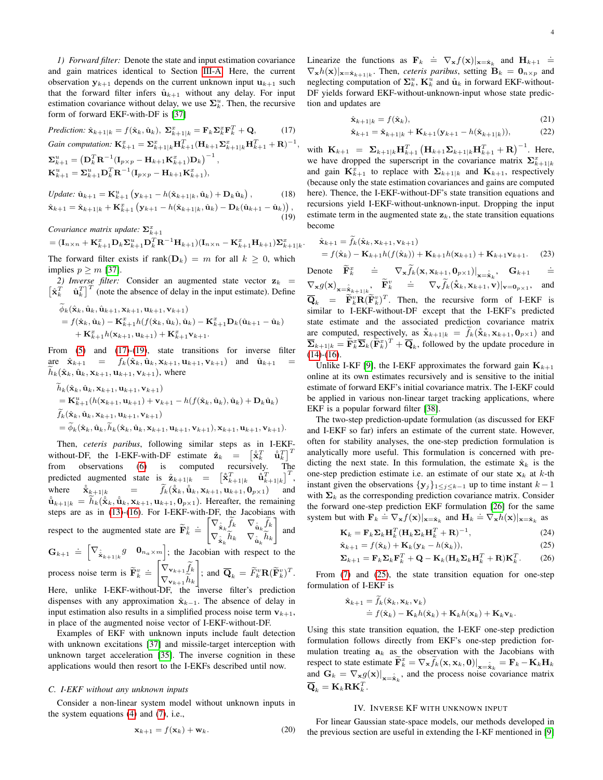*1) Forward filter:* Denote the state and input estimation covariance and gain matrices identical to Section [III-A.](#page-2-4) Here, the current observation  $y_{k+1}$  depends on the current unknown input  $u_{k+1}$  such that the forward filter infers  $\hat{\mathbf{u}}_{k+1}$  without any delay. For input estimation covariance without delay, we use  $\Sigma_k^u$ . Then, the recursive form of forward EKF-with-DF is [\[37\]](#page-16-36)

*Prediction:* 
$$
\hat{\mathbf{x}}_{k+1|k} = f(\hat{\mathbf{x}}_k, \hat{\mathbf{u}}_k), \ \Sigma_{k+1|k}^x = \mathbf{F}_k \Sigma_k^x \mathbf{F}_k^T + \mathbf{Q},
$$
 (17)  
Gain computation:  $\mathbf{K}_{k+1}^x = \Sigma_{k+1|k}^x \mathbf{H}_{k+1}^T (\mathbf{H}_{k+1} \Sigma_{k+1|k}^x \mathbf{H}_{k+1}^T + \mathbf{R})^{-1}$   
 $\Sigma_{k+1}^u = (\mathbf{D}_k^T \mathbf{R}^{-1} (\mathbf{I}_{p \times p} - \mathbf{H}_{k+1} \mathbf{K}_{k+1}^x) \mathbf{D}_k)^{-1},$ 

<span id="page-3-1"></span>,

<span id="page-3-2"></span>.

$$
\mathbf{K}_{k+1}^u = \mathbf{\Sigma}_{k+1}^u \mathbf{D}_k^T \mathbf{R}^{-1} (\mathbf{I}_{p \times p} - \mathbf{H}_{k+1} \mathbf{K}_{k+1}^x),
$$

$$
Update: \hat{\mathbf{u}}_{k+1} = \mathbf{K}_{k+1}^{u} \left( \mathbf{y}_{k+1} - h(\hat{\mathbf{x}}_{k+1|k}, \hat{\mathbf{u}}_{k}) + \mathbf{D}_{k} \hat{\mathbf{u}}_{k} \right), \qquad (18)
$$

$$
\hat{\mathbf{x}}_{k+1} = \hat{\mathbf{x}}_{k+1|k} + \mathbf{K}_{k+1}^{x} \left( \mathbf{y}_{k+1} - h(\hat{\mathbf{x}}_{k+1|k}, \hat{\mathbf{u}}_{k}) - \mathbf{D}_{k}(\hat{\mathbf{u}}_{k+1} - \hat{\mathbf{u}}_{k}) \right), \qquad (19)
$$

*Covariance matrix update:*  $\Sigma_{k+1}^x$ 

$$
= (\mathbf{I}_{n \times n} + \mathbf{K}_{k+1}^T \mathbf{D}_k \mathbf{\Sigma}_{k+1}^u \mathbf{D}_k^T \mathbf{R}^{-1} \mathbf{H}_{k+1}) (\mathbf{I}_{n \times n} - \mathbf{K}_{k+1}^x \mathbf{H}_{k+1}) \mathbf{\Sigma}_{k+1|k}^x
$$

The forward filter exists if rank $(D_k) = m$  for all  $k \geq 0$ , which implies  $p \geq m$  [\[37\]](#page-16-36).

2) Inverse filter: Consider an augmented state vector  $z_k$  =  $\begin{bmatrix} \hat{\mathbf{x}}_k^T & \hat{\mathbf{u}}_k^T \end{bmatrix}^T$  (note the absence of delay in the input estimate). Define

$$
\phi_k(\hat{\mathbf{x}}_k, \hat{\mathbf{u}}_k, \hat{\mathbf{u}}_{k+1}, \mathbf{x}_{k+1}, \mathbf{u}_{k+1}, \mathbf{v}_{k+1})
$$
\n
$$
= f(\hat{\mathbf{x}}_k, \hat{\mathbf{u}}_k) - \mathbf{K}_{k+1}^x h(f(\hat{\mathbf{x}}_k, \hat{\mathbf{u}}_k), \hat{\mathbf{u}}_k) - \mathbf{K}_{k+1}^x \mathbf{D}_k(\hat{\mathbf{u}}_{k+1} - \hat{\mathbf{u}}_k) + \mathbf{K}_{k+1}^x h(\mathbf{x}_{k+1}, \mathbf{u}_{k+1}) + \mathbf{K}_{k+1}^x \mathbf{v}_{k+1}.
$$

From [\(5\)](#page-1-3) and [\(17\)](#page-3-1)-[\(19\)](#page-3-2), state transitions for inverse filter are  $\hat{\mathbf{x}}_{k+1} = f_k(\hat{\mathbf{x}}_k, \hat{\mathbf{u}}_k, \mathbf{x}_{k+1}, \mathbf{u}_{k+1}, \mathbf{v}_{k+1})$  and  $\hat{\mathbf{u}}_{k+1}$  $h_k(\hat{\mathbf{x}}_k, \hat{\mathbf{u}}_k, \mathbf{x}_{k+1}, \mathbf{u}_{k+1}, \mathbf{v}_{k+1})$ , where

$$
h_k(\hat{\mathbf{x}}_k, \hat{\mathbf{u}}_k, \mathbf{x}_{k+1}, \mathbf{u}_{k+1}, \mathbf{v}_{k+1})
$$
  
=  $\mathbf{K}_{k+1}^u(h(\mathbf{x}_{k+1}, \mathbf{u}_{k+1}) + \mathbf{v}_{k+1} - h(f(\hat{\mathbf{x}}_k, \hat{\mathbf{u}}_k), \hat{\mathbf{u}}_k) + \mathbf{D}_k \hat{\mathbf{u}}_k)$   

$$
\tilde{f}_k(\hat{\mathbf{x}}_k, \hat{\mathbf{u}}_k, \mathbf{x}_{k+1}, \mathbf{u}_{k+1}, \mathbf{v}_{k+1})
$$
  
=  $\tilde{\phi}_k(\hat{\mathbf{x}}_k, \hat{\mathbf{u}}_k, \tilde{h}_k(\hat{\mathbf{x}}_k, \hat{\mathbf{u}}_k, \mathbf{x}_{k+1}, \mathbf{u}_{k+1}, \mathbf{v}_{k+1}), \mathbf{x}_{k+1}, \mathbf{u}_{k+1}, \mathbf{v}_{k+1}).$ 

Then, *ceteris paribus*, following similar steps as in I-EKFwithout-DF, the I-EKF-with-DF estimate  $\hat{\mathbf{z}}_k = [\hat{\hat{\mathbf{x}}}_k^T \quad \hat{\hat{\mathbf{u}}}$  $\left[\begin{smallmatrix} T \\ k \end{smallmatrix}\right]^T$ from observations [\(6\)](#page-1-2) is computed recursively. The predicted augmented state is  $\hat{\mathbf{z}}_{k+1|k}$  =  $\begin{bmatrix} \hat{\mathbf{x}}_{k+1|k}^T & \hat{\mathbf{u}}_{k+1|k}^T \end{bmatrix}^T$ , where  $\hat{\mathbf{x}}_{k+1|k} = \tilde{f}_k(\hat{\mathbf{x}}_k, \hat{\mathbf{u}}_k, \mathbf{x}_{k+1}, \mathbf{u}_{k+1}, \mathbf{0}_{p\times 1})$  and  $\hat{\mathbf{u}}_{k+1|k} = h_k(\hat{\mathbf{x}}_k, \hat{\mathbf{u}}_k, \mathbf{x}_{k+1}, \mathbf{u}_{k+1}, \mathbf{0}_{p\times 1})$ . Hereafter, the remaining steps are as in [\(13\)](#page-2-5)-[\(16\)](#page-2-6). For I-EKF-with-DF, the Jacobians with respect to the augmented state are  $\widetilde{\mathbf{F}}_k^z \doteq \begin{bmatrix} \nabla_{\hat{\mathbf{x}}_k} \widetilde{f}_k & \nabla_{\hat{\mathbf{u}}_k} \widetilde{f}_k \\ \nabla_{\hat{\mathbf{z}}} \widetilde{h}_k & \nabla_{\hat{\mathbf{z}}} \widetilde{h}_k \end{bmatrix}$  $\nabla_{\hat{\textbf{x}}_k} h_k \quad \nabla_{\hat{\textbf{u}}_k} h_k$ 1 and  $\mathbf{G}_{k+1} \doteq \begin{bmatrix} \nabla_{\hat{\mathbf{x}}_{k+1|k}} g & \mathbf{0}_{n_a \times m} \end{bmatrix}$ ; the Jacobian with respect to the

process noise term is  $\widetilde{\mathbf{F}}_k^v \doteq \begin{bmatrix} \nabla_{\mathbf{v}_{k+1}} \widetilde{f}_k \\ \nabla_{\mathbf{v}_{k+1}} \widetilde{h}_k \end{bmatrix}$  $\nabla_{\mathbf{v}_{k+1}} h_k$  $\left| \cdot \right|$  and  $\overline{\mathbf{Q}}_k = \widetilde{F}_k^v \mathbf{R} (\widetilde{\mathbf{F}}_k^v)^T$ . Here, unlike I-EKF-without-DF, the inverse filter's prediction dispenses with any approximation  $\hat{x}_{k-1}$ . The absence of delay in input estimation also results in a simplified process noise term  $v_{k+1}$ , in place of the augmented noise vector of I-EKF-without-DF.

Examples of EKF with unknown inputs include fault detection with unknown excitations [\[37\]](#page-16-36) and missile-target interception with unknown target acceleration [\[35\]](#page-16-34). The inverse cognition in these applications would then resort to the I-EKFs described until now.

#### <span id="page-3-5"></span>*C. I-EKF without any unknown inputs*

Consider a non-linear system model without unknown inputs in the system equations [\(4\)](#page-1-0) and [\(7\)](#page-1-1), i.e.,

$$
\mathbf{x}_{k+1} = f(\mathbf{x}_k) + \mathbf{w}_k. \tag{20}
$$

Linearize the functions as  $\mathbf{F}_k \doteq \nabla_{\mathbf{x}} f(\mathbf{x})|_{\mathbf{x}=\hat{\mathbf{x}}_k}$  and  $\mathbf{H}_{k+1} \doteq$  $\nabla_{\mathbf{x}} h(\mathbf{x})|_{\mathbf{x}=\hat{\mathbf{x}}_{k+1|k}}$ . Then, *ceteris paribus*, setting  $\mathbf{B}_k = \mathbf{0}_{n \times p}$  and neglecting computation of  $\Sigma_k^u$ ,  $\mathbf{K}_k^u$  and  $\hat{\mathbf{u}}_k$  in forward EKF-without-DF yields forward EKF-without-unknown-input whose state prediction and updates are

<span id="page-3-6"></span>
$$
\hat{\mathbf{x}}_{k+1|k} = f(\hat{\mathbf{x}}_k),\tag{21}
$$

<span id="page-3-10"></span><span id="page-3-7"></span>
$$
\hat{\mathbf{x}}_{k+1} = \hat{\mathbf{x}}_{k+1|k} + \mathbf{K}_{k+1}(\mathbf{y}_{k+1} - h(\hat{\mathbf{x}}_{k+1|k})),
$$
(22)

with  $\mathbf{K}_{k+1} = \mathbf{\Sigma}_{k+1|k} \mathbf{H}_{k+1}^T (\mathbf{H}_{k+1} \mathbf{\Sigma}_{k+1|k} \mathbf{H}_{k+1}^T + \mathbf{R})^{-1}$ . Here, we have dropped the superscript in the covariance matrix  $\Sigma_{k+1|k}^x$ and gain  $\mathbf{K}_{k+1}^x$  to replace with  $\mathbf{\Sigma}_{k+1|k}$  and  $\mathbf{K}_{k+1}$ , respectively (because only the state estimation covariances and gains are computed here). Thence, the I-EKF-without-DF's state transition equations and recursions yield I-EKF-without-unknown-input. Dropping the input estimate term in the augmented state  $z_k$ , the state transition equations become

$$
\hat{\mathbf{x}}_{k+1} = f_k(\hat{\mathbf{x}}_k, \mathbf{x}_{k+1}, \mathbf{v}_{k+1})
$$
  
=  $f(\hat{\mathbf{x}}_k) - \mathbf{K}_{k+1} h(f(\hat{\mathbf{x}}_k)) + \mathbf{K}_{k+1} h(\mathbf{x}_{k+1}) + \mathbf{K}_{k+1} \mathbf{v}_{k+1}.$  (23)

Denote  $\widetilde{\mathbf{F}}_k^x$   $\doteq \nabla_{\mathbf{x}} \widetilde{f}_k(\mathbf{x}, \mathbf{x}_{k+1}, \mathbf{0}_{p \times 1})|_{\mathbf{x} = \hat{\mathbf{x}}_k}, \quad \mathbf{G}_{k+1}$ .=  $\nabla_{\mathbf{x}} g(\mathbf{x})_{\mathbf{x}=\hat{\mathbf{x}}_{k+1|k}}, \quad \widetilde{\mathbf{F}}_k^v \quad \doteq \quad \nabla_{\mathbf{v}} \widetilde{f}_k(\hat{\mathbf{x}}_k, \mathbf{x}_{k+1}, \mathbf{v})|_{\mathbf{v}=\mathbf{0}_{p\times 1}}$ , and  $\overline{\mathbf{Q}}_k = \widetilde{\mathbf{F}}_k^v \mathbf{R} (\widetilde{\mathbf{F}}_k^v)^T$ . Then, the recursive form of I-EKF is similar to I-EKF-without-DF except that the I-EKF's predicted state estimate and the associated prediction covariance matrix are computed, respectively, as  $\hat{\mathbf{x}}_{k+1|k} = f_k(\hat{\mathbf{x}}_k, \mathbf{x}_{k+1}, \mathbf{0}_{p \times 1})$  and  $\overline{\Sigma}_{k+1|k} = \widetilde{\mathbf{F}}_k^x \overline{\Sigma}_k (\widetilde{\mathbf{F}}_k^x)^T + \overline{\mathbf{Q}}_k$ , followed by the update procedure in  $(14)-(16)$  $(14)-(16)$  $(14)-(16)$ .

Unlike I-KF [\[9\]](#page-16-8), the I-EKF approximates the forward gain  $\mathbf{K}_{k+1}$ online at its own estimates recursively and is sensitive to the initial estimate of forward EKF's initial covariance matrix. The I-EKF could be applied in various non-linear target tracking applications, where EKF is a popular forward filter [\[38\]](#page-16-37).

The two-step prediction-update formulation (as discussed for EKF and I-EKF so far) infers an estimate of the current state. However, often for stability analyses, the one-step prediction formulation is analytically more useful. This formulation is concerned with predicting the next state. In this formulation, the estimate  $\hat{\mathbf{x}}_k$  is the one-step prediction estimate i.e. an estimate of our state  $x_k$  at k-th instant given the observations  $\{y_j\}_{1\leq j\leq k-1}$  up to time instant  $k-1$ with  $\Sigma_k$  as the corresponding prediction covariance matrix. Consider the forward one-step prediction EKF formulation [\[26\]](#page-16-25) for the same system but with  $\mathbf{F}_k \doteq \nabla_{\mathbf{x}} f(\mathbf{x})|_{\mathbf{x}=\hat{\mathbf{x}}_k}$  and  $\mathbf{H}_k \doteq \nabla_{\mathbf{x}} h(\mathbf{x})|_{\mathbf{x}=\hat{\mathbf{x}}_k}$  as

$$
\mathbf{K}_k = \mathbf{F}_k \mathbf{\Sigma}_k \mathbf{H}_k^T (\mathbf{H}_k \mathbf{\Sigma}_k \mathbf{H}_k^T + \mathbf{R})^{-1},
$$
\n(24)

<span id="page-3-8"></span><span id="page-3-3"></span>
$$
\hat{\mathbf{x}}_{k+1} = f(\hat{\mathbf{x}}_k) + \mathbf{K}_k (\mathbf{y}_k - h(\hat{\mathbf{x}}_k)),
$$
\n(25)

<span id="page-3-9"></span>
$$
\Sigma_{k+1} = \mathbf{F}_k \Sigma_k \mathbf{F}_k^T + \mathbf{Q} - \mathbf{K}_k (\mathbf{H}_k \Sigma_k \mathbf{H}_k^T + \mathbf{R}) \mathbf{K}_k^T.
$$
 (26)

From [\(7\)](#page-1-1) and [\(25\)](#page-3-3), the state transition equation for one-step formulation of I-EKF is

$$
\hat{\mathbf{x}}_{k+1} = f_k(\hat{\mathbf{x}}_k, \mathbf{x}_k, \mathbf{v}_k)
$$
  
\n
$$
\doteq f(\hat{\mathbf{x}}_k) - \mathbf{K}_k h(\hat{\mathbf{x}}_k) + \mathbf{K}_k h(\mathbf{x}_k) + \mathbf{K}_k \mathbf{v}_k.
$$

Using this state transition equation, the I-EKF one-step prediction formulation follows directly from EKF's one-step prediction formulation treating  $a_k$  as the observation with the Jacobians with respect to state estimate  $\widetilde{\mathbf{F}}_k^x = \nabla_{\mathbf{x}} \widetilde{f}_k(\mathbf{x}, \mathbf{x}_k, \mathbf{0}) \big|_{\mathbf{x} = \hat{\mathbf{x}}_k} = \mathbf{F}_k - \mathbf{K}_k \mathbf{H}_k$ and  $G_k = \nabla_{\mathbf{x}} g(\mathbf{x})|_{\mathbf{x} = \hat{\mathbf{x}}_k}$ , and the process noise covariance matrix  $\overline{\mathbf{Q}}_k = \mathbf{K}_k \mathbf{R} \mathbf{K}_k^T.$ 

#### IV. INVERSE KF WITH UNKNOWN INPUT

<span id="page-3-4"></span><span id="page-3-0"></span>For linear Gaussian state-space models, our methods developed in the previous section are useful in extending the I-KF mentioned in [\[9\]](#page-16-8)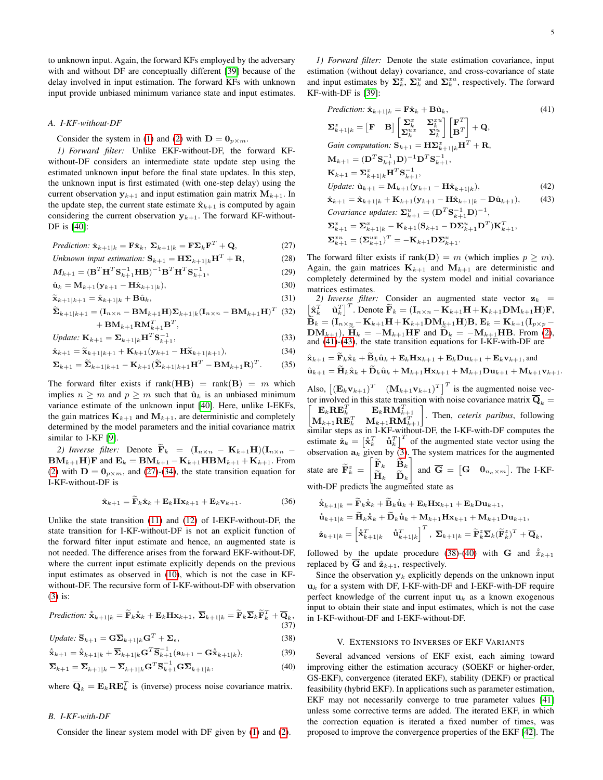to unknown input. Again, the forward KFs employed by the adversary with and without DF are conceptually different [\[39\]](#page-16-38) because of the delay involved in input estimation. The forward KFs with unknown input provide unbiased minimum variance state and input estimates.

#### <span id="page-4-7"></span>*A. I-KF-without-DF*

Consider the system in [\(1\)](#page-1-4) and [\(2\)](#page-1-5) with  $\mathbf{D} = \mathbf{0}_{p \times m}$ .

*1) Forward filter:* Unlike EKF-without-DF, the forward KFwithout-DF considers an intermediate state update step using the estimated unknown input before the final state updates. In this step, the unknown input is first estimated (with one-step delay) using the current observation  $y_{k+1}$  and input estimation gain matrix  $M_{k+1}$ . In the update step, the current state estimate  $\hat{\mathbf{x}}_{k+1}$  is computed by again considering the current observation  $y_{k+1}$ . The forward KF-without-DF is [\[40\]](#page-16-39):

$$
Prediction: \hat{\mathbf{x}}_{k+1|k} = \mathbf{F} \hat{\mathbf{x}}_k, \ \Sigma_{k+1|k} = \mathbf{F} \Sigma_k \mathbf{F}^T + \mathbf{Q}, \tag{27}
$$

Unknown input estimation: 
$$
\mathbf{S}_{k+1} = \mathbf{H} \mathbf{\Sigma}_{k+1|k} \mathbf{H}^T + \mathbf{R},
$$
 (28)

$$
M_{k+1} = (\mathbf{B}^T \mathbf{H}^T \mathbf{S}_{k+1}^{-1} \mathbf{H} \mathbf{B})^{-1} \mathbf{B}^T \mathbf{H}^T \mathbf{S}_{k+1}^{-1},
$$
(29)

$$
\hat{\mathbf{u}}_k = \mathbf{M}_{k+1} (\mathbf{y}_{k+1} - \mathbf{H}\hat{\mathbf{x}}_{k+1|k}),
$$
\n(30)

$$
\widetilde{\mathbf{x}}_{k+1|k+1} = \hat{\mathbf{x}}_{k+1|k} + \mathbf{B}\hat{\mathbf{u}}_k, \tag{31}
$$

$$
\widetilde{\Sigma}_{k+1|k+1} = (\mathbf{I}_{n \times n} - \mathbf{B} \mathbf{M}_{k+1} \mathbf{H}) \Sigma_{k+1|k} (\mathbf{I}_{n \times n} - \mathbf{B} \mathbf{M}_{k+1} \mathbf{H})^T
$$
 (32)  
+ 
$$
\mathbf{B} \mathbf{M}_{k+1} \mathbf{R} \mathbf{M}_{k+1}^T \mathbf{B}^T,
$$

$$
Update: \mathbf{K}_{k+1} = \mathbf{\Sigma}_{k+1|k} \mathbf{H}^T \mathbf{S}_{k+1}^{-1},
$$
\n(33)

$$
\hat{\mathbf{x}}_{k+1} = \tilde{\mathbf{x}}_{k+1|k+1} + \mathbf{K}_{k+1}(\mathbf{y}_{k+1} - \mathbf{H}\tilde{\mathbf{x}}_{k+1|k+1}),
$$
\n(34)

$$
\Sigma_{k+1} = \widetilde{\Sigma}_{k+1|k+1} - \mathbf{K}_{k+1}(\widetilde{\Sigma}_{k+1|k+1}\mathbf{H}^T - \mathbf{B}\mathbf{M}_{k+1}\mathbf{R})^T.
$$
 (35)

The forward filter exists if rank(HB) = rank(B) =  $m$  which implies  $n \geq m$  and  $p \geq m$  such that  $\hat{u}_k$  is an unbiased minimum variance estimate of the unknown input [\[40\]](#page-16-39). Here, unlike I-EKFs, the gain matrices  $\mathbf{K}_{k+1}$  and  $\mathbf{M}_{k+1}$ , are deterministic and completely determined by the model parameters and the initial covariance matrix similar to I-KF [\[9\]](#page-16-8).

2) Inverse filter: Denote  $\tilde{\mathbf{F}}_k = (\mathbf{I}_{n \times n} - \mathbf{K}_{k+1} \mathbf{H})(\mathbf{I}_{n \times n} \mathbf{BM}_{k+1}\mathbf{H})\mathbf{F}$  and  $\mathbf{E}_k = \mathbf{BM}_{k+1} - \mathbf{K}_{k+1}\mathbf{HBM}_{k+1} + \mathbf{K}_{k+1}$ . From [\(2\)](#page-1-5) with  $\mathbf{D} = \mathbf{0}_{p \times m}$ , and [\(27\)](#page-4-1)-[\(34\)](#page-4-2), the state transition equation for I-KF-without-DF is

$$
\hat{\mathbf{x}}_{k+1} = \widetilde{\mathbf{F}}_k \hat{\mathbf{x}}_k + \mathbf{E}_k \mathbf{H} \mathbf{x}_{k+1} + \mathbf{E}_k \mathbf{v}_{k+1}.
$$
 (36)

Unlike the state transition [\(11\)](#page-2-2) and [\(12\)](#page-2-3) of I-EKF-without-DF, the state transition for I-KF-without-DF is not an explicit function of the forward filter input estimate and hence, an augmented state is not needed. The difference arises from the forward EKF-without-DF, where the current input estimate explicitly depends on the previous input estimates as observed in [\(10\)](#page-2-1), which is not the case in KFwithout-DF. The recursive form of I-KF-without-DF with observation [\(3\)](#page-1-6) is:

*Prediction:* 
$$
\hat{\mathbf{x}}_{k+1|k} = \widetilde{\mathbf{F}}_k \hat{\mathbf{x}}_k + \mathbf{E}_k \mathbf{H} \mathbf{x}_{k+1}, \ \overline{\boldsymbol{\Sigma}}_{k+1|k} = \widetilde{\mathbf{F}}_k \overline{\boldsymbol{\Sigma}}_k \widetilde{\mathbf{F}}_k^T + \overline{\mathbf{Q}}_k,
$$
\n(37)

$$
Update: \overline{\mathbf{S}}_{k+1} = \mathbf{G} \overline{\mathbf{\Sigma}}_{k+1|k} \mathbf{G}^T + \mathbf{\Sigma}_{\epsilon},
$$
\n(38)

$$
\hat{\mathbf{x}}_{k+1} = \hat{\mathbf{x}}_{k+1|k} + \overline{\mathbf{\Sigma}}_{k+1|k} \mathbf{G}^T \overline{\mathbf{S}}_{k+1}^{-1} (\mathbf{a}_{k+1} - \mathbf{G} \hat{\mathbf{x}}_{k+1|k}),
$$
(39)

$$
\overline{\Sigma}_{k+1} = \overline{\Sigma}_{k+1|k} - \overline{\Sigma}_{k+1|k} \mathbf{G}^T \overline{\mathbf{S}}_{k+1}^{-1} \mathbf{G} \overline{\Sigma}_{k+1|k},
$$
\n(40)

where  $\overline{Q}_k = E_k R E_k^T$  is (inverse) process noise covariance matrix.

#### <span id="page-4-11"></span>*B. I-KF-with-DF*

Consider the linear system model with DF given by [\(1\)](#page-1-4) and [\(2\)](#page-1-5).

*1) Forward filter:* Denote the state estimation covariance, input estimation (without delay) covariance, and cross-covariance of state and input estimates by  $\Sigma_k^x$ ,  $\Sigma_k^u$  and  $\Sigma_k^{x^u}$ , respectively. The forward KF-with-DF is [\[39\]](#page-16-38):

<span id="page-4-4"></span><span id="page-4-3"></span>*Prediction:* 
$$
\hat{\mathbf{x}}_{k+1|k} = \mathbf{F}\hat{\mathbf{x}}_k + \mathbf{B}\hat{\mathbf{u}}_k,
$$
 (41)  
\n
$$
\sum_{k=1|k}^{x} = \begin{bmatrix} \mathbf{F} & \mathbf{B} \end{bmatrix} \begin{bmatrix} \sum_{k}^{x} & \sum_{k}^{x} \mathbf{I} \\ \sum_{k}^{x} & \sum_{k}^{x} \end{bmatrix} \begin{bmatrix} \mathbf{F}^T \\ \mathbf{B}^T \end{bmatrix} + \mathbf{Q},
$$
\n*Gain computation:*  $\mathbf{S}_{k+1} = \mathbf{H}\Sigma_{k+1|k}^{x} \mathbf{H}^T + \mathbf{R},$   
\n $\mathbf{M}_{k+1} = (\mathbf{D}^T \mathbf{S}_{k+1}^{-1} \mathbf{D})^{-1} \mathbf{D}^T \mathbf{S}_{k+1}^{-1},$   
\n $\mathbf{K}_{k+1} = \sum_{k+1|k}^{x} \mathbf{H}^T \mathbf{S}_{k+1}^{-1},$   
\n*Update:*  $\hat{\mathbf{u}}_{k+1} = \mathbf{M}_{k+1}(\mathbf{y}_{k+1} - \mathbf{H}\hat{\mathbf{x}}_{k+1|k}),$  (42)  
\n $\hat{\mathbf{x}}_{k+1} = \hat{\mathbf{x}}_{k+1|k} + \mathbf{K}_{k+1}(\mathbf{y}_{k+1} - \mathbf{H}\hat{\mathbf{x}}_{k+1|k} - \mathbf{D}\hat{\mathbf{u}}_{k+1}),$  (43)  
\n*Covariance updates:*  $\Sigma_{k+1}^{u} = (\mathbf{D}^T \mathbf{S}_{k+1}^{-1} \mathbf{D})^{-1},$   
\n $\Sigma_{k+1}^{x} = \Sigma_{k+1|k}^{x} - \mathbf{K}_{k+1}(\mathbf{S}_{k+1} - \mathbf{D}\Sigma_{k+1}^{u} \mathbf{D}^T) \mathbf{K}_{k+1}^T,$   
\n $\Sigma_{k+1}^{x} = (\Sigma_{k+1}^{ux})^T = -\mathbf{K}_{k+1} \mathbf{D} \Sigma_{k+1}^{u}.$ 

<span id="page-4-1"></span>The forward filter exists if rank( $\mathbf{D}$ ) = m (which implies  $p > m$ ). Again, the gain matrices  $\mathbf{K}_{k+1}$  and  $\mathbf{M}_{k+1}$  are deterministic and completely determined by the system model and initial covariance matrices estimates.

2) *Inverse filter:* Consider an augmented state vector  $z_k$  =  $\begin{bmatrix} \hat{\mathbf{x}}_k^T & \hat{\mathbf{u}}_k^T \end{bmatrix}^T$ . Denote  $\widetilde{\mathbf{F}}_k = (\mathbf{I}_{n \times n} - \mathbf{K}_{k+1}\mathbf{H} + \mathbf{K}_{k+1}\mathbf{D}\mathbf{M}_{k+1}\mathbf{H})\mathbf{F}$ ,  $\mathbf{B}_k = (\mathbf{I}_{n\times n}\!\!\! -\mathbf{K}_{k+1}\mathbf{H}\!+\!\mathbf{K}_{k+1}\mathbf{D}\mathbf{M}_{k+1}\mathbf{H})\mathbf{B}, \mathbf{E}_k = \mathbf{K}_{k+1}(\mathbf{I}_{p\times p} \mathbf{DM}_{k+1}$ ),  $\widetilde{\mathbf{H}}_k = -\mathbf{M}_{k+1}\mathbf{H}\mathbf{F}$  and  $\widetilde{\mathbf{D}}_k = -\mathbf{M}_{k+1}\mathbf{H}\mathbf{B}$ . From [\(2\)](#page-1-5), and  $(41)$ - $(43)$ , the state transition equations for I-KF-with-DF are

<span id="page-4-8"></span><span id="page-4-2"></span>
$$
\hat{\mathbf{x}}_{k+1} = \mathbf{F}_k \hat{\mathbf{x}}_k + \mathbf{B}_k \hat{\mathbf{u}}_k + \mathbf{E}_k \mathbf{H} \mathbf{x}_{k+1} + \mathbf{E}_k \mathbf{D} \mathbf{u}_{k+1} + \mathbf{E}_k \mathbf{v}_{k+1}, \text{and}
$$
\n
$$
\hat{\mathbf{u}}_{k+1} = \tilde{\mathbf{H}}_k \hat{\mathbf{x}}_k + \tilde{\mathbf{D}}_k \hat{\mathbf{u}}_k + \mathbf{M}_{k+1} \mathbf{H} \mathbf{x}_{k+1} + \mathbf{M}_{k+1} \mathbf{D} \mathbf{u}_{k+1} + \mathbf{M}_{k+1} \mathbf{v}_{k+1}.
$$
\nAlso, 
$$
\begin{bmatrix} (\mathbf{E}_k \mathbf{v}_{k+1})^T & (\mathbf{M}_{k+1} \mathbf{v}_{k+1})^T \end{bmatrix}^T
$$
 is the augmented noise vector involved in this state transition with noise covariance matrix  $\overline{\mathbf{Q}}_k = \begin{bmatrix} \mathbf{E}_k \mathbf{R} \mathbf{E}_k^T & \mathbf{E}_k \mathbf{R} \mathbf{M}_{k+1}^T \\ \mathbf{M}_{k+1} \mathbf{R} \mathbf{E}_k^T & \mathbf{M}_{k+1} \mathbf{R} \mathbf{M}_{k+1}^T \end{bmatrix}$ . Then, *ceteris paribus*, following similar steps as in  $\text{K} \mathbf{K}^{-}$  without-DF, the I-KF-with-DF computes the estimate  $\hat{\mathbf{z}}_k = \begin{bmatrix} \hat{\mathbf{x}}_k^T & \hat{\mathbf{u}}_k^T \end{bmatrix}^T$  of the augmented state vector using the observation  $\mathbf{a}_k$  given by (3). The system matrices for the augmented state are  $\widetilde{\mathbf{F}}_k^z = \begin{bmatrix} \widetilde{\mathbf{F}}_k & \widetilde{\mathbf{B}}_k \\ \widetilde{\mathbf{H}}_k & \widetilde{\mathbf{D}}_k \end{bmatrix}$  and  $\overline{\mathbf{G}} = \begin{bmatrix} \mathbf{G} & \mathbf{0}_{n_\alpha \times m} \end{bmatrix}$ . The I-KF-with-DF predicts the augmented state

<span id="page-4-10"></span>with-DF predicts the augmented state as

$$
\hat{\mathbf{x}}_{k+1|k} = \tilde{\mathbf{F}}_k \hat{\mathbf{x}}_k + \tilde{\mathbf{B}}_k \hat{\mathbf{u}}_k + \mathbf{E}_k \mathbf{H} \mathbf{x}_{k+1} + \mathbf{E}_k \mathbf{D} \mathbf{u}_{k+1},
$$
\n
$$
\hat{\mathbf{u}}_{k+1|k} = \tilde{\mathbf{H}}_k \hat{\mathbf{x}}_k + \tilde{\mathbf{D}}_k \hat{\mathbf{u}}_k + \mathbf{M}_{k+1} \mathbf{H} \mathbf{x}_{k+1} + \mathbf{M}_{k+1} \mathbf{D} \mathbf{u}_{k+1},
$$
\n
$$
\hat{\mathbf{z}}_{k+1|k} = \begin{bmatrix} \hat{\mathbf{x}}_k^T & \hat{\mathbf{u}}_{k+1|k}^T \end{bmatrix}^T, \ \overline{\mathbf{\Sigma}}_{k+1|k} = \tilde{\mathbf{F}}_k^z \overline{\mathbf{\Sigma}}_k (\tilde{\mathbf{F}}_k^z)^T + \overline{\mathbf{Q}}_k,
$$

followed by the update procedure [\(38\)](#page-4-5)-[\(40\)](#page-4-6) with **G** and  $\hat{x}_{k+1}$ replaced by  $\overline{G}$  and  $\hat{z}_{k+1}$ , respectively.

Since the observation  $y_k$  explicitly depends on the unknown input  $u_k$  for a system with DF, I-KF-with-DF and I-EKF-with-DF require perfect knowledge of the current input  $u_k$  as a known exogenous input to obtain their state and input estimates, which is not the case in I-KF-without-DF and I-EKF-without-DF.

#### V. EXTENSIONS TO INVERSES OF EKF VARIANTS

<span id="page-4-9"></span><span id="page-4-6"></span><span id="page-4-5"></span><span id="page-4-0"></span>Several advanced versions of EKF exist, each aiming toward improving either the estimation accuracy (SOEKF or higher-order, GS-EKF), convergence (iterated EKF), stability (DEKF) or practical feasibility (hybrid EKF). In applications such as parameter estimation, EKF may not necessarily converge to true parameter values [\[41\]](#page-16-40) unless some corrective terms are added. The iterated EKF, in which the correction equation is iterated a fixed number of times, was proposed to improve the convergence properties of the EKF [\[42\]](#page-16-41). The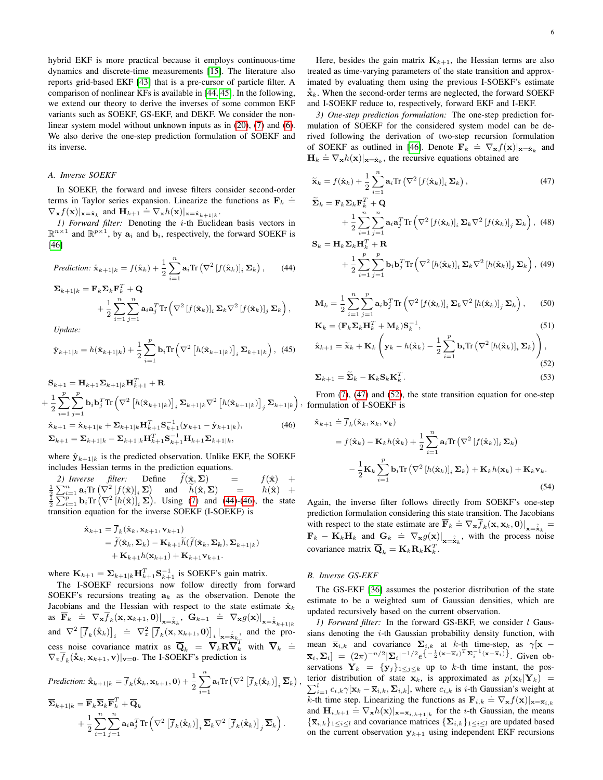hybrid EKF is more practical because it employs continuous-time dynamics and discrete-time measurements [\[15\]](#page-16-14). The literature also reports grid-based EKF [\[43\]](#page-16-42) that is a pre-cursor of particle filter. A comparison of nonlinear KFs is available in [\[44,](#page-16-43) [45\]](#page-16-44). In the following, we extend our theory to derive the inverses of some common EKF variants such as SOEKF, GS-EKF, and DEKF. We consider the nonlinear system model without unknown inputs as in [\(20\)](#page-3-4), [\(7\)](#page-1-1) and [\(6\)](#page-1-2). We also derive the one-step prediction formulation of SOEKF and its inverse.

#### <span id="page-5-5"></span>*A. Inverse SOEKF*

In SOEKF, the forward and invese filters consider second-order terms in Taylor series expansion. Linearize the functions as  $\mathbf{F}_k \doteq$  $\nabla_{\mathbf{x}} f(\mathbf{x})|_{\mathbf{x}=\hat{\mathbf{x}}_k}$  and  $\mathbf{H}_{k+1} \doteq \nabla_{\mathbf{x}} h(\mathbf{x})|_{\mathbf{x}=\hat{\mathbf{x}}_{k+1|k}}$ .

*1) Forward filter:* Denoting the i-th Euclidean basis vectors in  $\mathbb{R}^{n \times 1}$  and  $\mathbb{R}^{p \times 1}$ , by  $a_i$  and  $b_i$ , respectively, the forward SOEKF is [\[46\]](#page-16-45)

*Prediction:* 
$$
\hat{\mathbf{x}}_{k+1|k} = f(\hat{\mathbf{x}}_k) + \frac{1}{2} \sum_{i=1}^{n} \mathbf{a}_i \text{Tr} (\nabla^2 [f(\hat{\mathbf{x}}_k)]_i \Sigma_k),
$$
 (44)

$$
\Sigma_{k+1|k} = \mathbf{F}_{k} \Sigma_{k} \mathbf{F}_{k}^{T} + \mathbf{Q} \n+ \frac{1}{2} \sum_{i=1}^{n} \sum_{j=1}^{n} \mathbf{a}_{i} \mathbf{a}_{j}^{T} \text{Tr} \left( \nabla^{2} \left[ f(\hat{\mathbf{x}}_{k}) \right]_{i} \Sigma_{k} \nabla^{2} \left[ f(\hat{\mathbf{x}}_{k}) \right]_{j} \Sigma_{k} \right),
$$

*Update:*

$$
\hat{\mathbf{y}}_{k+1|k} = h(\hat{\mathbf{x}}_{k+1|k}) + \frac{1}{2} \sum_{i=1}^{p} \mathbf{b}_{i} \text{Tr} \left( \nabla^{2} \left[ h(\hat{\mathbf{x}}_{k+1|k}) \right]_{i} \boldsymbol{\Sigma}_{k+1|k} \right), \tag{45}
$$

$$
\mathbf{S}_{k+1} = \mathbf{H}_{k+1} \Sigma_{k+1|k} \mathbf{H}_{k+1}^T + \mathbf{R}
$$
\n
$$
+ \frac{1}{2} \sum_{i=1}^p \sum_{j=1}^p \mathbf{b}_i \mathbf{b}_j^T \text{Tr} \left( \nabla^2 \left[ h(\hat{\mathbf{x}}_{k+1|k}) \right]_i \Sigma_{k+1|k} \nabla^2 \left[ h(\hat{\mathbf{x}}_{k+1|k}) \right]_j \Sigma_{k+1|k} \right)
$$
\n
$$
\hat{\mathbf{x}}_{k+1} = \hat{\mathbf{x}}_{k+1|k} + \Sigma_{k+1|k} \mathbf{H}_{k+1}^T \mathbf{S}_{k+1}^{-1} (\mathbf{y}_{k+1} - \hat{\mathbf{y}}_{k+1|k}), \qquad (46)
$$
\n
$$
\Sigma_{k+1} = \Sigma_{k+1|k} - \Sigma_{k+1|k} \mathbf{H}_{k+1}^T \mathbf{S}_{k+1}^{-1} \mathbf{H}_{k+1} \Sigma_{k+1|k},
$$

where  $\hat{y}_{k+1|k}$  is the predicted observation. Unlike EKF, the SOEKF includes Hessian terms in the prediction equations.

2) Inverse filter: Define  $f(\hat{\mathbf{x}}, \mathbf{\Sigma}) = f(\hat{\mathbf{x}}) + \frac{1}{2} \sum_{i=1}^{n} \mathbf{a}_i \text{Tr} (\nabla^2 [f(\hat{\mathbf{x}})]_i \mathbf{\Sigma})$  and  $h(\hat{\mathbf{x}}, \mathbf{\Sigma}) = h(\hat{\mathbf{x}}) + \frac{1}{2} \sum_{i=1}^{n} \mathbf{b}_i \text{Tr} (\nabla^2 [h(\hat{\mathbf{x}})]_i \mathbf{\Sigma})$ . Using [\(7\)](#page-1-1) and [\(44\)](#page-5-0)-[\(46\)](#page-5-1), the transition equation for the inverse SOEKF (I-SOEKF) is

$$
\hat{\mathbf{x}}_{k+1} = \overline{f}_k(\hat{\mathbf{x}}_k, \mathbf{x}_{k+1}, \mathbf{v}_{k+1})
$$
  
=  $\widetilde{f}(\hat{\mathbf{x}}_k, \boldsymbol{\Sigma}_k) - \mathbf{K}_{k+1} \widetilde{h}(\widetilde{f}(\hat{\mathbf{x}}_k, \boldsymbol{\Sigma}_k), \boldsymbol{\Sigma}_{k+1|k})$   
+  $\mathbf{K}_{k+1} h(\mathbf{x}_{k+1}) + \mathbf{K}_{k+1} \mathbf{v}_{k+1}.$ 

where  $\mathbf{K}_{k+1} = \sum_{k+1|k} \mathbf{H}_{k+1}^T \mathbf{S}_{k+1}^{-1}$  is SOEKF's gain matrix.

The I-SOEKF recursions now follow directly from forward SOEKF's recursions treating  $a_k$  as the observation. Denote the Jacobians and the Hessian with respect to the state estimate  $\hat{\mathbf{x}}_k$ as  $\overline{F}_k \stackrel{\text{def}}{=} \nabla_{\mathbf{x}} \overline{f}_k(\mathbf{x}, \mathbf{x}_{k+1}, \mathbf{0}) \big|_{\mathbf{x} = \hat{\mathbf{x}}_k}, \quad \mathbf{G}_{k+1} \stackrel{\text{def}}{=} \nabla_{\mathbf{x}} g(\mathbf{x}) \big|_{\mathbf{x} = \hat{\mathbf{x}}_{k+1|k}}$ and  $\nabla^2 \left[ \overline{f}_k(\hat{\mathbf{x}}_k) \right]_i \doteq \nabla_x^2 \left[ \overline{f}_k(\mathbf{x}, \mathbf{x}_{k+1}, \mathbf{0}) \right]_i \big|_{\mathbf{x} = \hat{\mathbf{x}}_{k,n}$  and the process noise covariance matrix as  $\overline{\mathbf{Q}}_k = \overline{\mathbf{V}}_k \overline{\mathbf{R}} \overline{\mathbf{V}}_k^T$  with  $\overline{\mathbf{V}}_k \stackrel{\doteq}{=}$  $\nabla_v \overline{f}_k(\hat{\mathbf{x}}_k, \mathbf{x}_{k+1}, \mathbf{v})|_{\mathbf{v}=\mathbf{0}}$ . The I-SOEKF's prediction is

$$
\begin{split} \textit{Prediction: } \hat{\mathbf{x}}_{k+1|k} &= \overline{f}_k(\hat{\mathbf{x}}_k, \mathbf{x}_{k+1}, \mathbf{0}) + \frac{1}{2} \sum_{i=1}^n \mathbf{a}_i \text{Tr} \left( \nabla^2 \left[ \overline{f}_k(\hat{\mathbf{x}}_k) \right]_i \overline{\mathbf{\Sigma}}_k \right) \\ &\quad \nabla_{k+1|k} = \overline{\mathbf{F}}_k \overline{\mathbf{\Sigma}}_k \overline{\mathbf{F}}_k^T + \overline{\mathbf{Q}}_k \\ &\quad + \frac{1}{2} \sum_{i=1}^n \sum_{j=1}^n \mathbf{a}_i \mathbf{a}_j^T \text{Tr} \left( \nabla^2 \left[ \overline{f}_k(\hat{\mathbf{x}}_k) \right]_i \overline{\mathbf{\Sigma}}_k \nabla^2 \left[ \overline{f}_k(\hat{\mathbf{x}}_k) \right]_j \overline{\mathbf{\Sigma}}_k \right). \end{split}
$$

Here, besides the gain matrix  $\mathbf{K}_{k+1}$ , the Hessian terms are also treated as time-varying parameters of the state transition and approximated by evaluating them using the previous I-SOEKF's estimate  $\hat{\mathbf{x}}_k$ . When the second-order terms are neglected, the forward SOEKF and I-SOEKF reduce to, respectively, forward EKF and I-EKF.

*3) One-step prediction formulation:* The one-step prediction formulation of SOEKF for the considered system model can be derived following the derivation of two-step recursion formulation of SOEKF as outlined in [\[46\]](#page-16-45). Denote  $\mathbf{F}_k \doteq \nabla_{\mathbf{x}} f(\mathbf{x})|_{\mathbf{x}=\hat{\mathbf{x}}_k}$  and  $H_k = \nabla_{\mathbf{x}} h(\mathbf{x})|_{\mathbf{x}=\hat{\mathbf{x}}_k}$ , the recursive equations obtained are

<span id="page-5-2"></span>
$$
\widetilde{\mathbf{x}}_k = f(\hat{\mathbf{x}}_k) + \frac{1}{2} \sum_{i=1}^n \mathbf{a}_i \text{Tr} \left( \nabla^2 \left[ f(\hat{\mathbf{x}}_k) \right]_i \boldsymbol{\Sigma}_k \right),\tag{47}
$$

<span id="page-5-6"></span>
$$
\widetilde{\Sigma}_{k} = \mathbf{F}_{k} \Sigma_{k} \mathbf{F}_{k}^{T} + \mathbf{Q} \n+ \frac{1}{2} \sum_{i=1}^{n} \sum_{j=1}^{n} \mathbf{a}_{i} \mathbf{a}_{j}^{T} \text{Tr} \left( \nabla^{2} \left[ f(\hat{\mathbf{x}}_{k}) \right]_{i} \Sigma_{k} \nabla^{2} \left[ f(\hat{\mathbf{x}}_{k}) \right]_{j} \Sigma_{k} \right), \tag{48}
$$

<span id="page-5-0"></span>
$$
\mathbf{S}_{k} = \mathbf{H}_{k} \mathbf{\Sigma}_{k} \mathbf{H}_{k}^{T} + \mathbf{R}
$$
  
+  $\frac{1}{2} \sum_{i=1}^{p} \sum_{j=1}^{p} \mathbf{b}_{i} \mathbf{b}_{j}^{T} \text{Tr} \left( \nabla^{2} \left[ h(\hat{\mathbf{x}}_{k}) \right]_{i} \Sigma_{k} \nabla^{2} \left[ h(\hat{\mathbf{x}}_{k}) \right]_{j} \Sigma_{k} \right), (49)$ 

$$
\mathbf{M}_{k} = \frac{1}{2} \sum_{i=1}^{n} \sum_{j=1}^{p} \mathbf{a}_{i} \mathbf{b}_{j}^{T} \text{Tr} \left( \nabla^{2} \left[ f(\hat{\mathbf{x}}_{k}) \right]_{i} \boldsymbol{\Sigma}_{k} \nabla^{2} \left[ h(\hat{\mathbf{x}}_{k}) \right]_{j} \boldsymbol{\Sigma}_{k} \right), \quad (50)
$$

<span id="page-5-7"></span>
$$
\mathbf{K}_k = (\mathbf{F}_k \Sigma_k \mathbf{H}_k^T + \mathbf{M}_k) \mathbf{S}_k^{-1},
$$
\n(51)

$$
\hat{\mathbf{x}}_{k+1} = \widetilde{\mathbf{x}}_k + \mathbf{K}_k \left( \mathbf{y}_k - h(\hat{\mathbf{x}}_k) - \frac{1}{2} \sum_{i=1}^p \mathbf{b}_i \text{Tr} \left( \nabla^2 \left[ h(\hat{\mathbf{x}}_k) \right]_i \boldsymbol{\Sigma}_k \right) \right),\tag{52}
$$

<span id="page-5-4"></span><span id="page-5-3"></span>
$$
\Sigma_{k+1} = \widetilde{\Sigma}_k - \mathbf{K}_k \mathbf{S}_k \mathbf{K}_k^T.
$$
\n(53)

<span id="page-5-1"></span>, formulation of I-SOEKF is From  $(7)$ ,  $(47)$  and  $(52)$ , the state transition equation for one-step

<span id="page-5-8"></span>
$$
\hat{\mathbf{x}}_{k+1} \doteq \overline{f}_k(\hat{\mathbf{x}}_k, \mathbf{x}_k, \mathbf{v}_k)
$$
\n
$$
= f(\hat{\mathbf{x}}_k) - \mathbf{K}_k h(\hat{\mathbf{x}}_k) + \frac{1}{2} \sum_{i=1}^n \mathbf{a}_i \text{Tr} (\nabla^2 [f(\hat{\mathbf{x}}_k)]_i \Sigma_k)
$$
\n
$$
- \frac{1}{2} \mathbf{K}_k \sum_{i=1}^p \mathbf{b}_i \text{Tr} (\nabla^2 [h(\hat{\mathbf{x}}_k)]_i \Sigma_k) + \mathbf{K}_k h(\mathbf{x}_k) + \mathbf{K}_k \mathbf{v}_k. \tag{54}
$$

Again, the inverse filter follows directly from SOEKF's one-step prediction formulation considering this state transition. The Jacobians with respect to the state estimate are  $\overline{F}_k = \nabla_{\mathbf{x}} \overline{f}_k(\mathbf{x}, \mathbf{x}_k, \mathbf{0})|_{\mathbf{x} = \hat{\mathbf{x}}_k} =$  $\mathbf{F}_k - \mathbf{K}_k \mathbf{H}_k$  and  $\mathbf{G}_k \doteq \nabla_{\mathbf{x}} g(\mathbf{x}) \big|_{\mathbf{x} = \hat{\mathbf{x}}_k}$ , with the process noise covariance matrix  $\overline{\mathbf{Q}}_k = \mathbf{K}_k \mathbf{R}_k \mathbf{K}_k^T$ .

#### *B. Inverse GS-EKF*

,

The GS-EKF [\[36\]](#page-16-35) assumes the posterior distribution of the state estimate to be a weighted sum of Gaussian densities, which are updated recursively based on the current observation.

*1) Forward filter:* In the forward GS-EKF, we consider *l* Gaussians denoting the  $i$ -th Gaussian probability density function, with mean  $\overline{\mathbf{x}}_{i,k}$  and covariance  $\Sigma_{i,k}$  at k-th time-step, as  $\gamma[\mathbf{x}$  –  $\overline{\mathbf{x}}_i$ ,  $\Sigma_i$  =  $(2\pi)^{-n/2} |\Sigma_i|^{-1/2} e^{-\frac{1}{2}(\mathbf{x}-\overline{\mathbf{x}}_i)^T \Sigma_i^{-1} (\mathbf{x}-\overline{\mathbf{x}}_i)^T}$ . Given observations  $Y_k = {y_j}_{1 \leq j \leq k}$  up to k-th time instant, the pos- $\sum_{i=1}^{l} c_{i,k} \gamma[\mathbf{x}_k - \overline{\mathbf{x}}_{i,k}, \Sigma_{i,k}]$ , where  $c_{i,k}$  is *i*-th Gaussian's weight at terior distribution of state  $x_k$ , is approximated as  $p(x_k|Y_k)$  =  $\sum_{i=1}^{K} \sum_{i}^{T} \sum_{k}^{T} \sum_{k}^{T} \sum_{k}^{T} \sum_{k}^{T} \sum_{k}^{T} \sum_{k}^{T}$ , where  $\sum_{i}^{T} \sum_{k}^{T}$ , is the catalogistic step. Linearizing the functions as  $\mathbf{F}_{i,k} \doteq \nabla_{\mathbf{x}} f(\mathbf{x}) |_{\mathbf{x}=\overline{\mathbf{x}}_{i,k}}$ and  $\mathbf{H}_{i,k+1} \doteq \nabla_{\mathbf{x}} h(\mathbf{x})|_{\mathbf{x}=\overline{\mathbf{x}}_{i,k+1|k}}$  for the *i*-th Gaussian, the means  ${\{\overline{\mathbf{x}}_{i,k}\}_{1\leq i\leq l}}$  and covariance matrices  ${\{\Sigma_{i,k}\}_{1\leq i\leq l}}$  are updated based on the current observation  $y_{k+1}$  using independent EKF recursions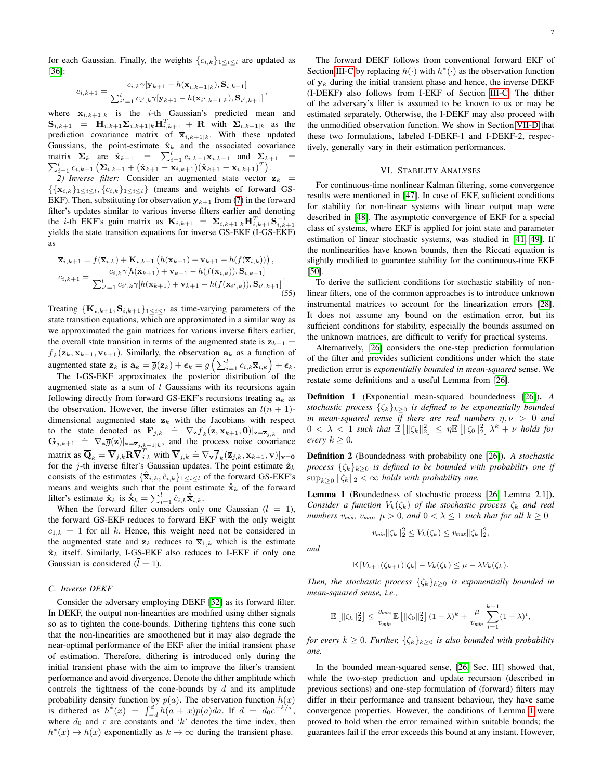$$
c_{i,k+1} = \frac{c_{i,k}\gamma[\mathbf{y}_{k+1} - h(\overline{\mathbf{x}}_{i,k+1|k}), \mathbf{S}_{i,k+1}]}{\sum_{i'=1}^{l} c_{i',k}\gamma[\mathbf{y}_{k+1} - h(\overline{\mathbf{x}}_{i',k+1|k}), \mathbf{S}_{i',k+1}]}
$$

,

where  $\overline{\mathbf{x}}_{i,k+1|k}$  is the *i*-th Gaussian's predicted mean and  $S_{i,k+1}$  =  $\mathbf{H}_{i,k+1}\mathbf{\Sigma}_{i,k+1|k}\mathbf{H}_{i,k+1}^T$  + R with  $\mathbf{\Sigma}_{i,k+1|k}$  as the prediction covariance matrix of  $\overline{\mathbf{x}}_{i,k+1|k}$ . With these updated Gaussians, the point-estimate  $\hat{\mathbf{x}}_k$  and the associated covariance matrix  $\Sigma_k$  are  $\hat{\mathbf{x}}_{k+1} = \sum_{i=1}^l c_{i,k+1} \overline{\mathbf{x}}_{i,k+1}$  and  $\Sigma_{k+1} = \sum_{i=1}^l c_{i,k+1} (\hat{\mathbf{x}}_{k+1} - \overline{\mathbf{x}}_{i,k+1}) (\hat{\mathbf{x}}_{k+1} - \overline{\mathbf{x}}_{i,k+1})^T)$ .  $\sum_{i=1}^{l} c_{i,k+1} \left( \mathbf{\Sigma}_{i,k+1} + (\hat{\mathbf{x}}_{k+1} - \overline{\mathbf{x}}_{i,k+1}) (\hat{\mathbf{x}}_{k+1} - \overline{\mathbf{x}}_{i,k+1})^T \right).$ 

2) *Inverse filter:* Consider an augmented state vector  $z_k$  =  $\{\{\overline{\mathbf{x}}_{i,k}\}_{1\leq i\leq l}, \{c_{i,k}\}_{1\leq i\leq l}\}$  (means and weights of forward GS-EKF). Then, substituting for observation  $y_{k+1}$  from [\(7\)](#page-1-1) in the forward filter's updates similar to various inverse filters earlier and denoting the *i*-th EKF's gain matrix as  $\mathbf{K}_{i,k+1} = \sum_{i,k+1|k} \mathbf{H}_{i,k+1}^T \mathbf{S}_{i,k+1}^{-1}$ yields the state transition equations for inverse GS-EKF (I-GS-EKF) as

$$
\overline{\mathbf{x}}_{i,k+1} = f(\overline{\mathbf{x}}_{i,k}) + \mathbf{K}_{i,k+1} \left( h(\mathbf{x}_{k+1}) + \mathbf{v}_{k+1} - h(f(\overline{\mathbf{x}}_{i,k})) \right), \n c_{i,k+1} = \frac{c_{i,k} \gamma[h(\mathbf{x}_{k+1}) + \mathbf{v}_{k+1} - h(f(\overline{\mathbf{x}}_{i,k})), \mathbf{S}_{i,k+1}]}{\sum_{i'=1}^{l} c_{i',k} \gamma[h(\mathbf{x}_{k+1}) + \mathbf{v}_{k+1} - h(f(\overline{\mathbf{x}}_{i',k})), \mathbf{S}_{i',k+1}]}.
$$
\n(55)

Treating  $\{K_{i,k+1}, S_{i,k+1}\}_{1 \leq i \leq l}$  as time-varying parameters of the state transition equations, which are approximated in a similar way as we approximated the gain matrices for various inverse filters earlier, the overall state transition in terms of the augmented state is  $z_{k+1} =$  $f_k(\mathbf{z}_k, \mathbf{x}_{k+1}, \mathbf{v}_{k+1})$ . Similarly, the observation  $\mathbf{a}_k$  as a function of augmented state  $\mathbf{z}_k$  is  $\mathbf{a}_k = \overline{g}(\mathbf{z}_k) + \boldsymbol{\epsilon}_k = g\left(\sum_{i=1}^l c_{i,k} \overline{\mathbf{x}}_{i,k}\right) + \boldsymbol{\epsilon}_k$ .

The I-GS-EKF approximates the posterior distribution of the augmented state as a sum of  $\overline{l}$  Gaussians with its recursions again following directly from forward GS-EKF's recursions treating  $a_k$  as the observation. However, the inverse filter estimates an  $l(n + 1)$ dimensional augmented state  $z_k$  with the Jacobians with respect to the state denoted as  $\overline{\mathbf{F}}_{j,k} \triangleq \nabla_{\mathbf{z}} \overline{f}_k(\mathbf{z}, \mathbf{x}_{k+1}, \mathbf{0})|_{\mathbf{z} = \overline{\mathbf{z}}_{j,k}}$  and  $G_{j,k+1} \doteq \nabla_{\mathbf{z}} \overline{g}(\mathbf{z})|_{\mathbf{z}=\overline{\mathbf{z}}_{j,k+1|k}}$ , and the process noise covariance matrix as  $\overline{\mathbf{Q}}_k = \overline{\mathbf{V}}_{j,k} \mathbf{R} \overline{\mathbf{V}}_{j,k}^T$  with  $\overline{\mathbf{V}}_{j,k} \doteq \nabla_{\mathbf{V}} \overline{f}_k (\overline{\mathbf{z}}_{j,k}, \mathbf{x}_{k+1}, \mathbf{v})|_{\mathbf{v}=\mathbf{0}}$ for the j-th inverse filter's Gaussian updates. The point estimate  $\hat{\mathbf{z}}_k$ consists of the estimates  $\{\hat{\overline{x}}_{i,k}, \hat{c}_{i,k}\}_{1 \leq i \leq l}$  of the forward GS-EKF's means and weights such that the point estimate  $\hat{x}_k$  of the forward filter's estimate  $\hat{\mathbf{x}}_k$  is  $\hat{\hat{\mathbf{x}}}_k = \sum_{i=1}^l \hat{c}_{i,k} \hat{\overline{\mathbf{x}}}_{i,k}$ .

When the forward filter considers only one Gaussian  $(l = 1)$ , the forward GS-EKF reduces to forward EKF with the only weight  $c_{1,k} = 1$  for all k. Hence, this weight need not be considered in the augmented state and  $z_k$  reduces to  $\overline{x}_{1,k}$  which is the estimate  $\hat{\mathbf{x}}_k$  itself. Similarly, I-GS-EKF also reduces to I-EKF if only one Gaussian is considered  $(\bar{l} = 1)$ .

#### *C. Inverse DEKF*

Consider the adversary employing DEKF [\[32\]](#page-16-31) as its forward filter. In DEKF, the output non-linearities are modified using dither signals so as to tighten the cone-bounds. Dithering tightens this cone such that the non-linearities are smoothened but it may also degrade the near-optimal performance of the EKF after the initial transient phase of estimation. Therefore, dithering is introduced only during the initial transient phase with the aim to improve the filter's transient performance and avoid divergence. Denote the dither amplitude which controls the tightness of the cone-bounds by  $d$  and its amplitude probability density function by  $p(a)$ . The observation function  $h(x)$ is dithered as  $h^*(x) = \int_{-d}^{d} h(a+x)p(a)da$ . If  $d = d_0e^{-k/\tau}$ , where  $d_0$  and  $\tau$  are constants and 'k' denotes the time index, then  $h^*(x) \to h(x)$  exponentially as  $k \to \infty$  during the transient phase.

The forward DEKF follows from conventional forward EKF of Section [III-C](#page-3-5) by replacing  $h(\cdot)$  with  $h^*(\cdot)$  as the observation function of  $y_k$  during the initial transient phase and hence, the inverse DEKF (I-DEKF) also follows from I-EKF of Section [III-C.](#page-3-5) The dither of the adversary's filter is assumed to be known to us or may be estimated separately. Otherwise, the I-DEKF may also proceed with the unmodified observation function. We show in Section [VII-D](#page-11-0) that these two formulations, labeled I-DEKF-1 and I-DEKF-2, respectively, generally vary in their estimation performances.

#### VI. STABILITY ANALYSES

<span id="page-6-0"></span>For continuous-time nonlinear Kalman filtering, some convergence results were mentioned in [\[47\]](#page-16-46). In case of EKF, sufficient conditions for stability for non-linear systems with linear output map were described in [\[48\]](#page-16-47). The asymptotic convergence of EKF for a special class of systems, where EKF is applied for joint state and parameter estimation of linear stochastic systems, was studied in [\[41,](#page-16-40) [49\]](#page-16-48). If the nonlinearities have known bounds, then the Riccati equation is slightly modified to guarantee stability for the continuous-time EKF [\[50\]](#page-16-49).

<span id="page-6-2"></span>To derive the sufficient conditions for stochastic stability of nonlinear filters, one of the common approaches is to introduce unknown instrumental matrices to account for the linearization errors [\[28\]](#page-16-27). It does not assume any bound on the estimation error, but its sufficient conditions for stability, especially the bounds assumed on the unknown matrices, are difficult to verify for practical systems.

Alternatively, [\[26\]](#page-16-25) considers the one-step prediction formulation of the filter and provides sufficient conditions under which the state prediction error is *exponentially bounded in mean-squared* sense. We restate some definitions and a useful Lemma from [\[26\]](#page-16-25).

Definition 1 (Exponential mean-squared boundedness [\[26\]](#page-16-25)). *A stochastic process*  $\{\zeta_k\}_{k>0}$  *is defined to be exponentially bounded in mean-squared sense if there are real numbers*  $\eta, \nu > 0$  *and*  $0 < \lambda < 1$  such that  $\mathbb{E} \left[ \|\zeta_k\|_2^2 \right] \leq \eta \mathbb{E} \left[ \|\zeta_0\|_2^2 \right] \lambda^k + \nu$  holds for *every*  $k \geq 0$ *.* 

Definition 2 (Boundedness with probability one [\[26\]](#page-16-25)). *A stochastic process*  $\{\zeta_k\}_{k\geq0}$  *is defined to be bounded with probability one if*  $\sup_{k>0} \|\zeta_k\|_2 < \infty$  *holds with probability one.* 

<span id="page-6-1"></span>Lemma 1 (Boundedness of stochastic process [\[26,](#page-16-25) Lemma 2.1]). *Consider a function*  $V_k(\zeta_k)$  *of the stochastic process*  $\zeta_k$  *and real numbers*  $v_{min}$ ,  $v_{max}$ ,  $\mu > 0$ , and  $0 < \lambda \leq 1$  such that for all  $k \geq 0$ 

$$
v_{\min} \|\zeta_k\|_2^2 \le V_k(\zeta_k) \le v_{\max} \|\zeta_k\|_2^2,
$$

*and*

$$
\mathbb{E}\left[V_{k+1}(\zeta_{k+1})|\zeta_k\right] - V_k(\zeta_k) \leq \mu - \lambda V_k(\zeta_k).
$$

*Then, the stochastic process*  $\{\zeta_k\}_{k>0}$  *is exponentially bounded in mean-squared sense, i.e.,*

$$
\mathbb{E} \left[ \|\zeta_k\|_2^2 \right] \leq \frac{v_{max}}{v_{min}} \mathbb{E} \left[ \|\zeta_0\|_2^2 \right] (1-\lambda)^k + \frac{\mu}{v_{min}} \sum_{i=1}^{k-1} (1-\lambda)^i,
$$

*for every*  $k \geq 0$ *. Further,*  $\{\zeta_k\}_{k \geq 0}$  *is also bounded with probability one.*

In the bounded mean-squared sense, [\[26,](#page-16-25) Sec. III] showed that, while the two-step prediction and update recursion (described in previous sections) and one-step formulation of (forward) filters may differ in their performance and transient behaviour, they have same convergence properties. However, the conditions of Lemma [1](#page-6-1) were proved to hold when the error remained within suitable bounds; the guarantees fail if the error exceeds this bound at any instant. However,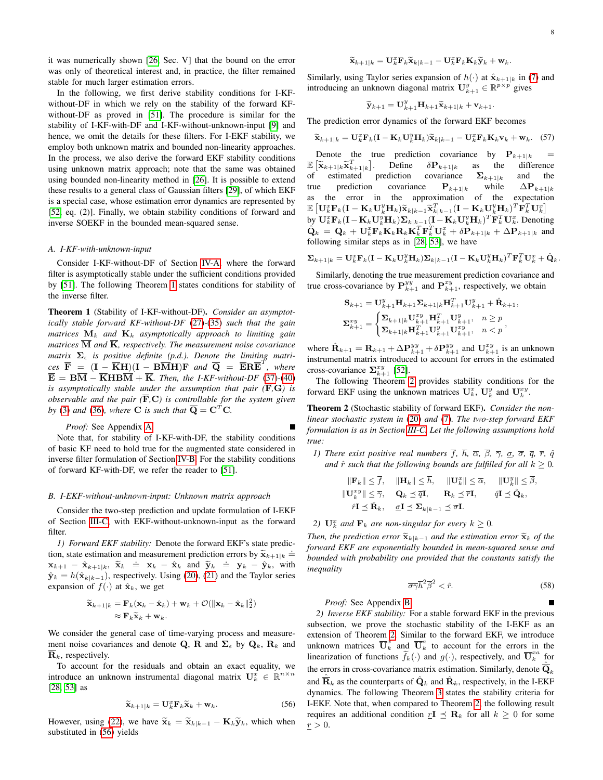it was numerically shown [\[26,](#page-16-25) Sec. V] that the bound on the error was only of theoretical interest and, in practice, the filter remained stable for much larger estimation errors.

In the following, we first derive stability conditions for I-KFwithout-DF in which we rely on the stability of the forward KFwithout-DF as proved in [\[51\]](#page-16-50). The procedure is similar for the stability of I-KF-with-DF and I-KF-without-unknown-input [\[9\]](#page-16-8) and hence, we omit the details for these filters. For I-EKF stability, we employ both unknown matrix and bounded non-linearity approaches. In the process, we also derive the forward EKF stability conditions using unknown matrix approach; note that the same was obtained using bounded non-linearity method in [\[26\]](#page-16-25). It is possible to extend these results to a general class of Gaussian filters [\[29\]](#page-16-28), of which EKF is a special case, whose estimation error dynamics are represented by [\[52,](#page-16-51) eq. (2)]. Finally, we obtain stability conditions of forward and inverse SOEKF in the bounded mean-squared sense.

#### *A. I-KF-with-unknown-input*

Consider I-KF-without-DF of Section [IV-A,](#page-4-7) where the forward filter is asymptotically stable under the sufficient conditions provided by [\[51\]](#page-16-50). The following Theorem [1](#page-7-0) states conditions for stability of the inverse filter.

<span id="page-7-0"></span>Theorem 1 (Stability of I-KF-without-DF). *Consider an asymptotically stable forward KF-without-DF* [\(27\)](#page-4-1)*-*[\(35\)](#page-4-8) *such that the gain matrices*  $M_k$  *and*  $K_k$  *asymptotically approach to limiting gain matrices*  $\overline{M}$  *and*  $\overline{K}$ *, respectively. The measurement noise covariance matrix*  $\Sigma_{\epsilon}$  *is positive definite (p.d.). Denote the limiting matri-* $\overline{C}$   $\overline{F}$  =  $(\overline{I} - \overline{K}H)(\overline{I} - B\overline{M}H)F$  *and*  $\overline{Q}$  =  $\overline{E}R\overline{E}^{T}$ *, where*  $\overline{\mathbf{E}} = \mathbf{B}\overline{\mathbf{M}} - \overline{\mathbf{K}}\mathbf{H}\mathbf{B}\overline{\mathbf{M}} + \overline{\mathbf{K}}$ *. Then, the I-KF-without-DF* [\(37\)](#page-4-9)-[\(40\)](#page-4-6) *is asymptotically stable under the assumption that pair* ( $\overline{F}$ ,  $\overline{G}$ *) is observable and the pair*  $(\overline{F}, C)$  *is controllable for the system given by* [\(3\)](#page-1-6) *and* [\(36\)](#page-4-10)*, where* **C** *is such that*  $\overline{Q} = C^T C$ *.* 

```
Proof: See Appendix A.
```
Note that, for stability of I-KF-with-DF, the stability conditions of basic KF need to hold true for the augmented state considered in inverse filter formulation of Section [IV-B.](#page-4-11) For the stability conditions of forward KF-with-DF, we refer the reader to [\[51\]](#page-16-50).

## *B. I-EKF-without-unknown-input: Unknown matrix approach*

Consider the two-step prediction and update formulation of I-EKF of Section [III-C,](#page-3-5) with EKF-without-unknown-input as the forward filter.

*1) Forward EKF stability:* Denote the forward EKF's state prediction, state estimation and measurement prediction errors by  $\tilde{\mathbf{x}}_{k+1|k} =$  $\hat{\mathbf{x}}_{k+1} = \hat{\mathbf{x}}_{k+1|k}, \ \hat{\mathbf{x}}_k = \mathbf{x}_k - \hat{\mathbf{x}}_k$  and  $\hat{\mathbf{y}}_k = \mathbf{y}_k - \hat{\mathbf{y}}_k$ , with<br> $\hat{\mathbf{x}} = \hat{\mathbf{x}}_k + \hat{\mathbf{x}}_k$  and  $\hat{\mathbf{y}}_k = \hat{\mathbf{x}}_k$ .  $\hat{\mathbf{y}}_k = h(\hat{\mathbf{x}}_{k|k-1})$ , respectively. Using [\(20\)](#page-3-4), [\(21\)](#page-3-6) and the Taylor series expansion of  $f(\cdot)$  at  $\hat{\mathbf{x}}_k$ , we get

$$
\widetilde{\mathbf{x}}_{k+1|k} = \mathbf{F}_k(\mathbf{x}_k - \hat{\mathbf{x}}_k) + \mathbf{w}_k + \mathcal{O}(\|\mathbf{x}_k - \hat{\mathbf{x}}_k\|_2^2) \n\approx \mathbf{F}_k \widetilde{\mathbf{x}}_k + \mathbf{w}_k.
$$

We consider the general case of time-varying process and measurement noise covariances and denote Q, R and  $\Sigma_{\epsilon}$  by Q<sub>k</sub>, R<sub>k</sub> and  $\mathbf{R}_k$ , respectively.

To account for the residuals and obtain an exact equality, we introduce an unknown instrumental diagonal matrix  $\mathbf{U}_k^x \in \mathbb{R}^{n \times n}$ [\[28,](#page-16-27) [53\]](#page-16-52) as

$$
\widetilde{\mathbf{x}}_{k+1|k} = \mathbf{U}_k^x \mathbf{F}_k \widetilde{\mathbf{x}}_k + \mathbf{w}_k.
$$
 (56)

However, using [\(22\)](#page-3-7), we have  $\widetilde{\mathbf{x}}_k = \widetilde{\mathbf{x}}_{k|k-1} - \mathbf{K}_k \widetilde{\mathbf{y}}_k$ , which when substituted in [\(56\)](#page-7-1) yields

$$
\widetilde{\mathbf{x}}_{k+1|k} = \mathbf{U}_k^x \mathbf{F}_k \widetilde{\mathbf{x}}_{k|k-1} - \mathbf{U}_k^x \mathbf{F}_k \mathbf{K}_k \widetilde{\mathbf{y}}_k + \mathbf{w}_k.
$$

Similarly, using Taylor series expansion of  $h(\cdot)$  at  $\hat{\mathbf{x}}_{k+1|k}$  in [\(7\)](#page-1-1) and introducing an unknown diagonal matrix  $\mathbf{U}_{k+1}^y \in \mathbb{R}^{p \times p}$  gives

<span id="page-7-3"></span>
$$
\widetilde{\mathbf{y}}_{k+1} = \mathbf{U}_{k+1}^y \mathbf{H}_{k+1} \widetilde{\mathbf{x}}_{k+1|k} + \mathbf{v}_{k+1}.
$$

The prediction error dynamics of the forward EKF becomes

$$
\widetilde{\mathbf{x}}_{k+1|k} = \mathbf{U}_k^{\mathrm{T}} \mathbf{F}_k (\mathbf{I} - \mathbf{K}_k \mathbf{U}_k^{\mathrm{y}} \mathbf{H}_k) \widetilde{\mathbf{x}}_{k|k-1} - \mathbf{U}_k^{\mathrm{T}} \mathbf{F}_k \mathbf{K}_k \mathbf{v}_k + \mathbf{w}_k. \quad (57)
$$

Denote the true prediction covariance by  $P_{k+1|k}$  =  $\mathbb{E}\left[\widetilde{\mathbf{x}}_{k+1|k}\widetilde{\mathbf{x}}_{k+1|k}^T\right]$ Define  $\delta P_{k+1|k}$  as the difference of estimated prediction covariance  $\Sigma_{k+1|k}$  and the true prediction covariance  $\mathbf{P}_{k+1|k}$  while  $\Delta \mathbf{P}_{k+1|k}$ as the error in the approximation of the expectation  $\mathbb{E}\left[\mathbf{U}_{k}^{x}\mathbf{F}_{k}(\mathbf{I}-\mathbf{K}_{k}\mathbf{U}_{k}^{y}\mathbf{H}_{k})\widetilde{\mathbf{x}}_{k|k-1}\widetilde{\mathbf{x}}_{k|k-1}^{T}(\mathbf{I}-\mathbf{K}_{k}\mathbf{U}_{k}^{y}\mathbf{H}_{k})^{T}\mathbf{F}_{k}^{T}\mathbf{U}_{k}^{x}\right]$ by  $\mathbf{U}_k^x \mathbf{F}_k (\mathbf{I} - \mathbf{K}_k \mathbf{U}_k^y \mathbf{H}_k) \mathbf{\Sigma}_{k|k-1} (\mathbf{I} - \mathbf{K}_k \mathbf{U}_k^y \mathbf{H}_k)^T \mathbf{F}_k^T \mathbf{U}_k^x$ . Denoting  $\hat{\mathbf{Q}}_k = \mathbf{Q}_k + \mathbf{U}_k^x \mathbf{F}_k \mathbf{K}_k \mathbf{R}_k \mathbf{K}_k^T \mathbf{F}_k^T \mathbf{U}_k^x + \delta \mathbf{P}_{k+1|k} + \Delta \mathbf{P}_{k+1|k}$  and following similar steps as in [\[28,](#page-16-27) [53\]](#page-16-52), we have

 $\boldsymbol{\Sigma}_{k+1|k} = \mathbf{U}_k^x \mathbf{F}_k (\mathbf{I} - \mathbf{K}_k \mathbf{U}_k^y \mathbf{H}_k) \boldsymbol{\Sigma}_{k|k-1} (\mathbf{I} - \mathbf{K}_k \mathbf{U}_k^y \mathbf{H}_k)^T \mathbf{F}_k^T \mathbf{U}_k^x + \hat{\mathbf{Q}}_k.$ 

Similarly, denoting the true measurement prediction covariance and true cross-covariance by  $\mathbf{P}_{k+1}^{yy}$  and  $\mathbf{P}_{k+1}^{xy}$ , respectively, we obtain

$$
\mathbf{S}_{k+1} = \mathbf{U}_{k+1}^y \mathbf{H}_{k+1} \mathbf{\Sigma}_{k+1|k} \mathbf{H}_{k+1}^T \mathbf{U}_{k+1}^y + \hat{\mathbf{R}}_{k+1},
$$
\n
$$
\boldsymbol{\Sigma}_{k+1}^{xy} = \begin{cases}\n\boldsymbol{\Sigma}_{k+1|k} \mathbf{U}_{k+1}^{xy} \mathbf{H}_{k+1}^T \mathbf{U}_{k+1}^y, & n \ge p \\
\boldsymbol{\Sigma}_{k+1|k} \mathbf{H}_{k+1}^T \mathbf{U}_{k+1}^y \mathbf{U}_{k+1}^{xy}, & n < p\n\end{cases},
$$

where  $\hat{\mathbf{R}}_{k+1} = \mathbf{R}_{k+1} + \Delta \mathbf{P}_{k+1}^{yy} + \delta \mathbf{P}_{k+1}^{yy}$  and  $\mathbf{U}_{k+1}^{xy}$  is an unknown instrumental matrix introduced to account for errors in the estimated cross-covariance  $\sum_{k+1}^{xy}$  [\[52\]](#page-16-51).

The following Theorem [2](#page-7-2) provides stability conditions for the forward EKF using the unknown matrices  $\mathbf{U}_k^x$ ,  $\mathbf{U}_k^y$  and  $\mathbf{U}_k^{xy}$ .

<span id="page-7-2"></span>Theorem 2 (Stochastic stability of forward EKF). *Consider the nonlinear stochastic system in* [\(20\)](#page-3-4) *and* [\(7\)](#page-1-1)*. The two-step forward EKF formulation is as in Section [III-C.](#page-3-5) Let the following assumptions hold true:*

*1) There exist positive real numbers*  $\overline{f}$ *,*  $\overline{h}$ *,*  $\overline{\alpha}$ *,*  $\overline{\beta}$ *,*  $\overline{\gamma}$ *,*  $\alpha$ *,*  $\overline{\sigma}$ *,*  $\overline{q}$ *,*  $\overline{r}$ *,*  $\hat{q}$ *and*  $\hat{r}$  *such that the following bounds are fulfilled for all*  $k \geq 0$ *.* 

$$
\begin{aligned}\n\|\mathbf{F}_k\| &\leq \overline{f}, & \|\mathbf{H}_k\| \leq \overline{h}, & \|\mathbf{U}_k^x\| \leq \overline{\alpha}, & \|\mathbf{U}_k^y\| \leq \overline{\beta}, \\
\|\mathbf{U}_k^{xy}\| &\leq \overline{\gamma}, & \mathbf{Q}_k \leq \overline{q}\mathbf{I}, & \mathbf{R}_k \leq \overline{r}\mathbf{I}, & \hat{q}\mathbf{I} \leq \hat{\mathbf{Q}}_k, \\
\hat{r}\mathbf{I} &\leq \hat{\mathbf{R}}_k, & \underline{\sigma}\mathbf{I} \leq \mathbf{\Sigma}_{k|k-1} \leq \overline{\sigma}\mathbf{I}.\n\end{aligned}
$$

# 2)  $\mathbf{U}_k^x$  *and*  $\mathbf{F}_k$  *are non-singular for every*  $k \geq 0$ *.*

*Then, the prediction error*  $\widetilde{\mathbf{x}}_{k|k-1}$  *and the estimation error*  $\widetilde{\mathbf{x}}_k$  *of the forward EKF are exponentially bounded in mean-squared sense and bounded with probability one provided that the constants satisfy the inequality*

<span id="page-7-4"></span>
$$
\overline{\sigma}\overline{\gamma}\overline{h}^2\overline{\beta}^2 < \hat{r}.\tag{58}
$$

*Proof:* See Appendix [B.](#page-12-2)

<span id="page-7-1"></span>*2) Inverse EKF stability:* For a stable forward EKF in the previous subsection, we prove the stochastic stability of the I-EKF as an extension of Theorem [2.](#page-7-2) Similar to the forward EKF, we introduce unknown matrices  $\overline{\mathbf{U}}_k^x$  and  $\overline{\mathbf{U}}_k^a$  to account for the errors in the linearization of functions  $\widetilde{f}_k(\cdot)$  and  $g(\cdot)$ , respectively, and  $\overline{\mathbf{U}}_k^{xa}$  for the errors in cross-covariance matrix estimation. Similarly, denote  $\overline{Q}_k$ and  $\overline{\mathbf{R}}_k$  as the counterparts of  $\hat{\mathbf{Q}}_k$  and  $\hat{\mathbf{R}}_k$ , respectively, in the I-EKF dynamics. The following Theorem [3](#page-8-0) states the stability criteria for I-EKF. Note that, when compared to Theorem [2,](#page-7-2) the following result requires an additional condition  $rI \preceq \mathbf{R}_k$  for all  $k \geq 0$  for some  $\underline{r} > 0.$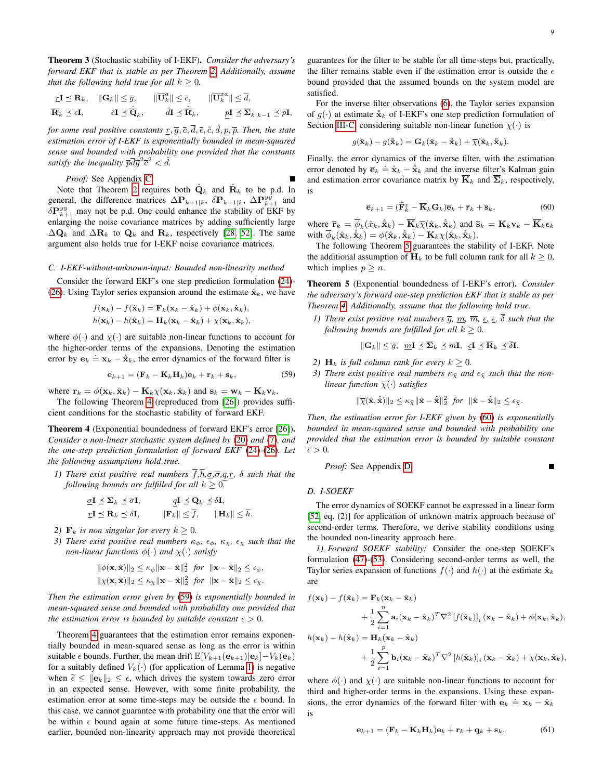<span id="page-8-0"></span>Theorem 3 (Stochastic stability of I-EKF). *Consider the adversary's forward EKF that is stable as per Theorem [2.](#page-7-2) Additionally, assume that the following hold true for all*  $k \geq 0$ *.* 

$$
\begin{aligned}\n\mathbf{I} &\preceq \mathbf{R}_k, \quad \|\mathbf{G}_k\| \leq \overline{g}, \qquad \|\overline{\mathbf{U}}_k^a\| \leq \overline{c}, \qquad \|\overline{\mathbf{U}}_k^{xa}\| \leq \overline{d}, \\
\overline{\mathbf{R}}_k &\preceq \overline{\epsilon}\mathbf{I}, \qquad \hat{c}\mathbf{I} \preceq \widehat{\mathbf{Q}}_k, \qquad \hat{d}\mathbf{I} \preceq \widehat{\mathbf{R}}_k, \qquad \underline{p}\mathbf{I} \preceq \overline{\mathbf{\Sigma}}_{k|k-1} \preceq \overline{p}\mathbf{I},\n\end{aligned}
$$

*for some real positive constants*  $\underline{r}, \overline{g}, \overline{c}, \overline{d}, \overline{\epsilon}, \hat{c}, \hat{d}, p, \overline{p}$ . *Then, the state estimation error of I-EKF is exponentially bounded in mean-squared sense and bounded with probability one provided that the constants* satisfy the inequality  $\overline{p}\overline{d}\overline{g}^2\overline{c}^2 < d$ .

*Proof:* See Appendix [C.](#page-13-0)

Note that Theorem [2](#page-7-2) requires both  $\hat{\mathbf{Q}}_k$  and  $\hat{\mathbf{R}}_k$  to be p.d. In general, the difference matrices  $\Delta P_{k+1|k}$ ,  $\delta P_{k+1|k}$ ,  $\Delta P_{k+1}^{yy}$  and  $\delta P_{k+1}^{yy}$  may not be p.d. One could enhance the stability of EKF by enlarging the noise covariance matrices by adding sufficiently large  $\Delta \mathbf{Q}_k$  and  $\Delta \mathbf{R}_k$  to  $\mathbf{Q}_k$  and  $\mathbf{R}_k$ , respectively [\[28,](#page-16-27) [52\]](#page-16-51). The same argument also holds true for I-EKF noise covariance matrices.

#### *C. I-EKF-without-unknown-input: Bounded non-linearity method*

Consider the forward EKF's one step prediction formulation [\(24\)](#page-3-8)- [\(26\)](#page-3-9). Using Taylor series expansion around the estimate  $\hat{\mathbf{x}}_k$ , we have

$$
f(\mathbf{x}_k) - f(\hat{\mathbf{x}}_k) = \mathbf{F}_k(\mathbf{x}_k - \hat{\mathbf{x}}_k) + \phi(\mathbf{x}_k, \hat{\mathbf{x}}_k),
$$
  

$$
h(\mathbf{x}_k) - h(\hat{\mathbf{x}}_k) = \mathbf{H}_k(\mathbf{x}_k - \hat{\mathbf{x}}_k) + \chi(\mathbf{x}_k, \hat{\mathbf{x}}_k),
$$

where  $\phi(\cdot)$  and  $\chi(\cdot)$  are suitable non-linear functions to account for the higher-order terms of the expansions. Denoting the estimation error by  $e_k \doteq x_k - \hat{x}_k$ , the error dynamics of the forward filter is

$$
\mathbf{e}_{k+1} = (\mathbf{F}_k - \mathbf{K}_k \mathbf{H}_k) \mathbf{e}_k + \mathbf{r}_k + \mathbf{s}_k, \tag{59}
$$

where  $\mathbf{r}_k = \phi(\mathbf{x}_k, \hat{\mathbf{x}}_k) - \mathbf{K}_k \chi(\mathbf{x}_k, \hat{\mathbf{x}}_k)$  and  $\mathbf{s}_k = \mathbf{w}_k - \mathbf{K}_k \mathbf{v}_k$ .

The following Theorem [4](#page-8-1) (reproduced from [\[26\]](#page-16-25)) provides sufficient conditions for the stochastic stability of forward EKF.

<span id="page-8-1"></span>Theorem 4 (Exponential boundedness of forward EKF's error [\[26\]](#page-16-25)). *Consider a non-linear stochastic system defined by* [\(20\)](#page-3-4) *and* [\(7\)](#page-1-1)*, and the one-step prediction formulation of forward EKF* [\(24\)](#page-3-8)*-*[\(26\)](#page-3-9)*. Let the following assumptions hold true.*

*1) There exist positive real numbers*  $\overline{f}$ , $\overline{h}$ , $\underline{\sigma}$ , $\overline{\sigma}$ , $q$ , $\underline{r}$ ,  $\delta$  *such that the following bounds are fulfilled for all*  $k \geq 0$ .

$$
\begin{aligned}\n\underline{\sigma} \mathbf{I} &\leq \Sigma_k \leq \overline{\sigma} \mathbf{I}, & \underline{q} \mathbf{I} &\leq \mathbf{Q}_k \leq \delta \mathbf{I}, \\
\underline{r} \mathbf{I} &\leq \mathbf{R}_k \leq \delta \mathbf{I}, & \|\mathbf{F}_k\| \leq \overline{f}, & \|\mathbf{H}_k\| \leq \overline{h}.\n\end{aligned}
$$

- *2)*  $\mathbf{F}_k$  *is non singular for every*  $k \geq 0$ *.*
- *3) There exist positive real numbers*  $\kappa_{\phi}$ ,  $\epsilon_{\phi}$ ,  $\kappa_{\chi}$ ,  $\epsilon_{\chi}$  *such that the non-linear functions*  $\phi(\cdot)$  *and*  $\chi(\cdot)$  *satisfy*

$$
\begin{aligned}\n\|\phi(\mathbf{x}, \hat{\mathbf{x}})\|_2 &\leq \kappa_{\phi} \|\mathbf{x} - \hat{\mathbf{x}}\|_2^2 \text{ for } \|\mathbf{x} - \hat{\mathbf{x}}\|_2 \leq \epsilon_{\phi}, \\
\|\chi(\mathbf{x}, \hat{\mathbf{x}})\|_2 &\leq \kappa_{\chi} \|\mathbf{x} - \hat{\mathbf{x}}\|_2^2 \text{ for } \|\mathbf{x} - \hat{\mathbf{x}}\|_2 \leq \epsilon_{\chi}.\n\end{aligned}
$$

*Then the estimation error given by* [\(59\)](#page-8-2) *is exponentially bounded in mean-squared sense and bounded with probability one provided that the estimation error is bounded by suitable constant*  $\epsilon > 0$ *.* 

Theorem [4](#page-8-1) guarantees that the estimation error remains exponentially bounded in mean-squared sense as long as the error is within suitable  $\epsilon$  bounds. Further, the mean drift  $\mathbb{E}[V_{k+1}(\mathbf{e}_{k+1})|\mathbf{e}_k]-V_k(\mathbf{e}_k)$ for a suitably defined  $V_k(\cdot)$  (for application of Lemma [1\)](#page-6-1) is negative when  $\tilde{\epsilon} \le ||\mathbf{e}_k||_2 \le \epsilon$ , which drives the system towards zero error in an expected sense. However, with some finite probability, the estimation error at some time-steps may be outside the  $\epsilon$  bound. In this case, we cannot guarantee with probability one that the error will be within  $\epsilon$  bound again at some future time-steps. As mentioned earlier, bounded non-linearity approach may not provide theoretical guarantees for the filter to be stable for all time-steps but, practically, the filter remains stable even if the estimation error is outside the  $\epsilon$ bound provided that the assumed bounds on the system model are satisfied.

For the inverse filter observations [\(6\)](#page-1-2), the Taylor series expansion of  $q(\cdot)$  at estimate  $\hat{\hat{\mathbf{x}}}_k$  of I-EKF's one step prediction formulation of Section [III-C,](#page-3-5) considering suitable non-linear function  $\overline{\chi}(\cdot)$  is

$$
g(\hat{\mathbf{x}}_k) - g(\hat{\hat{\mathbf{x}}}_k) = \mathbf{G}_k(\hat{\mathbf{x}}_k - \hat{\hat{\mathbf{x}}}_k) + \overline{\chi}(\hat{\mathbf{x}}_k, \hat{\hat{\mathbf{x}}}_k).
$$

Finally, the error dynamics of the inverse filter, with the estimation error denoted by  $\overline{e}_k = \hat{x}_k - \hat{x}_k$  and the inverse filter's Kalman gain and estimation error covariance matrix by  $\overline{\mathbf{K}}_k$  and  $\overline{\mathbf{\Sigma}}_k$ , respectively, is

<span id="page-8-4"></span>
$$
\overline{\mathbf{e}}_{k+1} = (\widetilde{\mathbf{F}}_k^x - \overline{\mathbf{K}}_k \mathbf{G}_k) \overline{\mathbf{e}}_k + \overline{\mathbf{r}}_k + \overline{\mathbf{s}}_k, \tag{60}
$$

where  $\overline{\mathbf{r}}_k = \overline{\phi}_k(\hat{x}_k, \hat{\mathbf{x}}_k) - \overline{\mathbf{K}}_k \overline{\chi}(\hat{\mathbf{x}}_k, \hat{\mathbf{x}}_k)$  and  $\overline{\mathbf{s}}_k = \mathbf{K}_k \mathbf{v}_k - \overline{\mathbf{K}}_k \boldsymbol{\epsilon}_k$ with  $\overline{\phi}_k(\hat{\mathbf{x}}_k, \hat{\hat{\mathbf{x}}}_k) = \phi(\hat{\mathbf{x}}_k, \hat{\hat{\mathbf{x}}}_k) - \mathbf{K}_k \chi(\hat{\mathbf{x}}_k, \hat{\hat{\mathbf{x}}}_k).$ 

The following Theorem [5](#page-8-3) guarantees the stability of I-EKF. Note the additional assumption of  $H_k$  to be full column rank for all  $k \geq 0$ , which implies  $p > n$ .

<span id="page-8-3"></span>Theorem 5 (Exponential boundedness of I-EKF's error). *Consider the adversary's forward one-step prediction EKF that is stable as per Theorem [4.](#page-8-1) Additionally, assume that the following hold true.*

*1) There exist positive real numbers*  $\overline{g}$ *,*  $\underline{m}$ *,*  $\overline{m}$ *,*  $\underline{\epsilon}$ *,*  $\underline{\epsilon}$  $\overline{\delta}$  *such that the following bounds are fulfilled for all*  $k \geq 0$ *.* 

$$
\|\mathbf{G}_k\|\leq \overline{g},\;\; \underline{m}\mathbf{I}\preceq \mathbf{\Sigma}_k\preceq \overline{m}\mathbf{I},\;\; \underline{\epsilon}\mathbf{I}\preceq \mathbf{R}_k\preceq \delta\mathbf{I}.
$$

- <span id="page-8-2"></span>*2)*  $\mathbf{H}_k$  *is full column rank for every*  $k \geq 0$ *.*
- *3) There exist positive real numbers*  $\kappa_{\bar{x}}$  *and*  $\epsilon_{\bar{x}}$  *such that the nonlinear function*  $\overline{\chi}(\cdot)$  *satisfies*

 $\|\overline{\chi}(\hat{\mathbf{x}}, \hat{\hat{\mathbf{x}}})\|_2 \leq \kappa_{\overline{\chi}} \|\hat{\mathbf{x}} - \hat{\hat{\mathbf{x}}}\|_2^2$  for  $\|\hat{\mathbf{x}} - \hat{\hat{\mathbf{x}}}\|_2 \leq \epsilon_{\overline{\chi}}$ .

*Then, the estimation error for I-EKF given by* [\(60\)](#page-8-4) *is exponentially bounded in mean-squared sense and bounded with probability one provided that the estimation error is bounded by suitable constant*  $\bar{\epsilon} > 0$ .

*Proof:* See Appendix [D.](#page-13-1)  $\blacksquare$ 

## *D. I-SOEKF*

The error dynamics of SOEKF cannot be expressed in a linear form [\[52,](#page-16-51) eq. (2)] for application of unknown matrix approach because of second-order terms. Therefore, we derive stability conditions using the bounded non-linearity approach here.

*1) Forward SOEKF stability:* Consider the one-step SOEKF's formulation [\(47\)](#page-5-2)-[\(53\)](#page-5-4). Considering second-order terms as well, the Taylor series expansion of functions  $f(\cdot)$  and  $h(\cdot)$  at the estimate  $\hat{\mathbf{x}}_k$ are

$$
f(\mathbf{x}_k) - f(\hat{\mathbf{x}}_k) = \mathbf{F}_k(\mathbf{x}_k - \hat{\mathbf{x}}_k)
$$
  
+ 
$$
\frac{1}{2} \sum_{i=1}^n \mathbf{a}_i (\mathbf{x}_k - \hat{\mathbf{x}}_k)^T \nabla^2 [f(\hat{\mathbf{x}}_k)]_i (\mathbf{x}_k - \hat{\mathbf{x}}_k) + \phi(\mathbf{x}_k, \hat{\mathbf{x}}_k),
$$
  

$$
h(\mathbf{x}_k) - h(\hat{\mathbf{x}}_k) = \mathbf{H}_k(\mathbf{x}_k - \hat{\mathbf{x}}_k)
$$
  
+ 
$$
\frac{1}{2} \sum_{i=1}^p \mathbf{b}_i (\mathbf{x}_k - \hat{\mathbf{x}}_k)^T \nabla^2 [h(\hat{\mathbf{x}}_k)]_i (\mathbf{x}_k - \hat{\mathbf{x}}_k) + \chi(\mathbf{x}_k, \hat{\mathbf{x}}_k),
$$

where  $\phi(\cdot)$  and  $\chi(\cdot)$  are suitable non-linear functions to account for third and higher-order terms in the expansions. Using these expansions, the error dynamics of the forward filter with  $e_k \doteq x_k - \hat{x}_k$ is

<span id="page-8-5"></span>
$$
\mathbf{e}_{k+1} = (\mathbf{F}_k - \mathbf{K}_k \mathbf{H}_k) \mathbf{e}_k + \mathbf{r}_k + \mathbf{q}_k + \mathbf{s}_k, \tag{61}
$$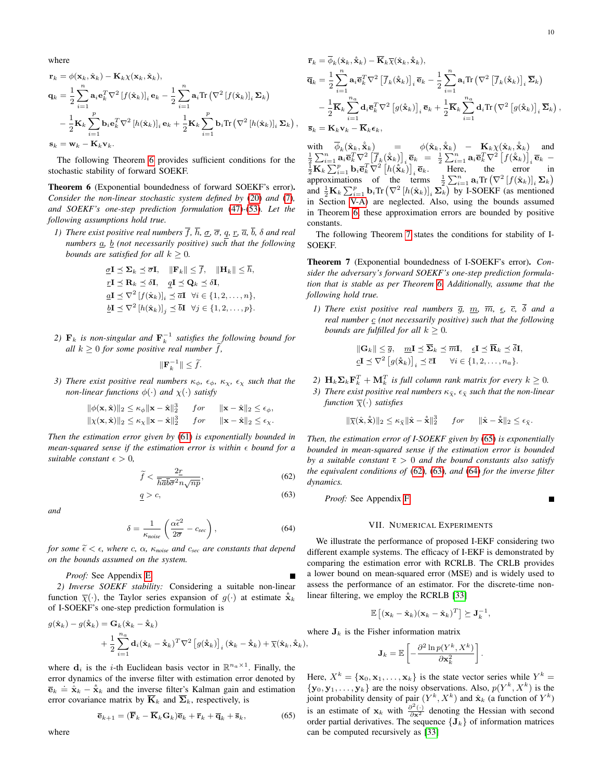where

$$
\mathbf{r}_{k} = \phi(\mathbf{x}_{k}, \hat{\mathbf{x}}_{k}) - \mathbf{K}_{k}\chi(\mathbf{x}_{k}, \hat{\mathbf{x}}_{k}),
$$
\n
$$
\mathbf{q}_{k} = \frac{1}{2} \sum_{i=1}^{n} \mathbf{a}_{i} \mathbf{e}_{k}^{T} \nabla^{2} [f(\hat{\mathbf{x}}_{k})]_{i} \mathbf{e}_{k} - \frac{1}{2} \sum_{i=1}^{n} \mathbf{a}_{i} \text{Tr} (\nabla^{2} [f(\hat{\mathbf{x}}_{k})]_{i} \Sigma_{k})
$$
\n
$$
- \frac{1}{2} \mathbf{K}_{k} \sum_{i=1}^{p} \mathbf{b}_{i} \mathbf{e}_{k}^{T} \nabla^{2} [h(\hat{\mathbf{x}}_{k})]_{i} \mathbf{e}_{k} + \frac{1}{2} \mathbf{K}_{k} \sum_{i=1}^{p} \mathbf{b}_{i} \text{Tr} (\nabla^{2} [h(\hat{\mathbf{x}}_{k})]_{i} \Sigma_{k}),
$$
\n
$$
\mathbf{s}_{k} = \mathbf{w}_{k} - \mathbf{K}_{k} \mathbf{v}_{k}.
$$

The following Theorem [6](#page-9-1) provides sufficient conditions for the stochastic stability of forward SOEKF.

<span id="page-9-1"></span>Theorem 6 (Exponential boundedness of forward SOEKF's error). *Consider the non-linear stochastic system defined by* [\(20\)](#page-3-4) *and* [\(7\)](#page-1-1)*, and SOEKF's one-step prediction formulation* [\(47\)](#page-5-2)*-*[\(53\)](#page-5-4)*. Let the following assumptions hold true.*

*1) There exist positive real numbers*  $\overline{f}$ *,*  $\overline{h}$ *,*  $\underline{\sigma}$ *,*  $q$ *,*  $\underline{r}$ *,*  $\overline{a}$ *,*  $\overline{b}$ *,*  $\delta$  *and real numbers*  $\underline{a}$ ,  $\underline{b}$  (not necessarily positive) such that the following *bounds are satisfied for all*  $k \geq 0$ *.* 

$$
\underline{\sigma}\mathbf{I} \preceq \Sigma_k \preceq \overline{\sigma}\mathbf{I}, \quad \|\mathbf{F}_k\| \leq \overline{f}, \quad \|\mathbf{H}_k\| \leq \overline{h},
$$
\n
$$
\underline{r}\mathbf{I} \preceq \mathbf{R}_k \preceq \delta\mathbf{I}, \quad \underline{q}\mathbf{I} \preceq \mathbf{Q}_k \preceq \delta\mathbf{I},
$$
\n
$$
\underline{a}\mathbf{I} \preceq \nabla^2 \left[ f(\hat{\mathbf{x}}_k) \right]_i \preceq \overline{a}\mathbf{I} \quad \forall i \in \{1, 2, ..., n\},
$$
\n
$$
\underline{b}\mathbf{I} \preceq \nabla^2 \left[ h(\hat{\mathbf{x}}_k) \right]_j \preceq \overline{b}\mathbf{I} \quad \forall j \in \{1, 2, ..., p\}.
$$

2)  $\mathbf{F}_k$  is non-singular and  $\mathbf{F}_k^{-1}$  satisfies the following bound for *all*  $k \geq 0$  *for some positive real number*  $\widetilde{f}$ *,* 

$$
\|\mathbf{F}_k^{-1}\| \leq \widetilde{f}.
$$

- *3) There exist positive real numbers*  $\kappa_{\phi}$ ,  $\epsilon_{\phi}$ ,  $\kappa_{\chi}$ ,  $\epsilon_{\chi}$  *such that the non-linear functions*  $\phi(\cdot)$  *and*  $\chi(\cdot)$  *satisfy* 
	- $\|\phi(\mathbf{x}, \hat{\mathbf{x}})\|_2 \leq \kappa_{\phi} \|\mathbf{x} \hat{\mathbf{x}}\|_2^3$  for  $\|\mathbf{x} \hat{\mathbf{x}}\|_2 \leq \epsilon_{\phi}$ ,  $\|\chi(\mathbf{x}, \hat{\mathbf{x}})\|_2 \leq \kappa_{\chi} \|\mathbf{x} - \hat{\mathbf{x}}\|_2^3$  for  $\|\mathbf{x} - \hat{\mathbf{x}}\|_2 \leq \epsilon_{\chi}$ .

*Then the estimation error given by* [\(61\)](#page-8-5) *is exponentially bounded in mean-squared sense if the estimation error is within*  $\epsilon$  *bound for a suitable constant*  $\epsilon > 0$ ,

$$
\widetilde{f} < \frac{2\underline{r}}{\overline{h}\overline{a}\overline{b}\overline{\sigma}^2 n\sqrt{np}},\tag{62}
$$

$$
\underline{q} > c,\tag{63}
$$

*and*

$$
\delta = \frac{1}{\kappa_{noise}} \left( \frac{\alpha \tilde{\epsilon}^2}{2\overline{\sigma}} - c_{\text{sec}} \right),\tag{64}
$$

*for some*  $\tilde{\epsilon} < \epsilon$ *, where c,*  $\alpha$ *,*  $\kappa_{noise}$  *and c<sub>sec</sub> are constants that depend on the bounds assumed on the system.*

*Proof:* See Appendix [E.](#page-14-0)

*2) Inverse SOEKF stability:* Considering a suitable non-linear function  $\bar{\chi}(\cdot)$ , the Taylor series expansion of  $g(\cdot)$  at estimate  $\hat{x}_k$ of I-SOEKF's one-step prediction formulation is

$$
g(\hat{\mathbf{x}}_k) - g(\hat{\mathbf{x}}_k) = \mathbf{G}_k(\hat{\mathbf{x}}_k - \hat{\mathbf{x}}_k) + \frac{1}{2} \sum_{i=1}^{n_a} \mathbf{d}_i(\hat{\mathbf{x}}_k - \hat{\mathbf{x}}_k)^T \nabla^2 \left[ g(\hat{\mathbf{x}}_k) \right]_i (\hat{\mathbf{x}}_k - \hat{\mathbf{x}}_k) + \overline{\chi}(\hat{\mathbf{x}}_k, \hat{\mathbf{x}}_k),
$$

where  $\mathbf{d}_i$  is the *i*-th Euclidean basis vector in  $\mathbb{R}^{n_a \times 1}$ . Finally, the error dynamics of the inverse filter with estimation error denoted by  $\overline{\mathbf{e}}_k \doteq \hat{\mathbf{x}}_k - \hat{\mathbf{x}}_k$  and the inverse filter's Kalman gain and estimation error covariance matrix by  $\overline{K}_k$  and  $\overline{\Sigma}_k$ , respectively, is

$$
\overline{\mathbf{e}}_{k+1} = (\overline{\mathbf{F}}_k - \overline{\mathbf{K}}_k \mathbf{G}_k) \overline{\mathbf{e}}_k + \overline{\mathbf{r}}_k + \overline{\mathbf{q}}_k + \overline{\mathbf{s}}_k, \tag{65}
$$

$$
\begin{split} &\overline{\mathbf{r}}_{k}=\overline{\phi}_{k}(\hat{\mathbf{x}}_{k},\hat{\mathbf{x}}_{k})-\overline{\mathbf{K}}_{k}\overline{\chi}(\hat{\mathbf{x}}_{k},\hat{\mathbf{x}}_{k}),\\ &\overline{\mathbf{q}}_{k}=\frac{1}{2}\sum_{i=1}^{n}\mathbf{a}_{i}\overline{\mathbf{e}}_{k}^{T}\nabla^{2}\left[\overline{f}_{k}(\hat{\mathbf{x}}_{k})\right]_{i}\overline{\mathbf{e}}_{k}-\frac{1}{2}\sum_{i=1}^{n}\mathbf{a}_{i}\text{Tr}\left(\nabla^{2}\left[\overline{f}_{k}(\hat{\mathbf{x}}_{k})\right]_{i}\overline{\boldsymbol{\Sigma}}_{k}\right)\\ &-\frac{1}{2}\overline{\mathbf{K}}_{k}\sum_{i=1}^{n_{a}}\mathbf{d}_{i}\overline{\mathbf{e}}_{k}^{T}\nabla^{2}\left[g(\hat{\mathbf{x}}_{k})\right]_{i}\overline{\mathbf{e}}_{k}+\frac{1}{2}\overline{\mathbf{K}}_{k}\sum_{i=1}^{n_{a}}\mathbf{d}_{i}\text{Tr}\left(\nabla^{2}\left[g(\hat{\mathbf{x}}_{k})\right]_{i}\overline{\boldsymbol{\Sigma}}_{k}\right)\\ &\overline{\mathbf{s}}_{k}=\mathbf{K}_{k}\mathbf{v}_{k}-\overline{\mathbf{K}}_{k}\mathbf{\epsilon}_{k},\end{split}
$$

with  $\overline{\phi}_k(\hat{\mathbf{x}}_k, \hat{\mathbf{x}}_k) = \phi(\hat{\mathbf{x}}_k, \hat{\mathbf{x}}_k) - \mathbf{K}_k \chi(\hat{\mathbf{x}}_k, \hat{\mathbf{x}}_k)$  and<br>  $\frac{1}{2} \sum_{i=1}^n \mathbf{a}_i \overline{\mathbf{e}}_k^T \nabla^2 \left[ f_k(\hat{\mathbf{x}}_k) \right]_i \overline{\mathbf{e}}_k = \frac{1}{2} \sum_{i=1}^n \mathbf{a}_i \overline{\mathbf{e}}_k^T \nabla^2 \left[ f(\hat{\mathbf{x}}$ approximations of the terms  $\frac{1}{2}\sum_{i=1}^n \mathbf{a}_i \text{Tr}(\nabla^2 [f(\hat{\mathbf{x}}_k)]_i \mathbf{\Sigma}_k)$ and  $\frac{1}{2}$ **K**<sub>k</sub>  $\sum_{i=1}^{p}$ **b**<sub>i</sub>Tr  $(\nabla^2 [h(\hat{\mathbf{x}}_k)]_i$   $\sum_{k}$  by I-SOEKF (as mentioned in Section [V-A\)](#page-5-5) are neglected. Also, using the bounds assumed in Theorem [6,](#page-9-1) these approximation errors are bounded by positive constants.

The following Theorem [7](#page-9-2) states the conditions for stability of I-SOEKF.

<span id="page-9-2"></span>Theorem 7 (Exponential boundedness of I-SOEKF's error). *Consider the adversary's forward SOEKF's one-step prediction formulation that is stable as per Theorem [6.](#page-9-1) Additionally, assume that the following hold true.*

*1) There exist positive real numbers*  $\overline{g}$ ,  $\underline{m}$ ,  $\overline{m}$ ,  $\underline{\epsilon}$ ,  $\overline{c}$ ,  $\delta$  *and a real number*  $\mathbf{c}$  (not necessarily positive) such that the following *bounds are fulfilled for all*  $k \geq 0$ *.* 

$$
\begin{aligned}\n\|\mathbf{G}_k\| &\leq \overline{g}, \quad \underline{m}\mathbf{I} \preceq \overline{\mathbf{\Sigma}}_k \preceq \overline{m}\mathbf{I}, \quad \underline{\epsilon}\mathbf{I} \preceq \overline{\mathbf{R}}_k \preceq \overline{\delta}\mathbf{I}, \\
\underline{c}\mathbf{I} &\preceq \nabla^2 \left[ g(\hat{\mathbf{x}}_k) \right]_i \preceq \overline{c}\mathbf{I} \qquad \forall i \in \{1, 2, \dots, n_a\}.\n\end{aligned}
$$

2)  $\mathbf{H}_k \mathbf{\Sigma}_k \mathbf{F}_k^T + \mathbf{M}_k^T$  is full column rank matrix for every  $k \geq 0$ .

*3) There exist positive real numbers*  $\kappa_{\bar{x}}$ *,*  $\epsilon_{\bar{x}}$  *such that the non-linear function*  $\overline{\chi}(\cdot)$  *satisfies* 

$$
\|\overline{\chi}(\hat{\mathbf{x}}, \hat{\hat{\mathbf{x}}})\|_2 \leq \kappa_{\overline{\chi}} \|\hat{\mathbf{x}} - \hat{\hat{\mathbf{x}}}\|_2^3 \quad \text{for} \quad \|\hat{\mathbf{x}} - \hat{\hat{\mathbf{x}}}\|_2 \leq \epsilon_{\overline{\chi}}.
$$

<span id="page-9-4"></span>*Then, the estimation error of I-SOEKF given by* [\(65\)](#page-9-3) *is exponentially bounded in mean-squared sense if the estimation error is bounded by a suitable constant*  $\bar{\epsilon} > 0$  *and the bound constants also satisfy the equivalent conditions of* [\(62\)](#page-9-4)*,* [\(63\)](#page-9-5)*, and* [\(64\)](#page-9-6) *for the inverse filter dynamics.*

<span id="page-9-5"></span>*Proof:* See Appendix [F.](#page-15-0)

## VII. NUMERICAL EXPERIMENTS

<span id="page-9-6"></span><span id="page-9-0"></span>We illustrate the performance of proposed I-EKF considering two different example systems. The efficacy of I-EKF is demonstrated by comparing the estimation error with RCRLB. The CRLB provides a lower bound on mean-squared error (MSE) and is widely used to assess the performance of an estimator. For the discrete-time nonlinear filtering, we employ the RCRLB [\[33\]](#page-16-32)

$$
\mathbb{E}\left[ (\mathbf{x}_k - \hat{\mathbf{x}}_k)(\mathbf{x}_k - \hat{\mathbf{x}}_k)^T \right] \succeq \mathbf{J}_k^{-1},
$$

where  $J_k$  is the Fisher information matrix

$$
\mathbf{J}_k = \mathbb{E}\left[-\frac{\partial^2 \ln p(Y^k, X^k)}{\partial \mathbf{x}_k^2}\right].
$$

<span id="page-9-3"></span>Here,  $X^k = {\mathbf{x}_0, \mathbf{x}_1, ..., \mathbf{x}_k}$  is the state vector series while  $Y^k =$  $\{y_0, y_1, \ldots, y_k\}$  are the noisy observations. Also,  $p(Y^k, X^k)$  is the joint probability density of pair  $(Y^k, X^k)$  and  $\hat{\mathbf{x}}_k$  (a function of  $Y^k$ ) is an estimate of  $\mathbf{x}_k$  with  $\frac{\partial^2(\cdot)}{\partial \mathbf{x}^2}$  denoting the Hessian with second order partial derivatives. The sequence  ${J_k}$  of information matrices can be computed recursively as [\[33\]](#page-16-32)

,

where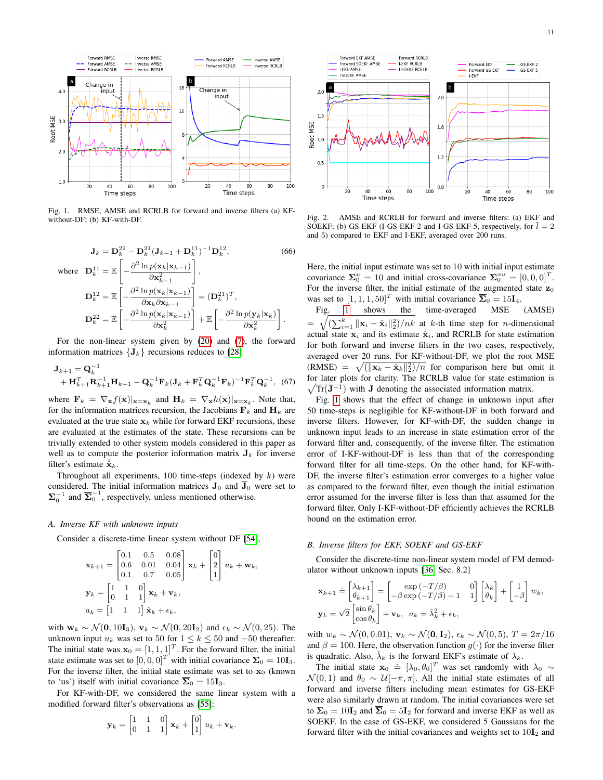

<span id="page-10-0"></span>Fig. 1. RMSE, AMSE and RCRLB for forward and inverse filters (a) KFwithout-DF; (b) KF-with-DF.

$$
\mathbf{J}_{k} = \mathbf{D}_{k}^{22} - \mathbf{D}_{k}^{21} (\mathbf{J}_{k-1} + \mathbf{D}_{k}^{11})^{-1} \mathbf{D}_{k}^{12},
$$
\n(66)

\nwhere 
$$
\mathbf{D}_{k}^{11} = \mathbb{E} \left[ -\frac{\partial^{2} \ln p(\mathbf{x}_{k} | \mathbf{x}_{k-1})}{\partial \mathbf{x}_{k-1}^{2}} \right],
$$

\n
$$
\mathbf{D}_{k}^{12} = \mathbb{E} \left[ -\frac{\partial^{2} \ln p(\mathbf{x}_{k} | \mathbf{x}_{k-1})}{\partial \mathbf{x}_{k} \partial \mathbf{x}_{k-1}} \right] = (\mathbf{D}_{k}^{21})^{T},
$$

\n
$$
\mathbf{D}_{k}^{22} = \mathbb{E} \left[ -\frac{\partial^{2} \ln p(\mathbf{x}_{k} | \mathbf{x}_{k-1})}{\partial \mathbf{x}_{k}^{2}} \right] + \mathbb{E} \left[ -\frac{\partial^{2} \ln p(\mathbf{y}_{k} | \mathbf{x}_{k})}{\partial \mathbf{x}_{k}^{2}} \right].
$$

For the non-linear system given by [\(20\)](#page-3-4) and [\(7\)](#page-1-1), the forward information matrices  ${J_k}$  recursions reduces to [\[28\]](#page-16-27)

$$
\mathbf{J}_{k+1} = \mathbf{Q}_k^{-1} \n+ \mathbf{H}_{k+1}^T \mathbf{R}_{k+1}^{-1} \mathbf{H}_{k+1} - \mathbf{Q}_k^{-1} \mathbf{F}_k (\mathbf{J}_k + \mathbf{F}_k^T \mathbf{Q}_k^{-1} \mathbf{F}_k)^{-1} \mathbf{F}_k^T \mathbf{Q}_k^{-1},
$$
(67)

where  $\mathbf{F}_k = \nabla_{\mathbf{x}} f(\mathbf{x})|_{\mathbf{x}=\mathbf{x}_k}$  and  $\mathbf{H}_k = \nabla_{\mathbf{x}} h(\mathbf{x})|_{\mathbf{x}=\mathbf{x}_k}$ . Note that, for the information matrices recursion, the Jacobians  $F_k$  and  $H_k$  are evaluated at the true state  $x_k$  while for forward EKF recursions, these are evaluated at the estimates of the state. These recursions can be trivially extended to other system models considered in this paper as well as to compute the posterior information matrix  $\bar{J}_k$  for inverse filter's estimate  $\hat{\hat{\mathbf{x}}}_k$ .

Throughout all experiments,  $100$  time-steps (indexed by  $k$ ) were considered. The initial information matrices  $J_0$  and  $\overline{J}_0$  were set to  $\Sigma_0^{-1}$  and  $\overline{\Sigma}_0^{-1}$ , respectively, unless mentioned otherwise.

### *A. Inverse KF with unknown inputs*

Consider a discrete-time linear system without DF [\[54\]](#page-16-53),

$$
\mathbf{x}_{k+1} = \begin{bmatrix} 0.1 & 0.5 & 0.08 \\ 0.6 & 0.01 & 0.04 \\ 0.1 & 0.7 & 0.05 \end{bmatrix} \mathbf{x}_k + \begin{bmatrix} 0 \\ 2 \\ 1 \end{bmatrix} u_k + \mathbf{w}_k,
$$
  

$$
\mathbf{y}_k = \begin{bmatrix} 1 & 1 & 0 \\ 0 & 1 & 1 \end{bmatrix} \mathbf{x}_k + \mathbf{v}_k,
$$
  

$$
a_k = \begin{bmatrix} 1 & 1 & 1 \end{bmatrix} \hat{\mathbf{x}}_k + \epsilon_k,
$$

with  $w_k \sim \mathcal{N}(0, 10I_3)$ ,  $v_k \sim \mathcal{N}(0, 20I_2)$  and  $\epsilon_k \sim \mathcal{N}(0, 25)$ . The unknown input  $u_k$  was set to 50 for  $1 \leq k \leq 50$  and  $-50$  thereafter. The initial state was  $\mathbf{x}_0 = [1, 1, 1]^T$ . For the forward filter, the initial state estimate was set to  $[0, 0, 0]^T$  with initial covariance  $\Sigma_0 = 10I_3$ . For the inverse filter, the initial state estimate was set to  $x_0$  (known to 'us') itself with initial covariance  $\overline{\Sigma}_0 = 15I_3$ .

For KF-with-DF, we considered the same linear system with a modified forward filter's observations as [\[55\]](#page-16-54):

$$
\mathbf{y}_k = \begin{bmatrix} 1 & 1 & 0 \\ 0 & 1 & 1 \end{bmatrix} \mathbf{x}_k + \begin{bmatrix} 0 \\ 1 \end{bmatrix} u_k + \mathbf{v}_k.
$$



<span id="page-10-3"></span>Fig. 2. AMSE and RCRLB for forward and inverse filters: (a) EKF and SOEKF; (b) GS-EKF (I-GS-EKF-2 and I-GS-EKF-5, respectively, for  $\overline{l} = 2$ and 5) compared to EKF and I-EKF, averaged over 200 runs.

<span id="page-10-2"></span>Here, the initial input estimate was set to 10 with initial input estimate covariance  $\Sigma_0^u = 10$  and initial cross-covariance  $\Sigma_0^{xu} = [0, 0, 0]^T$ . For the inverse filter, the initial estimate of the augmented state  $z_0$ was set to  $[1, 1, 1, 50]^T$  with initial covariance  $\overline{\Sigma}_0 = 15\mathbf{I}_4$ .

Fig. [1](#page-10-0) shows the time-averaged MSE (AMSE) =  $\sqrt{\left(\sum_{i=1}^k ||\mathbf{x}_i - \hat{\mathbf{x}}_i||_2^2\right)/nk}$  at k-th time step for *n*-dimensional actual state  $x_i$  and its estimate  $\hat{x}_i$ , and RCRLB for state estimation for both forward and inverse filters in the two cases, respectively, averaged over 20 runs. For KF-without-DF, we plot the root MSE (RMSE) =  $\sqrt{\left(\|\mathbf{x}_k - \hat{\mathbf{x}}_k\|_2^2\right)/n}$  for comparison here but omit it for later plots for clarity. The RCRLB value for state estimation is  $\sqrt{\text{Tr}(\mathbf{J}^{-1})}$  with J denoting the associated information matrix.

<span id="page-10-1"></span>Fig. [1](#page-10-0) shows that the effect of change in unknown input after 50 time-steps is negligible for KF-without-DF in both forward and inverse filters. However, for KF-with-DF, the sudden change in unknown input leads to an increase in state estimation error of the forward filter and, consequently, of the inverse filter. The estimation error of I-KF-without-DF is less than that of the corresponding forward filter for all time-steps. On the other hand, for KF-with-DF, the inverse filter's estimation error converges to a higher value as compared to the forward filter, even though the initial estimation error assumed for the inverse filter is less than that assumed for the forward filter. Only I-KF-without-DF efficiently achieves the RCRLB bound on the estimation error.

#### <span id="page-10-4"></span>*B. Inverse filters for EKF, SOEKF and GS-EKF*

Consider the discrete-time non-linear system model of FM demodulator without unknown inputs [\[36,](#page-16-35) Sec. 8.2]

$$
\mathbf{x}_{k+1} \doteq \begin{bmatrix} \lambda_{k+1} \\ \theta_{k+1} \end{bmatrix} = \begin{bmatrix} \exp(-T/\beta) & 0 \\ -\beta \exp(-T/\beta) - 1 & 1 \end{bmatrix} \begin{bmatrix} \lambda_k \\ \theta_k \end{bmatrix} + \begin{bmatrix} 1 \\ -\beta \end{bmatrix} w_k,
$$
  

$$
\mathbf{y}_k = \sqrt{2} \begin{bmatrix} \sin \theta_k \\ \cos \theta_k \end{bmatrix} + \mathbf{v}_k, \ a_k = \hat{\lambda}_k^2 + \epsilon_k,
$$

with  $w_k \sim \mathcal{N}(0, 0.01)$ ,  $\mathbf{v}_k \sim \mathcal{N}(\mathbf{0}, \mathbf{I}_2)$ ,  $\epsilon_k \sim \mathcal{N}(0, 5)$ ,  $T = 2\pi/16$ and  $\beta = 100$ . Here, the observation function  $g(\cdot)$  for the inverse filter is quadratic. Also,  $\hat{\lambda}_k$  is the forward EKF's estimate of  $\lambda_k$ .

The initial state  $\mathbf{x}_0 \doteq [\lambda_0, \theta_0]^T$  was set randomly with  $\lambda_0 \sim$  $\mathcal{N}(0, 1)$  and  $\theta_0 \sim \mathcal{U}[-\pi, \pi]$ . All the initial state estimates of all forward and inverse filters including mean estimates for GS-EKF were also similarly drawn at random. The initial covariances were set to  $\Sigma_0 = 10I_2$  and  $\overline{\Sigma}_0 = 5I_2$  for forward and inverse EKF as well as SOEKF. In the case of GS-EKF, we considered 5 Gaussians for the forward filter with the initial covariances and weights set to  $10I<sub>2</sub>$  and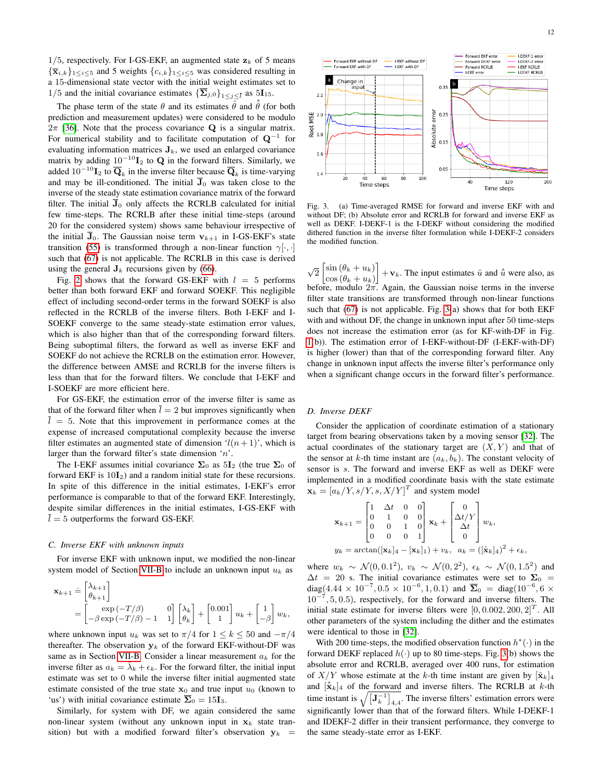$1/5$ , respectively. For I-GS-EKF, an augmented state  $z_k$  of 5 means  ${\{\overline{\mathbf{x}}_{i,k}\}_{1\leq i\leq 5}}$  and 5 weights  ${c_{i,k}\}_{1\leq i\leq 5}}$  was considered resulting in a 15-dimensional state vector with the initial weight estimates set to 1/5 and the initial covariance estimates  $\{\mathbf\Sigma_{j,0}\}_{1\leq j\leq \bar{l}}$  as 5I<sub>15</sub>.

The phase term of the state  $\theta$  and its estimates  $\hat{\theta}$  and  $\hat{\theta}$  (for both prediction and measurement updates) were considered to be modulo  $2\pi$  [\[36\]](#page-16-35). Note that the process covariance **Q** is a singular matrix. For numerical stability and to facilitate computation of  $Q^{-1}$  for evaluating information matrices  $J_k$ , we used an enlarged covariance matrix by adding  $10^{-10}I_2$  to Q in the forward filters. Similarly, we added  $10^{-10}I_2$  to  $\overline{\mathbf{Q}}_k$  in the inverse filter because  $\overline{\mathbf{Q}}_k$  is time-varying and may be ill-conditioned. The initial  $\overline{J}_0$  was taken close to the inverse of the steady state estimation covariance matrix of the forward filter. The initial  $\bar{J}_0$  only affects the RCRLB calculated for initial few time-steps. The RCRLB after these initial time-steps (around 20 for the considered system) shows same behaviour irrespective of the initial  $\overline{J}_0$ . The Gaussian noise term  $v_{k+1}$  in I-GS-EKF's state transition [\(55\)](#page-6-2) is transformed through a non-linear function  $\gamma[\cdot, \cdot]$ such that [\(67\)](#page-10-1) is not applicable. The RCRLB in this case is derived using the general  $J_k$  recursions given by [\(66\)](#page-10-2).

Fig. [2](#page-10-3) shows that the forward GS-EKF with  $l = 5$  performs better than both forward EKF and forward SOEKF. This negligible effect of including second-order terms in the forward SOEKF is also reflected in the RCRLB of the inverse filters. Both I-EKF and I-SOEKF converge to the same steady-state estimation error values, which is also higher than that of the corresponding forward filters. Being suboptimal filters, the forward as well as inverse EKF and SOEKF do not achieve the RCRLB on the estimation error. However, the difference between AMSE and RCRLB for the inverse filters is less than that for the forward filters. We conclude that I-EKF and I-SOEKF are more efficient here.

For GS-EKF, the estimation error of the inverse filter is same as that of the forward filter when  $\bar{l} = 2$  but improves significantly when  $\overline{l} = 5$ . Note that this improvement in performance comes at the expense of increased computational complexity because the inverse filter estimates an augmented state of dimension  $l(n + 1)$ , which is larger than the forward filter's state dimension 'n'.

The I-EKF assumes initial covariance  $\Sigma_0$  as  $5I_2$  (the true  $\Sigma_0$  of forward EKF is  $10I<sub>2</sub>$ ) and a random initial state for these recursions. In spite of this difference in the initial estimates, I-EKF's error performance is comparable to that of the forward EKF. Interestingly, despite similar differences in the initial estimates, I-GS-EKF with  $\overline{l} = 5$  outperforms the forward GS-EKF.

#### *C. Inverse EKF with unknown inputs*

For inverse EKF with unknown input, we modified the non-linear system model of Section [VII-B](#page-10-4) to include an unknown input  $u_k$  as

$$
\mathbf{x}_{k+1} \doteq \begin{bmatrix} \lambda_{k+1} \\ \theta_{k+1} \end{bmatrix}
$$
  
= 
$$
\begin{bmatrix} \exp(-T/\beta) & 0 \\ -\beta \exp(-T/\beta) - 1 & 1 \end{bmatrix} \begin{bmatrix} \lambda_k \\ \theta_k \end{bmatrix} + \begin{bmatrix} 0.001 \\ 1 \end{bmatrix} u_k + \begin{bmatrix} 1 \\ -\beta \end{bmatrix} w_k,
$$

where unknown input  $u_k$  was set to  $\pi/4$  for  $1 \le k \le 50$  and  $-\pi/4$ thereafter. The observation  $y_k$  of the forward EKF-without-DF was same as in Section [VII-B.](#page-10-4) Consider a linear measurement  $a_k$  for the inverse filter as  $a_k = \lambda_k + \epsilon_k$ . For the forward filter, the initial input estimate was set to 0 while the inverse filter initial augmented state estimate consisted of the true state  $x_0$  and true input  $u_0$  (known to 'us') with initial covariance estimate  $\overline{\Sigma}_0 = 15I_3$ .

Similarly, for system with DF, we again considered the same non-linear system (without any unknown input in  $x_k$  state transition) but with a modified forward filter's observation  $y_k$  =



<span id="page-11-1"></span>Fig. 3. (a) Time-averaged RMSE for forward and inverse EKF with and without DF; (b) Absolute error and RCRLB for forward and inverse EKF as well as DEKF. I-DEKF-1 is the I-DEKF without considering the modified dithered function in the inverse filter formulation while I-DEKF-2 considers the modified function.

 $\sqrt{2} \left[ \sin \left( \theta_k + u_k \right) \right]$  $\cos(\theta_k + u_k)$  $\left] +\mathbf{v}_k$ . The input estimates  $\hat{u}$  and  $\hat{u}$  were also, as before, modulo  $2\pi$ . Again, the Gaussian noise terms in the inverse filter state transitions are transformed through non-linear functions such that  $(67)$  is not applicable. Fig.  $3(a)$  shows that for both EKF with and without DF, the change in unknown input after 50 time-steps does not increase the estimation error (as for KF-with-DF in Fig. [1\(](#page-10-0)b)). The estimation error of I-EKF-without-DF (I-EKF-with-DF) is higher (lower) than that of the corresponding forward filter. Any change in unknown input affects the inverse filter's performance only when a significant change occurs in the forward filter's performance.

#### <span id="page-11-0"></span>*D. Inverse DEKF*

Consider the application of coordinate estimation of a stationary target from bearing observations taken by a moving sensor [\[32\]](#page-16-31). The actual coordinates of the stationary target are  $(X, Y)$  and that of the sensor at k-th time instant are  $(a_k, b_k)$ . The constant velocity of sensor is s. The forward and inverse EKF as well as DEKF were implemented in a modified coordinate basis with the state estimate  $\mathbf{x}_k = [a_k/Y, s/Y, s, X/Y]^T$  and system model

$$
\mathbf{x}_{k+1} = \begin{bmatrix} 1 & \Delta t & 0 & 0 \\ 0 & 1 & 0 & 0 \\ 0 & 0 & 1 & 0 \\ 0 & 0 & 0 & 1 \end{bmatrix} \mathbf{x}_k + \begin{bmatrix} 0 \\ \Delta t/Y \\ \Delta t \\ 0 \end{bmatrix} w_k,
$$
  

$$
y_k = \arctan([\mathbf{x}_k]_4 - [\mathbf{x}_k]_1) + v_k, \quad a_k = ([\hat{\mathbf{x}}_k]_4)^2 + \epsilon_k,
$$

where  $w_k \sim \mathcal{N}(0, 0.1^2)$ ,  $v_k \sim \mathcal{N}(0, 2^2)$ ,  $\epsilon_k \sim \mathcal{N}(0, 1.5^2)$  and  $\Delta t = 20$  s. The initial covariance estimates were set to  $\Sigma_0 =$ diag(4.44 × 10<sup>-7</sup>, 0.5 × 10<sup>-6</sup>, 1, 0.1) and  $\overline{\Sigma}_0 = \text{diag}(10^{-6}, 6 \times$ 10<sup>−</sup><sup>7</sup> , 5, 0.5), respectively, for the forward and inverse filters. The initial state estimate for inverse filters were  $[0, 0.002, 200, 2]^T$ . All other parameters of the system including the dither and the estimates were identical to those in [\[32\]](#page-16-31).

With 200 time-steps, the modified observation function  $h^*(\cdot)$  in the forward DEKF replaced  $h(\cdot)$  up to 80 time-steps. Fig. [3\(](#page-11-1)b) shows the absolute error and RCRLB, averaged over 400 runs, for estimation of  $X/Y$  whose estimate at the k-th time instant are given by  $[\hat{\mathbf{x}}_k]_4$ and  $[\hat{\mathbf{x}}_k]_4$  of the forward and inverse filters. The RCRLB at k-th time instant is  $\sqrt{\left[\mathbf{J}_k^{-1}\right]_{4,4}}$ . The inverse filters' estimation errors were significantly lower than that of the forward filters. While I-DEKF-1 and IDEKF-2 differ in their transient performance, they converge to the same steady-state error as I-EKF.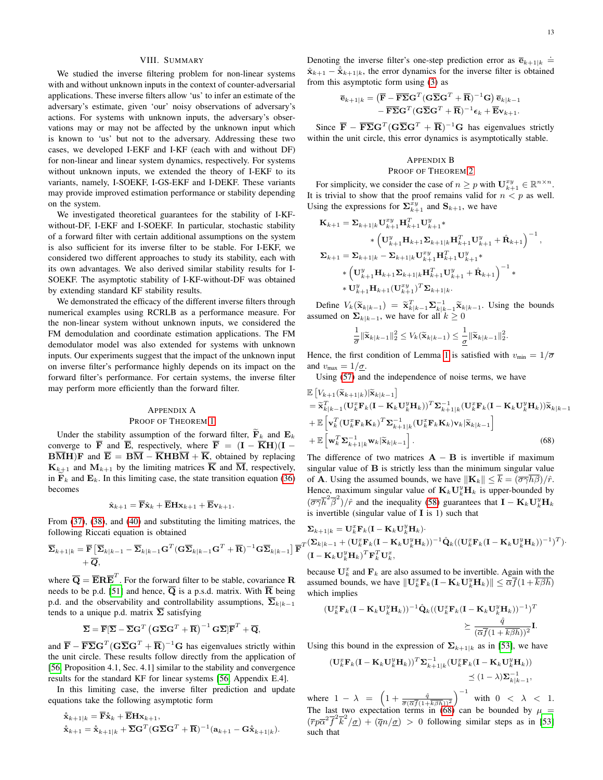## VIII. SUMMARY

<span id="page-12-0"></span>We studied the inverse filtering problem for non-linear systems with and without unknown inputs in the context of counter-adversarial applications. These inverse filters allow 'us' to infer an estimate of the adversary's estimate, given 'our' noisy observations of adversary's actions. For systems with unknown inputs, the adversary's observations may or may not be affected by the unknown input which is known to 'us' but not to the adversary. Addressing these two cases, we developed I-EKF and I-KF (each with and without DF) for non-linear and linear system dynamics, respectively. For systems without unknown inputs, we extended the theory of I-EKF to its variants, namely, I-SOEKF, I-GS-EKF and I-DEKF. These variants may provide improved estimation performance or stability depending on the system.

We investigated theoretical guarantees for the stability of I-KFwithout-DF, I-EKF and I-SOEKF. In particular, stochastic stability of a forward filter with certain additional assumptions on the system is also sufficient for its inverse filter to be stable. For I-EKF, we considered two different approaches to study its stability, each with its own advantages. We also derived similar stability results for I-SOEKF. The asymptotic stability of I-KF-without-DF was obtained by extending standard KF stability results.

We demonstrated the efficacy of the different inverse filters through numerical examples using RCRLB as a performance measure. For the non-linear system without unknown inputs, we considered the FM demodulation and coordinate estimation applications. The FM demodulator model was also extended for systems with unknown inputs. Our experiments suggest that the impact of the unknown input on inverse filter's performance highly depends on its impact on the forward filter's performance. For certain systems, the inverse filter may perform more efficiently than the forward filter.

## <span id="page-12-1"></span>APPENDIX A PROOF OF THEOREM [1](#page-7-0)

Under the stability assumption of the forward filter,  $\mathbf{F}_k$  and  $\mathbf{E}_k$ converge to  $\overline{F}$  and  $\overline{E}$ , respectively, where  $\overline{F} = (\mathbf{I} - \overline{K}\mathbf{H})(\mathbf{I} \overline{BM}$ F and  $\overline{E} = \overline{BM} - \overline{K} \overline{HB} \overline{M} + \overline{K}$ , obtained by replacing  $\mathbf{K}_{k+1}$  and  $\mathbf{M}_{k+1}$  by the limiting matrices  $\overline{\mathbf{K}}$  and  $\overline{\mathbf{M}}$ , respectively, in  $\mathbf{F}_k$  and  $\mathbf{E}_k$ . In this limiting case, the state transition equation [\(36\)](#page-4-10) becomes

$$
\hat{\mathbf{x}}_{k+1} = \overline{\mathbf{F}} \hat{\mathbf{x}}_k + \overline{\mathbf{E}} \mathbf{H} \mathbf{x}_{k+1} + \overline{\mathbf{E}} \mathbf{v}_{k+1}.
$$

From [\(37\)](#page-4-9), [\(38\)](#page-4-5), and [\(40\)](#page-4-6) and substituting the limiting matrices, the following Riccati equation is obtained

$$
\overline{\boldsymbol{\Sigma}}_{k+1|k} = \overline{\mathbf{F}} \left[ \overline{\boldsymbol{\Sigma}}_{k|k-1} - \overline{\boldsymbol{\Sigma}}_{k|k-1} \mathbf{G}^T (\mathbf{G} \overline{\boldsymbol{\Sigma}}_{k|k-1} \mathbf{G}^T + \overline{\mathbf{R}})^{-1} \mathbf{G} \overline{\boldsymbol{\Sigma}}_{k|k-1} \right] \overline{\mathbf{F}} + \overline{\boldsymbol{Q}},
$$

where  $\overline{Q} = \overline{E} R \overline{E}^T$ . For the forward filter to be stable, covariance R needs to be p.d. [\[51\]](#page-16-50) and hence,  $\overline{Q}$  is a p.s.d. matrix. With  $\overline{R}$  being p.d. and the observability and controllability assumptions,  $\overline{\Sigma}_{k|k-1}$ tends to a unique p.d. matrix  $\overline{\Sigma}$  satisfying

$$
\overline{\boldsymbol{\Sigma}} = \overline{\mathbf{F}}[\overline{\boldsymbol{\Sigma}} - \overline{\boldsymbol{\Sigma}}\mathbf{G}^T \left(\mathbf{G}\overline{\boldsymbol{\Sigma}}\mathbf{G}^T + \overline{\mathbf{R}}\right)^{-1} \mathbf{G}\overline{\boldsymbol{\Sigma}}] \overline{\mathbf{F}}^T + \overline{\mathbf{Q}},
$$

and  $\overline{\mathbf{F}} - \overline{\mathbf{F} \boldsymbol{\Sigma}} \mathbf{G}^T (\mathbf{G} \overline{\boldsymbol{\Sigma}} \mathbf{G}^T + \overline{\mathbf{R}})^{-1} \mathbf{G}$  has eigenvalues strictly within the unit circle. These results follow directly from the application of [\[56,](#page-17-0) Proposition 4.1, Sec. 4.1] similar to the stability and convergence results for the standard KF for linear systems [\[56,](#page-17-0) Appendix E.4].

In this limiting case, the inverse filter prediction and update equations take the following asymptotic form

$$
\hat{\hat{\mathbf{x}}}_{k+1|k} = \overline{\mathbf{F}} \hat{\mathbf{x}}_k + \overline{\mathbf{E}} \mathbf{H} \mathbf{x}_{k+1},
$$
  

$$
\hat{\mathbf{x}}_{k+1} = \hat{\mathbf{x}}_{k+1|k} + \overline{\mathbf{\Sigma}} \mathbf{G}^T (\mathbf{G} \overline{\mathbf{\Sigma}} \mathbf{G}^T + \overline{\mathbf{R}})^{-1} (\mathbf{a}_{k+1} - \mathbf{G} \hat{\mathbf{x}}_{k+1|k}).
$$

Denoting the inverse filter's one-step prediction error as  $\overline{e}_{k+1|k}$  =  $\hat{\mathbf{x}}_{k+1} - \hat{\hat{\mathbf{x}}}_{k+1|k}$ , the error dynamics for the inverse filter is obtained from this asymptotic form using [\(3\)](#page-1-6) as

$$
\begin{aligned} \overline{\mathbf{e}}_{k+1|k} &= \left( \overline{\mathbf{F}} - \overline{\mathbf{F}} \overline{\boldsymbol{\Sigma}} \mathbf{G}^T (\mathbf{G} \overline{\boldsymbol{\Sigma}} \mathbf{G}^T + \overline{\mathbf{R}})^{-1} \mathbf{G} \right) \overline{\mathbf{e}}_{k|k-1} \\ &- \overline{\mathbf{F} \boldsymbol{\Sigma}} \mathbf{G}^T (\mathbf{G} \overline{\boldsymbol{\Sigma}} \mathbf{G}^T + \overline{\mathbf{R}})^{-1} \mathbf{e}_k + \overline{\mathbf{E}} \mathbf{v}_{k+1}. \end{aligned}
$$

Since  $\overline{\mathbf{F}} - \overline{\mathbf{F} \Sigma} \mathbf{G}^T (\mathbf{G} \overline{\Sigma} \mathbf{G}^T + \overline{\mathbf{R}})^{-1} \mathbf{G}$  has eigenvalues strictly within the unit circle, this error dynamics is asymptotically stable.

#### <span id="page-12-2"></span>APPENDIX B PROOF OF THEOREM [2](#page-7-2)

For simplicity, we consider the case of  $n \geq p$  with  $\mathbf{U}_{k+1}^{xy} \in \mathbb{R}^{n \times n}$ . It is trivial to show that the proof remains valid for  $n < p$  as well. Using the expressions for  $\sum_{k+1}^{\bar{x}y}$  and  $\mathbf{S}_{k+1}$ , we have

$$
\begin{aligned} \mathbf{K}_{k+1} &= \mathbf{\Sigma}_{k+1|k} \mathbf{U}_{k+1}^{xy} \mathbf{H}_{k+1}^T \mathbf{U}_{k+1}^y* \\ &\quad \qquad \ast \left( \mathbf{U}_{k+1}^y \mathbf{H}_{k+1} \mathbf{\Sigma}_{k+1|k} \mathbf{H}_{k+1}^T \mathbf{U}_{k+1}^y + \hat{\mathbf{R}}_{k+1} \right)^{-1}, \\ \mathbf{\Sigma}_{k+1} &= \mathbf{\Sigma}_{k+1|k} - \mathbf{\Sigma}_{k+1|k} \mathbf{U}_{k+1}^{xy} \mathbf{H}_{k+1}^T \mathbf{U}_{k+1}^y* \\ &\quad \qquad \ast \left( \mathbf{U}_{k+1}^y \mathbf{H}_{k+1} \mathbf{\Sigma}_{k+1|k} \mathbf{H}_{k+1}^T \mathbf{U}_{k+1}^y + \hat{\mathbf{R}}_{k+1} \right)^{-1} * \\ &\quad \qquad \ast \mathbf{U}_{k+1}^y \mathbf{H}_{k+1} (\mathbf{U}_{k+1}^{xy})^T \mathbf{\Sigma}_{k+1|k}. \end{aligned}
$$

Define  $V_k(\tilde{\mathbf{x}}_{k|k-1}) = \tilde{\mathbf{x}}_{k|k-1}^T \Sigma_{k|k-1}^{-1} \tilde{\mathbf{x}}_{k|k-1}$ . Using the bounds assumed on  $\Sigma_{k|k-1}$ , we have for all  $k \geq 0$ 

<span id="page-12-3"></span>
$$
\frac{1}{\sigma} \|\widetilde{\mathbf{x}}_{k|k-1}\|_2^2 \leq V_k(\widetilde{\mathbf{x}}_{k|k-1}) \leq \frac{1}{\underline{\sigma}} \|\widetilde{\mathbf{x}}_{k|k-1}\|_2^2.
$$

Hence, the first condition of Lemma [1](#page-6-1) is satisfied with  $v_{\text{min}} = 1/\overline{\sigma}$ and  $v_{\text{max}} = 1/\sigma$ .

Using [\(57\)](#page-7-3) and the independence of noise terms, we have

$$
\mathbb{E}\left[V_{k+1}(\widetilde{\mathbf{x}}_{k+1|k})|\widetilde{\mathbf{x}}_{k|k-1}\right] \n= \widetilde{\mathbf{x}}_{k|k-1}^T(\mathbf{U}_k^T\mathbf{F}_k(\mathbf{I}-\mathbf{K}_k\mathbf{U}_k^y\mathbf{H}_k))^T \mathbf{\Sigma}_{k+1|k}^{-1}(\mathbf{U}_k^x\mathbf{F}_k(\mathbf{I}-\mathbf{K}_k\mathbf{U}_k^y\mathbf{H}_k))\widetilde{\mathbf{x}}_{k|k-1} \n+ \mathbb{E}\left[\mathbf{v}_k^T(\mathbf{U}_k^x\mathbf{F}_k\mathbf{K}_k)^T \mathbf{\Sigma}_{k+1|k}^{-1}(\mathbf{U}_k^x\mathbf{F}_k\mathbf{K}_k)\mathbf{v}_k|\widetilde{\mathbf{x}}_{k|k-1}\right] \n+ \mathbb{E}\left[\mathbf{w}_k^T\mathbf{\Sigma}_{k+1|k}^{-1}\mathbf{w}_k|\widetilde{\mathbf{x}}_{k|k-1}\right].
$$
\n(68)

The difference of two matrices  $\mathbf{A} - \mathbf{B}$  is invertible if maximum singular value of B is strictly less than the minimum singular value of **A**. Using the assumed bounds, we have  $\|\mathbf{K}_k\| \leq \overline{k} = (\overline{\sigma}\overline{\gamma}\overline{h}\overline{\beta})/\hat{r}$ . Hence, maximum singular value of  $\mathbf{K}_k \mathbf{U}_k^y \mathbf{H}_k$  is upper-bounded by  $(\overline{\sigma\gamma}\overline{h}^2\overline{\beta}^2)/\hat{r}$  and the inequality [\(58\)](#page-7-4) guarantees that  $\mathbf{I} - \mathbf{K}_k \mathbf{U}_k^y \mathbf{H}_k$ is invertible (singular value of  $\bf{I}$  is 1) such that

$$
\begin{aligned} &\boldsymbol{\Sigma}_{k+1|k}=\mathbf{U}_k^x\mathbf{F}_k(\mathbf{I}-\mathbf{K}_k\mathbf{U}_k^y\mathbf{H}_k)\cdot\\ &\cdot \tau (\boldsymbol{\Sigma}_{k|k-1}+(\mathbf{U}_k^x\mathbf{F}_k(\mathbf{I}-\mathbf{K}_k\mathbf{U}_k^y\mathbf{H}_k))^{-1}\hat{\mathbf{Q}}_k((\mathbf{U}_k^x\mathbf{F}_k(\mathbf{I}-\mathbf{K}_k\mathbf{U}_k^y\mathbf{H}_k))^{-1})^T)\cdot\\ &(\mathbf{I}-\mathbf{K}_k\mathbf{U}_k^y\mathbf{H}_k)^T\mathbf{F}_k^T\mathbf{U}_k^x, \end{aligned}
$$

because  $\mathbf{U}_k^x$  and  $\mathbf{F}_k$  are also assumed to be invertible. Again with the assumed bounds, we have  $\|\mathbf{U}_k^x\mathbf{F}_k(\mathbf{I}-\mathbf{K}_k\mathbf{U}_k^y\mathbf{H}_k)\| \leq \overline{\alpha}\overline{f}(1+\overline{k\beta h})$ which implies

$$
\begin{aligned} (\mathbf{U}_k^x \mathbf{F}_k (\mathbf{I} - \mathbf{K}_k \mathbf{U}_k^y \mathbf{H}_k))^{-1} \hat{\mathbf{Q}}_k ((\mathbf{U}_k^x \mathbf{F}_k (\mathbf{I} - \mathbf{K}_k \mathbf{U}_k^y \mathbf{H}_k))^{-1})^T \\ &\succeq \frac{\hat{q}}{(\overline{\alpha} \overline{f} (1 + \overline{k \beta h}))^2} \mathbf{I} . \end{aligned}
$$

Using this bound in the expression of  $\Sigma_{k+1|k}$  as in [\[53\]](#page-16-52), we have

$$
\begin{aligned} (\mathbf{U}_{k}^{x} \mathbf{F}_{k} (\mathbf{I} - \mathbf{K}_{k} \mathbf{U}_{k}^{y} \mathbf{H}_{k}))^{T} \mathbf{\Sigma}_{k+1|k}^{-1} (\mathbf{U}_{k}^{x} \mathbf{F}_{k} (\mathbf{I} - \mathbf{K}_{k} \mathbf{U}_{k}^{y} \mathbf{H}_{k})) \\ &\leq (1 - \lambda) \mathbf{\Sigma}_{k|k-1}^{-1}, \end{aligned}
$$

where  $1 - \lambda = \left(1 + \frac{\hat{q}}{\overline{\sigma}(\overline{\alpha f}(1 + \overline{k\beta h}))^2}\right)^{-1}$  with  $0 < \lambda < 1$ . The last two expectation terms in [\(68\)](#page-12-3) can be bounded by  $\mu =$  $(\overline{r}p\overline{\alpha}^{2}\overline{f}^{2}\overline{k}^{2}/\underline{\sigma}) + (\overline{q}n/\underline{\sigma}) > 0$  following similar steps as in [\[53\]](#page-16-52) such that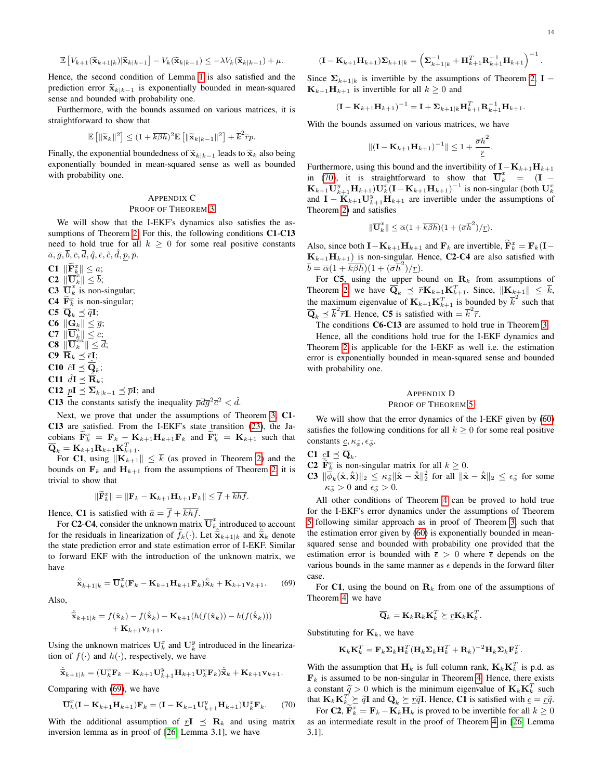$$
\mathbb{E}\left[V_{k+1}(\widetilde{\mathbf{x}}_{k+1|k})|\widetilde{\mathbf{x}}_{k|k-1}\right] - V_k(\widetilde{\mathbf{x}}_{k|k-1}) \leq -\lambda V_k(\widetilde{\mathbf{x}}_{k|k-1}) + \mu.
$$

Hence, the second condition of Lemma [1](#page-6-1) is also satisfied and the prediction error  $\tilde{\mathbf{x}}_{k|k-1}$  is exponentially bounded in mean-squared sense and bounded with probability one.

Furthermore, with the bounds assumed on various matrices, it is straightforward to show that

$$
\mathbb{E}\left[\|\widetilde{\mathbf{x}}_k\|^2\right] \le (1 + \overline{k\beta h})^2 \mathbb{E}\left[\|\widetilde{\mathbf{x}}_{k|k-1}\|^2\right] + \overline{k}^2 \overline{r} p.
$$

Finally, the exponential boundedness of  $\widetilde{\mathbf{x}}_{k|k-1}$  leads to  $\widetilde{\mathbf{x}}_k$  also being exponentially bounded in mean-squared sense as well as bounded with probability one.

## <span id="page-13-0"></span>APPENDIX C PROOF OF THEOREM [3](#page-8-0)

We will show that the I-EKF's dynamics also satisfies the as-sumptions of Theorem [2.](#page-7-2) For this, the following conditions C1-C13 need to hold true for all  $k \geq 0$  for some real positive constants  $\overline{a}, \overline{g}, \overline{b}, \overline{c}, \overline{d}, \hat{q}, \overline{\epsilon}, \hat{c}, \hat{d}, p, \overline{p}.$ 

 $\mathbf{C1} \parallel \widetilde{\mathbf{F}}_k^x \parallel \leq \overline{a};$  $\mathbf C2\,\,\|\overline{\mathbf U}_k^{x}\|\leq \overline b;$ **C3**  $\overline{\mathbf{U}}_k^x$  is non-singular; **C4**  $\widetilde{\mathbf{F}}_k^x$  is non-singular; C5  $\overline{\mathbf{Q}}_k \preceq \tilde{q}\mathbf{I};$ 

 $C6 \t ||G_k|| \leq \overline{g};$  $C7 \|\overline{\mathbf{U}}_k^{\widetilde{a}}\| \leq \overline{c};$  $C8 \left\| \overline{\mathbf{U}}_{k}^{\ddot{x} \ddot{a}} \right\| \leq \overline{d};$  $C9$   $\overline{R}_k \preceq \overline{\epsilon}I;$ C10  $\hat{c}\mathbf{I} \preceq \widehat{\overline{\mathbf{Q}}}_k$ ; **C11**  $\hat{dI} \preceq \hat{\overline{\mathbf{R}}_k}$ ; C12  $pI \preceq \overline{\Sigma}_{k|k-1} \preceq \overline{p}I$ ; and

**C13** the constants satisfy the inequality  $\overline{p}d\overline{g}^2\overline{c}^2 < d$ .

Next, we prove that under the assumptions of Theorem [3,](#page-8-0) C1- C13 are satisfied. From the I-EKF's state transition [\(23\)](#page-3-10), the Jacobians  $\widetilde{\mathbf{F}}_k^x = \mathbf{F}_k - \mathbf{K}_{k+1}\mathbf{H}_{k+1}\mathbf{F}_k$  and  $\widetilde{\mathbf{F}}_k^v = \mathbf{K}_{k+1}$  such that  $\overline{\mathbf{Q}}_k = \mathbf{K}_{k+1} \mathbf{R}_{k+1} \mathbf{K}_{k+1}^T.$ 

For C1, using  $\|\mathbf{K}_{k+1}\| \leq \overline{k}$  (as proved in Theorem [2\)](#page-7-2) and the bounds on  $\mathbf{F}_k$  and  $\mathbf{H}_{k+1}$  from the assumptions of Theorem [2,](#page-7-2) it is trivial to show that

$$
\|\widetilde{\mathbf{F}}_k^x\| = \|\mathbf{F}_k - \mathbf{K}_{k+1}\mathbf{H}_{k+1}\mathbf{F}_k\| \leq \overline{f} + \overline{khf}.
$$

Hence, C1 is satisfied with  $\overline{a} = \overline{f} + \overline{khf}$ .

For **C2-C4**, consider the unknown matrix  $\overline{\mathbf{U}}_k^x$  introduced to account for the residuals in linearization of  $f_k(\cdot)$ . Let  $\hat{\tilde{\mathbf{x}}}_{k+1|k}$  and  $\hat{\tilde{\mathbf{x}}}_k$  denote the state prediction error and state estimation error of I-EKF. Similar to forward EKF with the introduction of the unknown matrix, we have

$$
\hat{\widetilde{\mathbf{x}}}_{k+1|k} = \overline{\mathbf{U}}_k^x (\mathbf{F}_k - \mathbf{K}_{k+1} \mathbf{H}_{k+1} \mathbf{F}_k) \hat{\widetilde{\mathbf{x}}}_k + \mathbf{K}_{k+1} \mathbf{v}_{k+1}.
$$
 (69)

Also,

$$
\hat{\tilde{\mathbf{x}}}_{k+1|k} = f(\hat{\mathbf{x}}_k) - f(\hat{\tilde{\mathbf{x}}}_k) - \mathbf{K}_{k+1}(h(f(\hat{\mathbf{x}}_k)) - h(f(\hat{\tilde{\mathbf{x}}}_k)))+ \mathbf{K}_{k+1}\mathbf{v}_{k+1}.
$$

Using the unknown matrices  $\mathbf{U}_k^x$  and  $\mathbf{U}_k^y$  introduced in the linearization of  $f(\cdot)$  and  $h(\cdot)$ , respectively, we have

$$
\hat{\tilde{\mathbf{x}}}_{k+1|k} = (\mathbf{U}_k^x \mathbf{F}_k - \mathbf{K}_{k+1} \mathbf{U}_{k+1}^y \mathbf{H}_{k+1} \mathbf{U}_k^x \mathbf{F}_k) \hat{\tilde{\mathbf{x}}}_k + \mathbf{K}_{k+1} \mathbf{v}_{k+1}.
$$

Comparing with [\(69\)](#page-13-2), we have

$$
\overline{\mathbf{U}}_k^x(\mathbf{I}-\mathbf{K}_{k+1}\mathbf{H}_{k+1})\mathbf{F}_k = (\mathbf{I}-\mathbf{K}_{k+1}\mathbf{U}_{k+1}^y\mathbf{H}_{k+1})\mathbf{U}_k^x\mathbf{F}_k. \tag{70}
$$

With the additional assumption of  $rI \preceq R_k$  and using matrix inversion lemma as in proof of [\[26,](#page-16-25) Lemma 3.1], we have

$$
(\mathbf{I} - \mathbf{K}_{k+1} \mathbf{H}_{k+1}) \mathbf{\Sigma}_{k+1|k} = \left(\mathbf{\Sigma}_{k+1|k}^{-1} + \mathbf{H}_{k+1}^T \mathbf{R}_{k+1}^{-1} \mathbf{H}_{k+1}\right)^{-1}.
$$

Since  $\Sigma_{k+1|k}$  is invertible by the assumptions of Theorem [2,](#page-7-2) **I** −  $\mathbf{K}_{k+1}\mathbf{H}_{k+1}$  is invertible for all  $k \geq 0$  and

$$
(\mathbf{I}-\mathbf{K}_{k+1}\mathbf{H}_{k+1})^{-1} = \mathbf{I} + \boldsymbol{\Sigma}_{k+1|k}\mathbf{H}_{k+1}^T \mathbf{R}_{k+1}^{-1} \mathbf{H}_{k+1}.
$$

With the bounds assumed on various matrices, we have

$$
\|(\mathbf{I}-\mathbf{K}_{k+1}\mathbf{H}_{k+1})^{-1}\| \leq 1 + \frac{\overline{\sigma}\overline{h}^2}{\underline{r}}.
$$

Furthermore, using this bound and the invertibility of  $\mathbf{I}-\mathbf{K}_{k+1}\mathbf{H}_{k+1}$ in [\(70\)](#page-13-3), it is straightforward to show that  $\overline{\mathbf{U}}_k^x = (\mathbf{I} \mathbf{K}_{k+1}\mathbf{U}_{k+1}^y\mathbf{H}_{k+1}\mathbf{)U}_{k}^x(\mathbf{I}-\mathbf{K}_{k+1}\mathbf{H}_{k+1})^{-1}$  is non-singular (both  $\mathbf{U}_{k}^x$ and  $\mathbf{I} - \mathbf{K}_{k+1} \mathbf{U}_{k+1}^y \mathbf{H}_{k+1}$  are invertible under the assumptions of Theorem [2\)](#page-7-2) and satisfies

$$
\|\overline{\mathbf{U}}_k^x\| \leq \overline{\alpha}(1 + \overline{k\beta h})(1 + (\overline{\sigma}\overline{h}^2)/\underline{r}).
$$

Also, since both  $\mathbf{I} - \mathbf{K}_{k+1} \mathbf{H}_{k+1}$  and  $\mathbf{F}_k$  are invertible,  $\widetilde{\mathbf{F}}_k^x = \mathbf{F}_k(\mathbf{I} - \mathbf{K}_{k+1})$  $K_{k+1}H_{k+1}$ ) is non-singular. Hence, C2-C4 are also satisfied with  $\overline{b} = \overline{\alpha}(1 + \overline{k\beta h})(1 + (\overline{\sigma}\overline{h}^2)/r).$ 

For C5, using the upper bound on  $\mathbf{R}_k$  from assumptions of Theorem [2,](#page-7-2) we have  $\overline{\mathbf{Q}}_k \preceq \overline{r}\mathbf{K}_{k+1}\mathbf{K}_{k+1}^T$ . Since,  $\|\mathbf{K}_{k+1}\| \leq \overline{k}$ , the maximum eigenvalue of  $\mathbf{K}_{k+1} \mathbf{K}_{k+1}^T$  is bounded by  $\overline{k}^2$  such that  $\overline{\mathbf{Q}}_k \preceq \overline{k}^2 \overline{r}$ **I**. Hence, **C5** is satisfied with  $= \overline{k}^2 \overline{r}$ .

The conditions C6-C13 are assumed to hold true in Theorem [3.](#page-8-0)

Hence, all the conditions hold true for the I-EKF dynamics and Theorem [2](#page-7-2) is applicable for the I-EKF as well i.e. the estimation error is exponentially bounded in mean-squared sense and bounded with probability one.

#### <span id="page-13-1"></span>APPENDIX D PROOF OF THEOREM [5](#page-8-3)

We will show that the error dynamics of the I-EKF given by [\(60\)](#page-8-4) satisfies the following conditions for all  $k \geq 0$  for some real positive constants  $\underline{c}, \kappa_{\bar{\phi}}, \epsilon_{\bar{\phi}}.$ 

- C1  $\underline{c}\mathbf{I} \preceq \mathbf{Q}_k$ .
- **C2**  $\widetilde{\mathbf{F}}_{k}^{x}$  is non-singular matrix for all  $k \geq 0$ .
- **C3**  $\|\overline{\phi}_k(\hat{\mathbf{x}}, \hat{\hat{\mathbf{x}}})\|_2 \leq \kappa_{\overline{\phi}} \|\hat{\mathbf{x}} \hat{\hat{\mathbf{x}}}\|_2^2$  for all  $\|\hat{\mathbf{x}} \hat{\hat{\mathbf{x}}}\|_2 \leq \epsilon_{\overline{\phi}}$  for some  $\kappa_{\bar{\phi}} > 0$  and  $\epsilon_{\bar{\phi}} > 0$ .

All other conditions of Theorem [4](#page-8-1) can be proved to hold true for the I-EKF's error dynamics under the assumptions of Theorem [5](#page-8-3) following similar approach as in proof of Theorem [3,](#page-8-0) such that the estimation error given by [\(60\)](#page-8-4) is exponentially bounded in meansquared sense and bounded with probability one provided that the estimation error is bounded with  $\bar{\epsilon} > 0$  where  $\bar{\epsilon}$  depends on the various bounds in the same manner as  $\epsilon$  depends in the forward filter case.

<span id="page-13-2"></span>For C1, using the bound on  $\mathbf{R}_k$  from one of the assumptions of Theorem [4,](#page-8-1) we have

$$
\overline{\mathbf{Q}}_k = \mathbf{K}_k \mathbf{R}_k \mathbf{K}_k^T \succeq \underline{r} \mathbf{K}_k \mathbf{K}_k^T.
$$

Substituting for  $\mathbf{K}_k$ , we have

$$
\mathbf{K}_k \mathbf{K}_k^T = \mathbf{F}_k \mathbf{\Sigma}_k \mathbf{H}_k^T (\mathbf{H}_k \mathbf{\Sigma}_k \mathbf{H}_k^T + \mathbf{R}_k)^{-2} \mathbf{H}_k \mathbf{\Sigma}_k \mathbf{F}_k^T.
$$

With the assumption that  $H_k$  is full column rank,  $K_k K_k^T$  is p.d. as  $\mathbf{F}_k$  is assumed to be non-singular in Theorem [4.](#page-8-1) Hence, there exists a constant  $\widetilde{q} > 0$  which is the minimum eigenvalue of  $\mathbf{K}_k \mathbf{K}_k^T$  such that  $\mathbf{K} \cdot \mathbf{K}^T > \widetilde{q} \mathbf{I}$  and  $\overline{\mathbf{Q}} \succ \widetilde{q} \widetilde{q} \mathbf{I}$ . Hence,  $\mathbf{Q} \mathbf{1}$  is satisfied with  $q = \widetilde{q} \widetilde{q}$ . that  $\mathbf{K}_k \mathbf{K}_k^T \succeq \tilde{q} \mathbf{I}$  and  $\overline{\mathbf{Q}}_k \succeq \tilde{r} \tilde{q} \mathbf{I}$ . Hence, C1 is satisfied with  $c = r\tilde{q}$ .<br>For  $C_2 \tilde{\mathbf{F}}^x - \mathbf{F} = \mathbf{K} \mathbf{H}$  is proved to be invertible for all  $k > 0$ .

<span id="page-13-3"></span>For **C2**,  $\widetilde{\mathbf{F}}_k^x = \mathbf{F}_k - \mathbf{K}_k \mathbf{H}_k$  is proved to be invertible for all  $k \ge 0$ as an intermediate result in the proof of Theorem [4](#page-8-1) in [\[26,](#page-16-25) Lemma 3.1].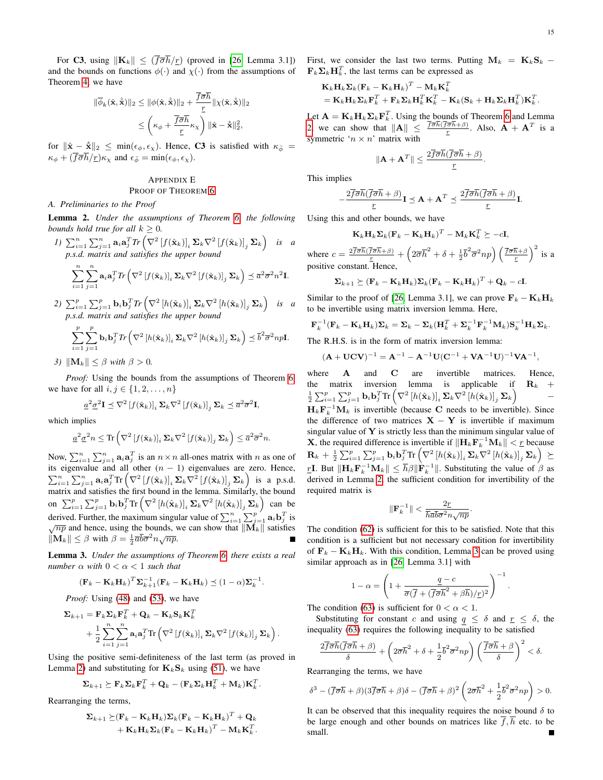For C3, using  $\|\mathbf{K}_k\| \leq (\overline{f} \overline{\sigma} \overline{h}/r)$  (proved in [\[26,](#page-16-25) Lemma 3.1]) and the bounds on functions  $\phi(\cdot)$  and  $\chi(\cdot)$  from the assumptions of Theorem [4,](#page-8-1) we have

$$
\begin{aligned} \|\overline{\phi}_k(\hat{\mathbf{x}}, \hat{\mathbf{x}})\|_2 &\leq \|\phi(\hat{\mathbf{x}}, \hat{\mathbf{x}})\|_2 + \frac{\overline{f}\overline{\sigma}\overline{h}}{r} \|\chi(\hat{\mathbf{x}}, \hat{\mathbf{x}})\|_2 \\ &\leq \left(\kappa_{\phi} + \frac{\overline{f}\overline{\sigma}\overline{h}}{r} \kappa_{\chi}\right) \|\hat{\mathbf{x}} - \hat{\mathbf{x}}\|_2^2, \end{aligned}
$$

for  $\|\hat{\mathbf{x}} - \hat{\hat{\mathbf{x}}}\|_2 \leq \min(\epsilon_{\phi}, \epsilon_{\chi})$ . Hence, C3 is satisfied with  $\kappa_{\bar{\phi}} =$  $\kappa_{\phi} + (\overline{f}\overline{\sigma}\overline{h}/\underline{r})\kappa_{\chi}$  and  $\epsilon_{\bar{\phi}} = \min(\epsilon_{\phi}, \epsilon_{\chi})$ .

# <span id="page-14-0"></span>APPENDIX E PROOF OF THEOREM [6](#page-9-1)

#### *A. Preliminaries to the Proof*

<span id="page-14-1"></span>Lemma 2. *Under the assumptions of Theorem [6,](#page-9-1) the following bounds hold true for all*  $k \geq 0$ *.* 

*I*) 
$$
\sum_{i=1}^{n} \sum_{j=1}^{n} \mathbf{a}_{i} \mathbf{a}_{j}^{T} \text{Tr} \left( \nabla^{2} \left[ f(\hat{\mathbf{x}}_{k}) \right]_{i} \Sigma_{k} \nabla^{2} \left[ f(\hat{\mathbf{x}}_{k}) \right]_{j} \Sigma_{k} \right)
$$
 is a  
p.s.d. matrix and satisfies the upper bound  

$$
\sum_{i=1}^{n} \sum_{j=1}^{n} \mathbf{a}_{i} \mathbf{a}_{j}^{T} \text{Tr} \left( \nabla^{2} \left[ f(\hat{\mathbf{x}}_{k}) \right]_{i} \Sigma_{k} \nabla^{2} \left[ f(\hat{\mathbf{x}}_{k}) \right]_{j} \Sigma_{k} \right) \preceq \overline{a}^{2} \overline{\sigma}^{2} n^{2} \mathbf{I}.
$$

2)  $\sum_{i=1}^p \sum_{j=1}^p \mathbf{b}_i \mathbf{b}_j^T Tr \left( \nabla^2 \left[ h(\hat{\mathbf{x}}_k) \right]_i \mathbf{\Sigma}_k \nabla^2 \left[ h(\hat{\mathbf{x}}_k) \right]_j \mathbf{\Sigma}_k \right)$  is a *p.s.d. matrix and satisfies the upper bound*

$$
\sum_{i=1}^{p} \sum_{j=1}^{p} \mathbf{b}_{i} \mathbf{b}_{j}^{T} \textit{Tr}\left(\nabla^{2} \left[h(\hat{\mathbf{x}}_{k})\right]_{i} \boldsymbol{\Sigma}_{k} \nabla^{2} \left[h(\hat{\mathbf{x}}_{k})\right]_{j} \boldsymbol{\Sigma}_{k}\right) \preceq \overline{b}^{2} \overline{\sigma}^{2} np\mathbf{I}.
$$

*3*)  $\|\mathbf{M}_k\| \leq \beta$  *with*  $\beta > 0$ *.* 

*Proof:* Using the bounds from the assumptions of Theorem [6,](#page-9-1) we have for all  $i, j \in \{1, 2, \ldots, n\}$ 

$$
\underline{a}^2 \underline{\sigma}^2 \mathbf{I} \preceq \nabla^2 \left[ f(\hat{\mathbf{x}}_k) \right]_i \Sigma_k \nabla^2 \left[ f(\hat{\mathbf{x}}_k) \right]_j \Sigma_k \preceq \overline{a}^2 \overline{\sigma}^2 \mathbf{I},
$$

which implies

$$
\underline{a}^2 \underline{\sigma}^2 n \leq \text{Tr}\left(\nabla^2 \left[f(\hat{\mathbf{x}}_k)\right]_i \Sigma_k \nabla^2 \left[f(\hat{\mathbf{x}}_k)\right]_j \Sigma_k\right) \leq \overline{a}^2 \overline{\sigma}^2 n.
$$

Now,  $\sum_{i=1}^{n} \sum_{j=1}^{n} \mathbf{a}_i \mathbf{a}_j^T$  is an  $n \times n$  all-ones matrix with n as one of its eigenvalue and all other  $(n - 1)$  eigenvalues are zero. Hence,  $\sum_{i=1}^n \sum_{j=1}^n \mathbf{a}_i \mathbf{a}_j^T \text{Tr} \left( \nabla^2 \left[ f(\hat{\mathbf{x}}_k) \right]_i \mathbf{\Sigma}_k \nabla^2 \left[ f(\hat{\mathbf{x}}_k) \right]_j \mathbf{\Sigma}_k \right)$  is a p.s.d. matrix and satisfies the first bound in the lemma. Similarly, the bound on  $\sum_{i=1}^p \sum_{j=1}^p \mathbf{b}_i \mathbf{b}_j^T$ Tr  $(\nabla^2 [h(\hat{\mathbf{x}}_k)]_i \Sigma_k \nabla^2 [h(\hat{\mathbf{x}}_k)]_j \Sigma_k)$  can be derived. Further, the maximum singular value of  $\sum_{i=1}^{n} \sum_{j=1}^{p} \mathbf{a}_i \mathbf{b}_j^T$  is  $\sqrt{np}$  and hence, using the bounds, we can show that  $\|\vec{M}_k\|$  satisfies  $\|\mathbf{M}_k\| \leq \beta$  with  $\beta = \frac{1}{2}\overline{a}\overline{b}\overline{\sigma}^2 n\sqrt{np}$ . Г

<span id="page-14-2"></span>Lemma 3. *Under the assumptions of Theorem [6,](#page-9-1) there exists a real number*  $\alpha$  *with*  $0 < \alpha < 1$  *such that* 

$$
(\mathbf{F}_k - \mathbf{K}_k \mathbf{H}_k)^T \mathbf{\Sigma}_{k+1}^{-1} (\mathbf{F}_k - \mathbf{K}_k \mathbf{H}_k) \preceq (1 - \alpha) \mathbf{\Sigma}_k^{-1}.
$$

*Proof:* Using [\(48\)](#page-5-6) and [\(53\)](#page-5-4), we have

$$
\Sigma_{k+1} = \mathbf{F}_{k} \Sigma_{k} \mathbf{F}_{k}^{T} + \mathbf{Q}_{k} - \mathbf{K}_{k} \mathbf{S}_{k} \mathbf{K}_{k}^{T} + \frac{1}{2} \sum_{i=1}^{n} \sum_{j=1}^{n} \mathbf{a}_{i} \mathbf{a}_{j}^{T} \text{Tr} \left( \nabla^{2} \left[ f(\hat{\mathbf{x}}_{k}) \right]_{i} \Sigma_{k} \nabla^{2} \left[ f(\hat{\mathbf{x}}_{k}) \right]_{j} \Sigma_{k} \right).
$$

Using the positive semi-definiteness of the last term (as proved in Lemma [2\)](#page-14-1) and substituting for  $\mathbf{K}_k \mathbf{S}_k$  using [\(51\)](#page-5-7), we have

$$
\boldsymbol{\Sigma}_{k+1} \succeq \mathbf{F}_k \boldsymbol{\Sigma}_k \mathbf{F}_k^T + \mathbf{Q}_k - (\mathbf{F}_k \boldsymbol{\Sigma}_k \mathbf{H}_k^T + \mathbf{M}_k) \mathbf{K}_k^T.
$$

Rearranging the terms,

$$
\Sigma_{k+1} \succeq (\mathbf{F}_k - \mathbf{K}_k \mathbf{H}_k) \Sigma_k (\mathbf{F}_k - \mathbf{K}_k \mathbf{H}_k)^T + \mathbf{Q}_k + \mathbf{K}_k \mathbf{H}_k \Sigma_k (\mathbf{F}_k - \mathbf{K}_k \mathbf{H}_k)^T - \mathbf{M}_k \mathbf{K}_k^T.
$$

First, we consider the last two terms. Putting  $\mathbf{M}_k = \mathbf{K}_k \mathbf{S}_k$  –  $\mathbf{F}_k \mathbf{\Sigma}_k \mathbf{H}_k^T$ , the last terms can be expressed as

$$
\mathbf{K}_k \mathbf{H}_k \mathbf{\Sigma}_k (\mathbf{F}_k - \mathbf{K}_k \mathbf{H}_k)^T - \mathbf{M}_k \mathbf{K}_k^T
$$
  
=  $\mathbf{K}_k \mathbf{H}_k \mathbf{\Sigma}_k \mathbf{F}_k^T + \mathbf{F}_k \mathbf{\Sigma}_k \mathbf{H}_k^T \mathbf{K}_k^T - \mathbf{K}_k (\mathbf{S}_k + \mathbf{H}_k \mathbf{\Sigma}_k \mathbf{H}_k^T) \mathbf{K}_k^T.$ 

Let  $\mathbf{A} = \mathbf{K}_k \mathbf{H}_k \mathbf{\Sigma}_k \mathbf{F}_k^T$ . Using the bounds of Theorem [6](#page-9-1) and Lemma [2,](#page-14-1) we can show that  $\|\mathbf{A}\| \leq \frac{f\overline{\sigma}h(f\overline{\sigma}h+\beta)}{r}$ . Also,  $\mathbf{A} + \mathbf{A}^T$  is a symmetric ' $n \times n$ ' matrix with

$$
\|\mathbf{A} + \mathbf{A}^T\| \le \frac{2\overline{f}\overline{\sigma}\overline{h}(\overline{f}\overline{\sigma}\overline{h} + \beta)}{\underline{r}}
$$

.

This implies

$$
-\frac{2\overline{f}\overline{\sigma}\overline{h}(\overline{f}\overline{\sigma}\overline{h}+\beta)}{\underline{r}}\mathbf{I}\preceq \mathbf{A}+\mathbf{A}^T\preceq \frac{2\overline{f}\overline{\sigma}\overline{h}(\overline{f}\overline{\sigma}\overline{h}+\beta)}{\underline{r}}\mathbf{I}.
$$

Using this and other bounds, we have

$$
\mathbf{K}_k \mathbf{H}_k \mathbf{\Sigma}_k (\mathbf{F}_k - \mathbf{K}_k \mathbf{H}_k)^T - \mathbf{M}_k \mathbf{K}_k^T \succeq -c \mathbf{I},
$$

where  $c = \frac{2\overline{f}\overline{\sigma}\overline{h}(\overline{f}\overline{\sigma}\overline{h} + \beta)}{r} + \left(2\overline{\sigma}\overline{h}^2 + \delta + \frac{1}{2}\overline{b}^2\overline{\sigma}^2np\right)\left(\overline{f}\overline{\sigma}\overline{h} + \beta\overline{b}\right)^2$  is a positive constant. Hence,

$$
\Sigma_{k+1} \succeq (\mathbf{F}_k - \mathbf{K}_k \mathbf{H}_k) \Sigma_k (\mathbf{F}_k - \mathbf{K}_k \mathbf{H}_k)^T + \mathbf{Q}_k - c\mathbf{I}.
$$

Similar to the proof of [\[26,](#page-16-25) Lemma 3.1], we can prove  $\mathbf{F}_k - \mathbf{K}_k \mathbf{H}_k$ to be invertible using matrix inversion lemma. Here,

$$
\mathbf{F}_k^{-1}(\mathbf{F}_k - \mathbf{K}_k \mathbf{H}_k) \mathbf{\Sigma}_k = \mathbf{\Sigma}_k - \mathbf{\Sigma}_k (\mathbf{H}_k^T + \mathbf{\Sigma}_k^{-1} \mathbf{F}_k^{-1} \mathbf{M}_k) \mathbf{S}_k^{-1} \mathbf{H}_k \mathbf{\Sigma}_k.
$$

The R.H.S. is in the form of matrix inversion lemma:

$$
(\mathbf{A} + \mathbf{U}\mathbf{C}\mathbf{V})^{-1} = \mathbf{A}^{-1} - \mathbf{A}^{-1}\mathbf{U}(\mathbf{C}^{-1} + \mathbf{V}\mathbf{A}^{-1}\mathbf{U})^{-1}\mathbf{V}\mathbf{A}^{-1},
$$

where **A** and **C** are invertible matrices. Hence, the matrix inversion lemma is applicable if  $\mathbf{R}_k$  +  $\frac{1}{2}\sum_{i=1}^p\sum_{j=1}^p\mathbf{b}_i\mathbf{b}_j^T\text{Tr}\left(\nabla^2\left[h(\hat{\mathbf{x}}_k)\right]_i\mathbf{\Sigma}_k\nabla^2\left[h(\hat{\mathbf{x}}_k)\right]_j\mathbf{\Sigma}_k\right)$ −  $H_k \mathbf{F}_k^{-1} \mathbf{M}_k$  is invertible (because C needs to be invertible). Since the difference of two matrices  $X - Y$  is invertible if maximum singular value of  $Y$  is strictly less than the minimum singular value of **X**, the required difference is invertible if  $\|\mathbf{H}_k \mathbf{F}_k^{-1} \mathbf{M}_k\| < r$  because  $\mathbf{R}_k + \frac{1}{2}\sum_{i=1}^p\sum_{j=1}^p\mathbf{b}_i\mathbf{b}_j^T\text{Tr}\left(\nabla^2\left[h(\hat{\mathbf{x}}_k)\right]_i\mathbf{\Sigma}_k\nabla^2\left[h(\hat{\mathbf{x}}_k)\right]_j\mathbf{\Sigma}_k\right)\,\succeq\,$ rL. But  $\|\mathbf{H}_k \mathbf{F}_k^{-1} \mathbf{M}_k\| \leq \bar{h}\beta \|\mathbf{F}_k^{-1}\|$ . Substituting the value of  $\beta$  as derived in Lemma [2,](#page-14-1) the sufficient condition for invertibility of the required matrix is

$$
\|\mathbf{F}_k^{-1}\|<\frac{2\underline{r}}{\overline{h}\overline{a}\overline{b}\overline{\sigma}^2n\sqrt{np}}.
$$

The condition [\(62\)](#page-9-4) is sufficient for this to be satisfied. Note that this condition is a sufficient but not necessary condition for invertibility of  $\mathbf{F}_k - \mathbf{K}_k \mathbf{H}_k$ . With this condition, Lemma [3](#page-14-2) can be proved using similar approach as in [\[26,](#page-16-25) Lemma 3.1] with

$$
1 - \alpha = \left(1 + \frac{q - c}{\overline{\sigma}(\overline{f} + (\overline{f}\overline{\sigma}\overline{h}^2 + \beta\overline{h})/r)^2}\right)^{-1}
$$

.

The condition [\(63\)](#page-9-5) is sufficient for  $0 < \alpha < 1$ .

Substituting for constant c and using  $q \leq \delta$  and  $r \leq \delta$ , the inequality [\(63\)](#page-9-5) requires the following inequality to be satisfied

$$
\frac{2\overline{f}\overline{\sigma}\overline{h}(\overline{f}\overline{\sigma}\overline{h}+\beta)}{\delta}+\left(2\overline{\sigma}\overline{h}^2+\delta+\frac{1}{2}\overline{b}^2\overline{\sigma}^2np\right)\left(\frac{\overline{f}\overline{\sigma}\overline{h}+\beta}{\delta}\right)^2<\delta.
$$

Rearranging the terms, we have

$$
\delta^3 - (\overline{f}\overline{\sigma}\overline{h} + \beta)(3\overline{f}\overline{\sigma}\overline{h} + \beta)\delta - (\overline{f}\overline{\sigma}\overline{h} + \beta)^2 \left(2\overline{\sigma}\overline{h}^2 + \frac{1}{2}\overline{b}^2\overline{\sigma}^2np\right) > 0.
$$

It can be observed that this inequality requires the noise bound  $\delta$  to be large enough and other bounds on matrices like  $\overline{f}$ ,  $\overline{h}$  etc. to be small.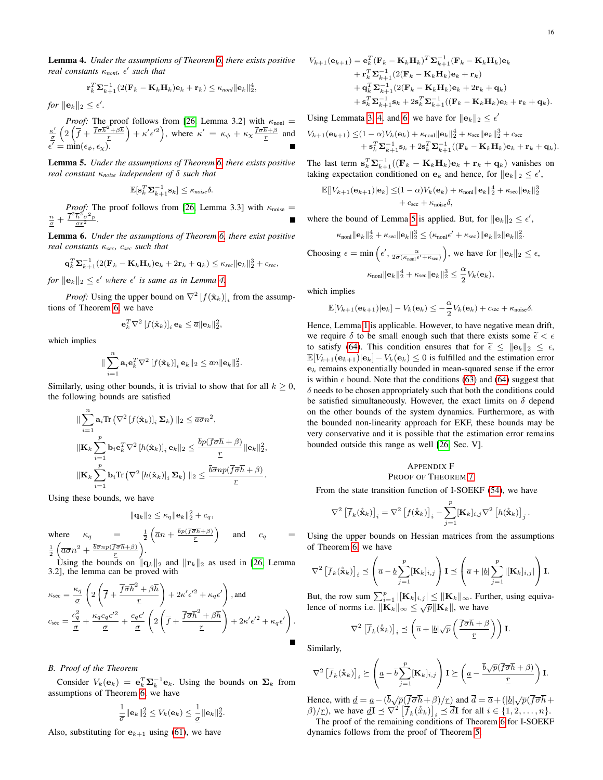.

<span id="page-15-1"></span>Lemma 4. *Under the assumptions of Theorem [6,](#page-9-1) there exists positive real constants* κ*nonl,* 0 *such that*

$$
\mathbf{r}_k^T \mathbf{\Sigma}_{k+1}^{-1} (2(\mathbf{F}_k - \mathbf{K}_k \mathbf{H}_k)\mathbf{e}_k + \mathbf{r}_k) \le \kappa_{nonl} \|\mathbf{e}_k\|_2^4,
$$

*for*  $\|\mathbf{e}_k\|_2 \leq \epsilon'$ .

*Proof:* The proof follows from [\[26,](#page-16-25) Lemma 3.2] with  $\kappa_{\text{non}} = \kappa' \left( 2 \left( \overline{f} + \overline{f} \overline{\sigma} \overline{h}^2 + \beta \overline{h} \right) + \kappa'^2 \right)$  where  $\kappa' = \kappa + \kappa \overline{f} \overline{\sigma} \overline{h} + \beta$  and  $\frac{\kappa'}{\sigma} \left( 2\left( \overline{f} + \frac{\overline{f} \overline{\sigma} \overline{h}^2 + \beta \overline{h}}{r} \right) + \kappa' \epsilon'^2 \right)$ , where  $\kappa' = \kappa_{\phi} + \kappa_{\chi} \frac{\overline{f} \overline{\sigma} \overline{h} + \beta}{r}$  and  $\overline{\epsilon'} = \min(\epsilon_{\phi}, \epsilon_{\chi}).$ 

<span id="page-15-3"></span>Lemma 5. *Under the assumptions of Theorem [6,](#page-9-1) there exists positive real constant* κ*noise independent of* δ *such that*

$$
\mathbb{E}[\mathbf{s}_k^T\mathbf{\Sigma}_{k+1}^{-1}\mathbf{s}_k] \leq \kappa_{noise}\delta.
$$

*Proof:* The proof follows from [\[26,](#page-16-25) Lemma 3.3] with  $\kappa_{\text{noise}} =$  $\frac{n}{\sigma}+\frac{\overline{f}^2\overline{h}^2\overline{\sigma}^2p}{\sigma r^2}.$ 

<span id="page-15-2"></span>Lemma 6. *Under the assumptions of Theorem [6,](#page-9-1) there exist positive real constants* κ*sec,* c*sec such that*

$$
\mathbf{q}_k^T \mathbf{\Sigma}_{k+1}^{-1} (2(\mathbf{F}_k - \mathbf{K}_k \mathbf{H}_k) \mathbf{e}_k + 2 \mathbf{r}_k + \mathbf{q}_k) \le \kappa_{\text{sec}} ||\mathbf{e}_k||_2^3 + c_{\text{sec}},
$$

*for*  $\|\mathbf{e}_k\|_2 \leq \epsilon'$  where  $\epsilon'$  is same as in Lemma [4.](#page-15-1)

*Proof:* Using the upper bound on  $\nabla^2 [f(\hat{\mathbf{x}}_k)]_i$  from the assumptions of Theorem [6,](#page-9-1) we have

$$
\mathbf{e}_k^T \nabla^2 [f(\hat{\mathbf{x}}_k)]_i \mathbf{e}_k \leq \overline{a} ||\mathbf{e}_k||_2^2,
$$

which implies

$$
\sum_{i=1}^n \mathbf{a}_i \mathbf{e}_k^T \nabla^2 [f(\hat{\mathbf{x}}_k)]_i \mathbf{e}_k ||_2 \leq \overline{a} n ||\mathbf{e}_k||_2^2.
$$

Similarly, using other bounds, it is trivial to show that for all  $k \geq 0$ , the following bounds are satisfied

$$
\|\sum_{i=1}^{n} \mathbf{a}_{i} \text{Tr}\left(\nabla^{2} \left[f(\hat{\mathbf{x}}_{k})\right]_{i} \Sigma_{k}\right) \|_{2} \leq \overline{a \sigma} n^{2},
$$
  

$$
\|\mathbf{K}_{k} \sum_{i=1}^{p} \mathbf{b}_{i} \mathbf{e}_{k}^{T} \nabla^{2} \left[h(\hat{\mathbf{x}}_{k})\right]_{i} \mathbf{e}_{k} \|_{2} \leq \frac{\overline{b} p(\overline{f} \overline{\sigma} \overline{h} + \beta)}{r} \|\mathbf{e}_{k} \|_{2}^{2},
$$
  

$$
\|\mathbf{K}_{k} \sum_{i=1}^{p} \mathbf{b}_{i} \text{Tr}\left(\nabla^{2} \left[h(\hat{\mathbf{x}}_{k})\right]_{i} \Sigma_{k}\right) \|_{2} \leq \frac{\overline{b} \overline{\sigma} n p(\overline{f} \overline{\sigma} \overline{h} + \beta)}{r}.
$$

Using these bounds, we have

 $\overline{\mathbf{r}}$ 

$$
\|\mathbf{q}_k\|_2 \leq \kappa_q \|\mathbf{e}_k\|_2^2 + c_q,
$$

where  $\kappa_q =$  $\frac{1}{2}\left(\overline{a}n + \frac{\overline{b}p(\overline{f}\overline{\sigma}\overline{h} + \beta)}{r}\right)$ and 1 2  $\left(\overline{a\sigma}n^2 + \frac{\overline{b}\overline{\sigma}np(\overline{f}\overline{\sigma}\overline{h}+\beta)}{\frac{r}{}}\right)$ .

Using the bounds on  $\|\mathbf{q}_k\|_2$  and  $\|\mathbf{r}_k\|_2$  as used in [\[26,](#page-16-25) Lemma 3.2], the lemma can be proved with

$$
\kappa_{\text{sec}} = \frac{\kappa_q}{\underline{\sigma}} \left( 2 \left( \overline{f} + \frac{\overline{f} \overline{\sigma} \overline{h}^2 + \beta \overline{h}}{r} \right) + 2 \kappa' \epsilon'^2 + \kappa_q \epsilon' \right), \text{and}
$$

$$
c_{\text{sec}} = \frac{c_q^2}{\underline{\sigma}} + \frac{\kappa_q c_q \epsilon'^2}{\underline{\sigma}} + \frac{c_q \epsilon'}{\underline{\sigma}} \left( 2 \left( \overline{f} + \frac{\overline{f} \overline{\sigma} \overline{h}^2 + \beta \overline{h}}{r} \right) + 2 \kappa' \epsilon'^2 + \kappa_q \epsilon' \right).
$$

## *B. Proof of the Theorem*

Consider  $V_k(\mathbf{e}_k) = \mathbf{e}_k^T \mathbf{\Sigma}_k^{-1} \mathbf{e}_k$ . Using the bounds on  $\mathbf{\Sigma}_k$  from assumptions of Theorem [6,](#page-9-1) we have

$$
\frac{1}{\overline{\sigma}}\|\mathbf{e}_k\|_2^2 \leq V_k(\mathbf{e}_k) \leq \frac{1}{\underline{\sigma}}\|\mathbf{e}_k\|_2^2.
$$

Also, substituting for  $e_{k+1}$  using [\(61\)](#page-8-5), we have

$$
\begin{aligned} \mathbf{e}_{k+1}) &= \mathbf{e}_k^T (\mathbf{F}_k - \mathbf{K}_k \mathbf{H}_k)^T \mathbf{\Sigma}_{k+1}^{-1} (\mathbf{F}_k - \mathbf{K}_k \mathbf{H}_k) \mathbf{e}_k \\ &+ \mathbf{r}_k^T \mathbf{\Sigma}_{k+1}^{-1} (2(\mathbf{F}_k - \mathbf{K}_k \mathbf{H}_k) \mathbf{e}_k + \mathbf{r}_k) \\ &+ \mathbf{q}_k^T \mathbf{\Sigma}_{k+1}^{-1} (2(\mathbf{F}_k - \mathbf{K}_k \mathbf{H}_k) \mathbf{e}_k + 2 \mathbf{r}_k + \mathbf{q}_k) \\ &+ \mathbf{s}_k^T \mathbf{\Sigma}_{k+1}^{-1} \mathbf{s}_k + 2 \mathbf{s}_k^T \mathbf{\Sigma}_{k+1}^{-1} ((\mathbf{F}_k - \mathbf{K}_k \mathbf{H}_k) \mathbf{e}_k + \mathbf{r}_k + \mathbf{q}_k). \end{aligned}
$$

Using Lemmata [3,](#page-14-2) [4,](#page-15-1) and [6,](#page-15-2) we have for  $||\mathbf{e}_k||_2 \leq \epsilon'$ 

$$
V_{k+1}(\mathbf{e}_{k+1}) \leq (1-\alpha)V_k(\mathbf{e}_k) + \kappa_{\text{non}} \|\mathbf{e}_k\|_2^4 + \kappa_{\text{sec}} \|\mathbf{e}_k\|_2^3 + c_{\text{sec}} + \mathbf{s}_k^T \mathbf{\Sigma}_{k+1}^{-1} \mathbf{s}_k + 2\mathbf{s}_k^T \mathbf{\Sigma}_{k+1}^{-1} ((\mathbf{F}_k - \mathbf{K}_k \mathbf{H}_k)\mathbf{e}_k + \mathbf{r}_k + \mathbf{q}_k).
$$

The last term  $\mathbf{s}_k^T \mathbf{\Sigma}_{k+1}^{-1}((\mathbf{F}_k - \mathbf{K}_k \mathbf{H}_k)\mathbf{e}_k + \mathbf{r}_k + \mathbf{q}_k)$  vanishes on taking expectation conditioned on  $\mathbf{e}_k$  and hence, for  $\|\mathbf{e}_k\|_2 \leq \epsilon'$ ,

$$
\mathbb{E}[|V_{k+1}(\mathbf{e}_{k+1})|\mathbf{e}_k] \leq (1-\alpha)V_k(\mathbf{e}_k) + \kappa_{\text{non}}\|\mathbf{e}_k\|_2^4 + \kappa_{\text{sec}}\|\mathbf{e}_k\|_2^3
$$
  
+  $c_{\text{sec}} + \kappa_{\text{noise}}\delta$ ,

where the bound of Lemma [5](#page-15-3) is applied. But, for  $||\mathbf{e}_k||_2 \leq \epsilon'$ ,

$$
\kappa_{\text{nonl}} \|\mathbf{e}_k\|_2^4 + \kappa_{\text{sec}} \|\mathbf{e}_k\|_2^3 \leq (\kappa_{\text{nonl}} \epsilon' + \kappa_{\text{sec}}) \|\mathbf{e}_k\|_2 \|\mathbf{e}_k\|_2^2
$$

Choosing 
$$
\epsilon = \min\left(\epsilon', \frac{\alpha}{2\overline{\sigma}(\kappa_{\text{nonif}}\epsilon' + \kappa_{\text{sec}})}\right)
$$
, we have for  $||\mathbf{e}_k||_2 \le \epsilon$ ,

$$
\kappa_{\text{non}} \|\mathbf{e}_k\|_2^4 + \kappa_{\text{sec}} \|\mathbf{e}_k\|_2^3 \leq \frac{\alpha}{2} V_k(\mathbf{e}_k),
$$

which implies

 $V_{k+1}$ 

$$
\mathbb{E}[V_{k+1}(\mathbf{e}_{k+1})|\mathbf{e}_k] - V_k(\mathbf{e}_k) \leq -\frac{\alpha}{2}V_k(\mathbf{e}_k) + c_{\text{sec}} + \kappa_{\text{noise}}\delta.
$$

Hence, Lemma [1](#page-6-1) is applicable. However, to have negative mean drift, we require  $\delta$  to be small enough such that there exists some  $\tilde{\epsilon} < \epsilon$ to satisfy [\(64\)](#page-9-6). This condition ensures that for  $\tilde{\epsilon} \leq ||e_k||_2 \leq \epsilon$ ,  $\mathbb{E}[V_{k+1}(\mathbf{e}_{k+1})|\mathbf{e}_k] - V_k(\mathbf{e}_k) \leq 0$  is fulfilled and the estimation error  $e_k$  remains exponentially bounded in mean-squared sense if the error is within  $\epsilon$  bound. Note that the conditions [\(63\)](#page-9-5) and [\(64\)](#page-9-6) suggest that  $\delta$  needs to be chosen appropriately such that both the conditions could be satisfied simultaneously. However, the exact limits on  $\delta$  depend on the other bounds of the system dynamics. Furthermore, as with the bounded non-linearity approach for EKF, these bounds may be very conservative and it is possible that the estimation error remains bounded outside this range as well [\[26,](#page-16-25) Sec. V].

# <span id="page-15-0"></span>APPENDIX F PROOF OF THEOREM [7](#page-9-2)

From the state transition function of I-SOEKF [\(54\)](#page-5-8), we have

$$
\nabla^2 \left[ \overline{f}_k(\hat{\mathbf{x}}_k) \right]_i = \nabla^2 \left[ f(\hat{\mathbf{x}}_k) \right]_i - \sum_{j=1}^p [\mathbf{K}_k]_{i,j} \nabla^2 \left[ h(\hat{\mathbf{x}}_k) \right]_j.
$$

Using the upper bounds on Hessian matrices from the assumptions of Theorem [6,](#page-9-1) we have

$$
\nabla^2 \left[ \overline{f}_k(\hat{\mathbf{x}}_k) \right]_i \preceq \left( \overline{a} - \underline{b} \sum_{j=1}^p [\mathbf{K}_k]_{i,j} \right) \mathbf{I} \preceq \left( \overline{a} + |\underline{b}| \sum_{j=1}^p |[\mathbf{K}_k]_{i,j}| \right) \mathbf{I}.
$$

But, the row sum  $\sum_{i=1}^{p} |[\mathbf{K}_k]_{i,j}| \le ||\mathbf{K}_k||_{\infty}$ . Further, using equiva-Lence of norms i.e.  $\|\mathbf{K}_k\|_{\infty} \leq \sqrt{p}\|\mathbf{K}_k\|$ , we have

$$
\nabla^2 \left[ \overline{f}_k(\hat{\mathbf{x}}_k) \right]_i \preceq \left( \overline{a} + |\underline{b}| \sqrt{p} \left( \frac{\overline{f} \overline{\sigma} \overline{h} + \beta}{\underline{r}} \right) \right) \mathbf{I}.
$$

Similarly,

$$
\nabla^2 \left[ \overline{f}_k(\hat{\mathbf{x}}_k) \right]_i \succeq \left( \underline{a} - \overline{b} \sum_{j=1}^p [\mathbf{K}_k]_{i,j} \right) \mathbf{I} \succeq \left( \underline{a} - \frac{\overline{b}\sqrt{p}(\overline{f}\overline{\sigma}\overline{h} + \beta)}{\underline{r}} \right) \mathbf{I}.
$$

Hence, with  $\underline{d} = \underline{a} - (\overline{b}\sqrt{p}(\overline{f}\overline{\sigma}\overline{h} + \beta)/\underline{r})$  and  $\overline{d} = \overline{a} + (|\underline{b}|\sqrt{p}(\overline{f}\overline{\sigma}\overline{h} + \beta)/\underline{r})$  $\beta$ / $\underline{r}$ ), we have  $\underline{d\mathbf{I}} \preceq \nabla^2 \left[ \overline{f}_k(\hat{x}_k) \right]_i \preceq \overline{d\mathbf{I}}$  for all  $i \in \{1, 2, ..., n\}$ .

The proof of the remaining conditions of Theorem [6](#page-9-1) for I-SOEKF dynamics follows from the proof of Theorem [5.](#page-8-3)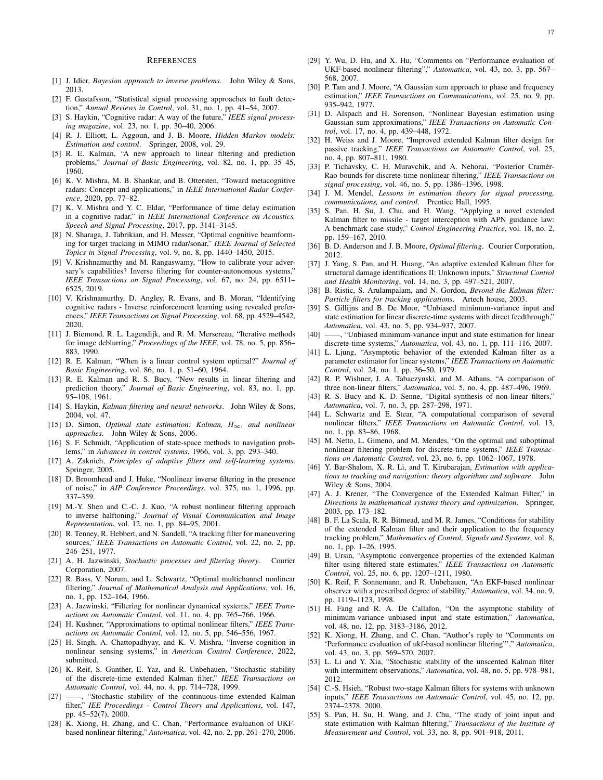#### **REFERENCES**

- <span id="page-16-0"></span>[1] J. Idier, *Bayesian approach to inverse problems*. John Wiley & Sons, 2013.
- <span id="page-16-1"></span>[2] F. Gustafsson, "Statistical signal processing approaches to fault detection," *Annual Reviews in Control*, vol. 31, no. 1, pp. 41–54, 2007.
- <span id="page-16-2"></span>[3] S. Haykin, "Cognitive radar: A way of the future," *IEEE signal processing magazine*, vol. 23, no. 1, pp. 30–40, 2006.
- <span id="page-16-3"></span>[4] R. J. Elliott, L. Aggoun, and J. B. Moore, *Hidden Markov models: Estimation and control*. Springer, 2008, vol. 29.
- <span id="page-16-4"></span>[5] R. E. Kalman, "A new approach to linear filtering and prediction problems," *Journal of Basic Engineering*, vol. 82, no. 1, pp. 35–45, 1960.
- <span id="page-16-5"></span>[6] K. V. Mishra, M. B. Shankar, and B. Ottersten, "Toward metacognitive radars: Concept and applications," in *IEEE International Radar Conference*, 2020, pp. 77–82.
- <span id="page-16-6"></span>[7] K. V. Mishra and Y. C. Eldar, "Performance of time delay estimation in a cognitive radar," in *IEEE International Conference on Acoustics, Speech and Signal Processing*, 2017, pp. 3141–3145.
- <span id="page-16-7"></span>[8] N. Sharaga, J. Tabrikian, and H. Messer, "Optimal cognitive beamforming for target tracking in MIMO radar/sonar," *IEEE Journal of Selected Topics in Signal Processing*, vol. 9, no. 8, pp. 1440–1450, 2015.
- <span id="page-16-8"></span>[9] V. Krishnamurthy and M. Rangaswamy, "How to calibrate your adversary's capabilities? Inverse filtering for counter-autonomous systems," *IEEE Transactions on Signal Processing*, vol. 67, no. 24, pp. 6511– 6525, 2019.
- <span id="page-16-9"></span>[10] V. Krishnamurthy, D. Angley, R. Evans, and B. Moran, "Identifying cognitive radars - Inverse reinforcement learning using revealed preferences," *IEEE Transactions on Signal Processing*, vol. 68, pp. 4529–4542, 2020.
- <span id="page-16-10"></span>[11] J. Biemond, R. L. Lagendijk, and R. M. Mersereau, "Iterative methods for image deblurring," *Proceedings of the IEEE*, vol. 78, no. 5, pp. 856– 883, 1990.
- <span id="page-16-11"></span>[12] R. E. Kalman, "When is a linear control system optimal?" *Journal of Basic Engineering*, vol. 86, no. 1, p. 51–60, 1964.
- <span id="page-16-12"></span>[13] R. E. Kalman and R. S. Bucy, "New results in linear filtering and prediction theory," *Journal of Basic Engineering*, vol. 83, no. 1, pp. 95–108, 1961.
- <span id="page-16-13"></span>[14] S. Haykin, *Kalman filtering and neural networks*. John Wiley & Sons, 2004, vol. 47.
- <span id="page-16-14"></span>[15] D. Simon, *Optimal state estimation: Kalman, H*∞*, and nonlinear approaches*. John Wiley & Sons, 2006.
- <span id="page-16-15"></span>[16] S. F. Schmidt, "Application of state-space methods to navigation problems," in *Advances in control systems*, 1966, vol. 3, pp. 293–340.
- <span id="page-16-16"></span>[17] A. Zaknich, *Principles of adaptive filters and self-learning systems*. Springer, 2005.
- <span id="page-16-17"></span>[18] D. Broomhead and J. Huke, "Nonlinear inverse filtering in the presence of noise," in *AIP Conference Proceedings*, vol. 375, no. 1, 1996, pp. 337–359.
- <span id="page-16-18"></span>[19] M.-Y. Shen and C.-C. J. Kuo, "A robust nonlinear filtering approach to inverse halftoning," *Journal of Visual Communication and Image Representation*, vol. 12, no. 1, pp. 84–95, 2001.
- <span id="page-16-19"></span>[20] R. Tenney, R. Hebbert, and N. Sandell, "A tracking filter for maneuvering sources," *IEEE Transactions on Automatic Control*, vol. 22, no. 2, pp. 246–251, 1977.
- <span id="page-16-20"></span>[21] A. H. Jazwinski, *Stochastic processes and filtering theory*. Courier Corporation, 2007.
- <span id="page-16-21"></span>[22] R. Bass, V. Norum, and L. Schwartz, "Optimal multichannel nonlinear filtering," *Journal of Mathematical Analysis and Applications*, vol. 16, no. 1, pp. 152–164, 1966.
- <span id="page-16-22"></span>[23] A. Jazwinski, "Filtering for nonlinear dynamical systems," *IEEE Transactions on Automatic Control*, vol. 11, no. 4, pp. 765–766, 1966.
- <span id="page-16-23"></span>[24] H. Kushner, "Approximations to optimal nonlinear filters," *IEEE Transactions on Automatic Control*, vol. 12, no. 5, pp. 546–556, 1967.
- <span id="page-16-24"></span>[25] H. Singh, A. Chattopadhyay, and K. V. Mishra, "Inverse cognition in nonlinear sensing systems," in *American Control Conference*, 2022, submitted.
- <span id="page-16-25"></span>[26] K. Reif, S. Gunther, E. Yaz, and R. Unbehauen, "Stochastic stability of the discrete-time extended Kalman filter," *IEEE Transactions on Automatic Control*, vol. 44, no. 4, pp. 714–728, 1999.
- <span id="page-16-26"></span>[27] ——, "Stochastic stability of the continuous-time extended Kalman filter," *IEE Proceedings - Control Theory and Applications*, vol. 147, pp. 45–52(7), 2000.
- <span id="page-16-27"></span>[28] K. Xiong, H. Zhang, and C. Chan, "Performance evaluation of UKFbased nonlinear filtering," *Automatica*, vol. 42, no. 2, pp. 261–270, 2006.
- <span id="page-16-28"></span>[29] Y. Wu, D. Hu, and X. Hu, "Comments on "Performance evaluation of UKF-based nonlinear filtering"," *Automatica*, vol. 43, no. 3, pp. 567– 568, 2007.
- <span id="page-16-29"></span>[30] P. Tam and J. Moore, "A Gaussian sum approach to phase and frequency estimation," *IEEE Transactions on Communications*, vol. 25, no. 9, pp. 935–942, 1977.
- <span id="page-16-30"></span>[31] D. Alspach and H. Sorenson, "Nonlinear Bayesian estimation using Gaussian sum approximations," *IEEE Transactions on Automatic Control*, vol. 17, no. 4, pp. 439–448, 1972.
- <span id="page-16-31"></span>[32] H. Weiss and J. Moore, "Improved extended Kalman filter design for passive tracking," *IEEE Transactions on Automatic Control*, vol. 25, no. 4, pp. 807–811, 1980.
- <span id="page-16-32"></span>[33] P. Tichavsky, C. H. Muravchik, and A. Nehorai, "Posterior Cramér-Rao bounds for discrete-time nonlinear filtering," *IEEE Transactions on signal processing*, vol. 46, no. 5, pp. 1386–1396, 1998.
- <span id="page-16-33"></span>[34] J. M. Mendel, *Lessons in estimation theory for signal processing, communications, and control*. Prentice Hall, 1995.
- <span id="page-16-34"></span>[35] S. Pan, H. Su, J. Chu, and H. Wang, "Applying a novel extended Kalman filter to missile - target interception with APN guidance law: A benchmark case study," *Control Engineering Practice*, vol. 18, no. 2, pp. 159–167, 2010.
- <span id="page-16-35"></span>[36] B. D. Anderson and J. B. Moore, *Optimal filtering*. Courier Corporation, 2012.
- <span id="page-16-36"></span>[37] J. Yang, S. Pan, and H. Huang, "An adaptive extended Kalman filter for structural damage identifications II: Unknown inputs," *Structural Control and Health Monitoring*, vol. 14, no. 3, pp. 497–521, 2007.
- <span id="page-16-37"></span>[38] B. Ristic, S. Arulampalam, and N. Gordon, *Beyond the Kalman filter: Particle filters for tracking applications*. Artech house, 2003.
- <span id="page-16-38"></span>[39] S. Gillijns and B. De Moor, "Unbiased minimum-variance input and state estimation for linear discrete-time systems with direct feedthrough," *Automatica*, vol. 43, no. 5, pp. 934–937, 2007.<br>[40] ——, "Unbiased minimum-variance input and s
- <span id="page-16-39"></span> $-$ , "Unbiased minimum-variance input and state estimation for linear discrete-time systems," *Automatica*, vol. 43, no. 1, pp. 111–116, 2007.
- <span id="page-16-40"></span>[41] L. Ljung, "Asymptotic behavior of the extended Kalman filter as a parameter estimator for linear systems," *IEEE Transactions on Automatic Control*, vol. 24, no. 1, pp. 36–50, 1979.
- <span id="page-16-41"></span>[42] R. P. Wishner, J. A. Tabaczynski, and M. Athans, "A comparison of three non-linear filters," *Automatica*, vol. 5, no. 4, pp. 487–496, 1969.
- <span id="page-16-42"></span>[43] R. S. Bucy and K. D. Senne, "Digital synthesis of non-linear filters," *Automatica*, vol. 7, no. 3, pp. 287–298, 1971.
- <span id="page-16-43"></span>[44] L. Schwartz and E. Stear, "A computational comparison of several nonlinear filters," *IEEE Transactions on Automatic Control*, vol. 13, no. 1, pp. 83–86, 1968.
- <span id="page-16-44"></span>[45] M. Netto, L. Gimeno, and M. Mendes, "On the optimal and suboptimal nonlinear filtering problem for discrete-time systems," *IEEE Transactions on Automatic Control*, vol. 23, no. 6, pp. 1062–1067, 1978.
- <span id="page-16-45"></span>[46] Y. Bar-Shalom, X. R. Li, and T. Kirubarajan, *Estimation with applications to tracking and navigation: theory algorithms and software*. John Wiley & Sons, 2004.
- <span id="page-16-46"></span>[47] A. J. Krener, "The Convergence of the Extended Kalman Filter," in *Directions in mathematical systems theory and optimization*. Springer, 2003, pp. 173–182.
- <span id="page-16-47"></span>[48] B. F. La Scala, R. R. Bitmead, and M. R. James, "Conditions for stability of the extended Kalman filter and their application to the frequency tracking problem," *Mathematics of Control, Signals and Systems*, vol. 8, no. 1, pp. 1–26, 1995.
- <span id="page-16-48"></span>[49] B. Ursin, "Asymptotic convergence properties of the extended Kalman filter using filtered state estimates," *IEEE Transactions on Automatic Control*, vol. 25, no. 6, pp. 1207–1211, 1980.
- <span id="page-16-49"></span>[50] K. Reif, F. Sonnemann, and R. Unbehauen, "An EKF-based nonlinear observer with a prescribed degree of stability," *Automatica*, vol. 34, no. 9, pp. 1119–1123, 1998.
- <span id="page-16-50"></span>[51] H. Fang and R. A. De Callafon, "On the asymptotic stability of minimum-variance unbiased input and state estimation," *Automatica*, vol. 48, no. 12, pp. 3183–3186, 2012.
- <span id="page-16-51"></span>[52] K. Xiong, H. Zhang, and C. Chan, "Author's reply to "Comments on 'Performance evaluation of ukf-based nonlinear filtering"'," *Automatica*, vol. 43, no. 3, pp. 569–570, 2007.
- <span id="page-16-52"></span>[53] L. Li and Y. Xia, "Stochastic stability of the unscented Kalman filter with intermittent observations," *Automatica*, vol. 48, no. 5, pp. 978–981, 2012.
- <span id="page-16-53"></span>[54] C.-S. Hsieh, "Robust two-stage Kalman filters for systems with unknown inputs," *IEEE Transactions on Automatic Control*, vol. 45, no. 12, pp. 2374–2378, 2000.
- <span id="page-16-54"></span>[55] S. Pan, H. Su, H. Wang, and J. Chu, "The study of joint input and state estimation with Kalman filtering," *Transactions of the Institute of Measurement and Control*, vol. 33, no. 8, pp. 901–918, 2011.